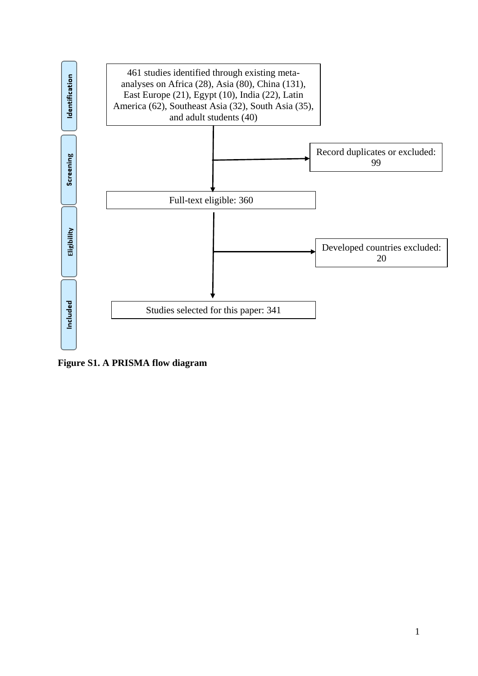

**Figure S1. A PRISMA flow diagram**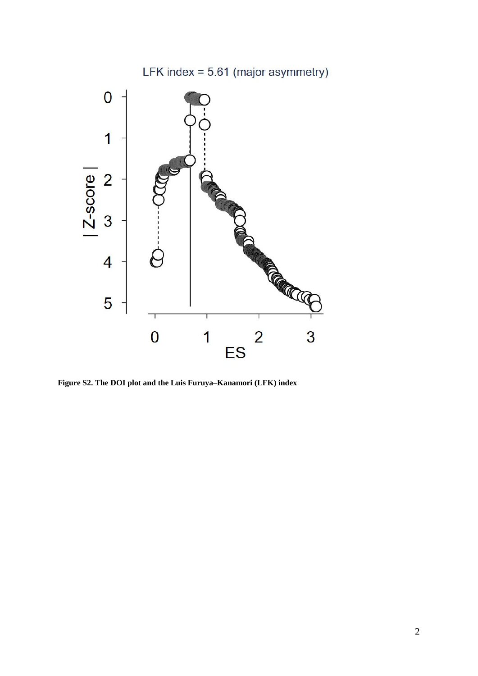

**Figure S2. The DOI plot and the Luis Furuya–Kanamori (LFK) index**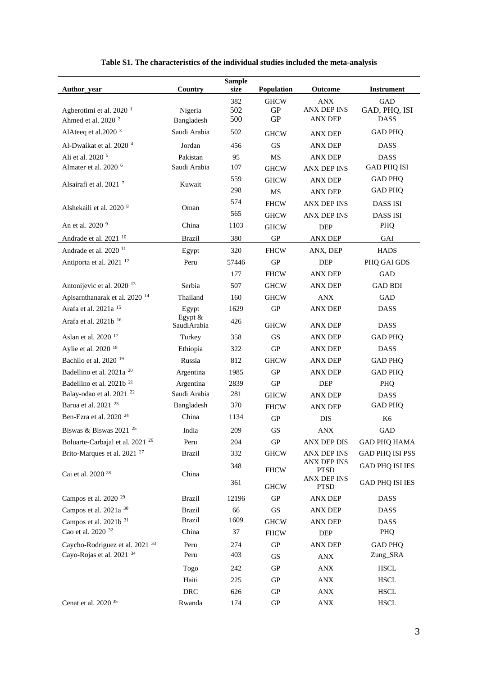|                                             |                          | <b>Sample</b> |                          |                                   |                             |
|---------------------------------------------|--------------------------|---------------|--------------------------|-----------------------------------|-----------------------------|
| Author_year                                 | Country                  | size          | Population               | Outcome                           | <b>Instrument</b>           |
| Agberotimi et al. 2020 $1$                  | Nigeria                  | 382<br>502    | <b>GHCW</b><br><b>GP</b> | <b>ANX</b><br><b>ANX DEP INS</b>  | <b>GAD</b><br>GAD, PHQ, ISI |
| Ahmed et al. 2020 <sup>2</sup>              | Bangladesh               | 500           | <b>GP</b>                | <b>ANX DEP</b>                    | <b>DASS</b>                 |
| AlAteeq et al.2020 <sup>3</sup>             | Saudi Arabia             | 502           | <b>GHCW</b>              | <b>ANX DEP</b>                    | <b>GAD PHQ</b>              |
| Al-Dwaikat et al. 2020 <sup>4</sup>         | Jordan                   | 456           | GS                       | <b>ANX DEP</b>                    | <b>DASS</b>                 |
| Ali et al. 2020 <sup>5</sup>                | Pakistan                 | 95            | <b>MS</b>                | <b>ANX DEP</b>                    | <b>DASS</b>                 |
| Almater et al. 2020 <sup>6</sup>            | Saudi Arabia             | 107           | <b>GHCW</b>              | <b>ANX DEP INS</b>                | <b>GAD PHQ ISI</b>          |
| Alsairafi et al. 2021 <sup>7</sup>          | Kuwait                   | 559           | <b>GHCW</b>              | <b>ANX DEP</b>                    | <b>GAD PHQ</b>              |
|                                             |                          | 298           | MS                       | <b>ANX DEP</b>                    | <b>GAD PHQ</b>              |
| Alshekaili et al. 2020 <sup>8</sup>         |                          | 574           | <b>FHCW</b>              | <b>ANX DEP INS</b>                | <b>DASS ISI</b>             |
|                                             | Oman                     | 565           | <b>GHCW</b>              | <b>ANX DEP INS</b>                | <b>DASS ISI</b>             |
| An et al. 2020 <sup>9</sup>                 | China                    | 1103          | <b>GHCW</b>              | <b>DEP</b>                        | PHQ                         |
| Andrade et al. 2021 <sup>10</sup>           | <b>Brazil</b>            | 380           | GP                       | <b>ANX DEP</b>                    | GAI                         |
| Andrade et al. 2020 <sup>11</sup>           | Egypt                    | 320           | <b>FHCW</b>              | ANX, DEP                          | <b>HADS</b>                 |
| Antiporta et al. 2021 <sup>12</sup>         | Peru                     | 57446         | <b>GP</b>                | <b>DEP</b>                        | PHQ GAI GDS                 |
|                                             |                          | 177           | <b>FHCW</b>              | <b>ANX DEP</b>                    | <b>GAD</b>                  |
| Antonijevic et al. 2020 <sup>13</sup>       | Serbia                   | 507           | <b>GHCW</b>              | <b>ANX DEP</b>                    | <b>GAD BDI</b>              |
| Apisarnthanarak et al. 2020 <sup>14</sup>   | Thailand                 | 160           | <b>GHCW</b>              | <b>ANX</b>                        | GAD                         |
| Arafa et al. 2021a <sup>15</sup>            | Egypt                    | 1629          | GP                       | <b>ANX DEP</b>                    | DASS                        |
| Arafa et al. 2021b <sup>16</sup>            | Egypt $&$<br>SaudiArabia | 426           | <b>GHCW</b>              | <b>ANX DEP</b>                    | <b>DASS</b>                 |
| Aslan et al. 2020 <sup>17</sup>             | Turkey                   | 358           | GS                       | <b>ANX DEP</b>                    | <b>GAD PHQ</b>              |
| Aylie et al. 2020 <sup>18</sup>             | Ethiopia                 | 322           | <b>GP</b>                | <b>ANX DEP</b>                    | <b>DASS</b>                 |
| Bachilo et al. 2020 <sup>19</sup>           | Russia                   | 812           | <b>GHCW</b>              | <b>ANX DEP</b>                    | <b>GAD PHQ</b>              |
| Badellino et al. 2021a <sup>20</sup>        | Argentina                | 1985          | GP                       | <b>ANX DEP</b>                    | <b>GAD PHQ</b>              |
| Badellino et al. 2021b <sup>21</sup>        | Argentina                | 2839          | <b>GP</b>                | <b>DEP</b>                        | PHQ                         |
| Balay-odao et al. 2021 <sup>22</sup>        | Saudi Arabia             | 281           | <b>GHCW</b>              | <b>ANX DEP</b>                    | <b>DASS</b>                 |
| Barua et al. 2021 <sup>23</sup>             | Bangladesh               | 370           | <b>FHCW</b>              | <b>ANX DEP</b>                    | <b>GAD PHQ</b>              |
| Ben-Ezra et al. 2020 <sup>24</sup>          | China                    | 1134          | <b>GP</b>                | <b>DIS</b>                        | K <sub>6</sub>              |
| Biswas & Biswas 2021 <sup>25</sup>          | India                    | 209           | GS                       | ANX                               | GAD                         |
| Boluarte-Carbajal et al. 2021 <sup>26</sup> | Peru                     | 204           | ${\rm GP}$               | <b>ANX DEP DIS</b>                | <b>GAD PHQ HAMA</b>         |
| Brito-Marques et al. 2021 <sup>27</sup>     | <b>Brazil</b>            | 332           | <b>GHCW</b>              | ANX DEP INS                       | <b>GAD PHQ ISI PSS</b>      |
|                                             |                          | 348           | <b>FHCW</b>              | <b>ANX DEP INS</b><br><b>PTSD</b> | <b>GAD PHQ ISI IES</b>      |
| Cai et al. 2020 <sup>28</sup>               | China                    | 361           | <b>GHCW</b>              | ANX DEP INS<br><b>PTSD</b>        | <b>GAD PHQ ISI IES</b>      |
| Campos et al. 2020 <sup>29</sup>            | <b>Brazil</b>            | 12196         | ${\rm GP}$               | ANX DEP                           | <b>DASS</b>                 |
| Campos et al. 2021a <sup>30</sup>           | <b>Brazil</b>            | 66            | $\operatorname{GS}$      | <b>ANX DEP</b>                    | <b>DASS</b>                 |
| Campos et al. 2021b <sup>31</sup>           | <b>Brazil</b>            | 1609          | <b>GHCW</b>              | <b>ANX DEP</b>                    | <b>DASS</b>                 |
| Cao et al. 2020 <sup>32</sup>               | China                    | 37            | <b>FHCW</b>              | <b>DEP</b>                        | PHQ                         |
| Caycho-Rodriguez et al. 2021 33             | Peru                     | 274           | ${\rm GP}$               | <b>ANX DEP</b>                    | <b>GAD PHQ</b>              |
| Cayo-Rojas et al. 2021 34                   | Peru                     | 403           | GS                       | <b>ANX</b>                        | Zung_SRA                    |
|                                             | Togo                     | 242           | GP                       | $\mathbf{ANX}$                    | <b>HSCL</b>                 |
|                                             | Haiti                    | 225           | GP                       | <b>ANX</b>                        | <b>HSCL</b>                 |
|                                             | <b>DRC</b>               | 626           | ${\rm GP}$               | $\mathbf{ANX}$                    | <b>HSCL</b>                 |
| Cenat et al. 2020 <sup>35</sup>             | Rwanda                   | 174           | ${\rm GP}$               | $\mathbf{ANX}$                    | <b>HSCL</b>                 |

|  |  | Table S1. The characteristics of the individual studies included the meta-analysis |  |  |  |
|--|--|------------------------------------------------------------------------------------|--|--|--|
|--|--|------------------------------------------------------------------------------------|--|--|--|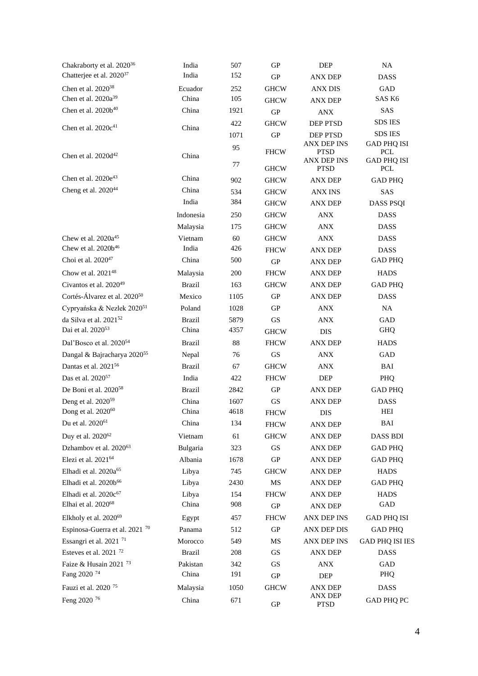| Chakraborty et al. 2020 <sup>36</sup>     | India         | 507  | <b>GP</b>   | <b>DEP</b>                        | <b>NA</b>                        |
|-------------------------------------------|---------------|------|-------------|-----------------------------------|----------------------------------|
| Chatterjee et al. 2020 <sup>37</sup>      | India         | 152  | <b>GP</b>   | <b>ANX DEP</b>                    | <b>DASS</b>                      |
| Chen et al. 2020 <sup>38</sup>            | Ecuador       | 252  | <b>GHCW</b> | <b>ANX DIS</b>                    | GAD                              |
| Chen et al. $2020a^{39}$                  | China         | 105  | <b>GHCW</b> | <b>ANX DEP</b>                    | SAS K6                           |
| Chen et al. 2020b <sup>40</sup>           | China         | 1921 | <b>GP</b>   | <b>ANX</b>                        | SAS                              |
|                                           |               | 422  | <b>GHCW</b> | DEP PTSD                          | <b>SDS IES</b>                   |
| Chen et al. 2020c <sup>41</sup>           | China         | 1071 | ${\rm GP}$  | DEP PTSD                          | <b>SDS IES</b>                   |
|                                           |               | 95   |             | <b>ANX DEP INS</b>                | <b>GAD PHQ ISI</b>               |
| Chen et al. $2020d^{42}$                  | China         |      | <b>FHCW</b> | <b>PTSD</b><br><b>ANX DEP INS</b> | <b>PCL</b><br><b>GAD PHQ ISI</b> |
|                                           |               | 77   | <b>GHCW</b> | <b>PTSD</b>                       | PCL                              |
| Chen et al. 2020e <sup>43</sup>           | China         | 902  | <b>GHCW</b> | ANX DEP                           | <b>GAD PHQ</b>                   |
| Cheng et al. $2020^{44}$                  | China         | 534  | <b>GHCW</b> | <b>ANX INS</b>                    | SAS                              |
|                                           | India         | 384  | <b>GHCW</b> | <b>ANX DEP</b>                    | <b>DASS PSQI</b>                 |
|                                           | Indonesia     | 250  | <b>GHCW</b> | <b>ANX</b>                        | <b>DASS</b>                      |
|                                           | Malaysia      | 175  | <b>GHCW</b> | <b>ANX</b>                        | <b>DASS</b>                      |
| Chew et al. 2020a <sup>45</sup>           | Vietnam       | 60   | <b>GHCW</b> | ANX                               | <b>DASS</b>                      |
| Chew et al. 2020b <sup>46</sup>           | India         | 426  | <b>FHCW</b> | <b>ANX DEP</b>                    | <b>DASS</b>                      |
| Choi et al. 2020 <sup>47</sup>            | China         | 500  | <b>GP</b>   | <b>ANX DEP</b>                    | <b>GAD PHQ</b>                   |
| Chow et al. 2021 <sup>48</sup>            | Malaysia      | 200  | <b>FHCW</b> | <b>ANX DEP</b>                    | <b>HADS</b>                      |
| Civantos et al. 2020 <sup>49</sup>        | <b>Brazil</b> | 163  | <b>GHCW</b> | <b>ANX DEP</b>                    | <b>GAD PHQ</b>                   |
| Cortés-Álvarez et al. 2020 <sup>50</sup>  | Mexico        | 1105 | <b>GP</b>   | <b>ANX DEP</b>                    | <b>DASS</b>                      |
| Cypryańska & Nezlek 202051                | Poland        | 1028 | <b>GP</b>   | <b>ANX</b>                        | NA                               |
| da Silva et al. 2021 <sup>52</sup>        | <b>Brazil</b> | 5879 | GS          | <b>ANX</b>                        | GAD                              |
| Dai et al. 2020 <sup>53</sup>             | China         | 4357 | <b>GHCW</b> | <b>DIS</b>                        | <b>GHQ</b>                       |
| Dal'Bosco et al. 2020 <sup>54</sup>       | <b>Brazil</b> | 88   | <b>FHCW</b> | ANX DEP                           | <b>HADS</b>                      |
| Dangal & Bajracharya 202055               | Nepal         | 76   | <b>GS</b>   | <b>ANX</b>                        | GAD                              |
| Dantas et al. 2021 <sup>56</sup>          | Brazil        | 67   | <b>GHCW</b> | <b>ANX</b>                        | BAI                              |
| Das et al. 2020 <sup>57</sup>             | India         | 422  | <b>FHCW</b> | DEP                               | PHQ                              |
| De Boni et al. 2020 <sup>58</sup>         | Brazil        | 2842 | GP          | <b>ANX DEP</b>                    | <b>GAD PHQ</b>                   |
| Deng et al. 2020 <sup>59</sup>            | China         | 1607 | GS          | <b>ANX DEP</b>                    | <b>DASS</b>                      |
| Dong et al. 2020 <sup>60</sup>            | China         | 4618 | <b>FHCW</b> | <b>DIS</b>                        | HEI                              |
| Du et al. 2020 <sup>61</sup>              | China         | 134  | <b>FHCW</b> | <b>ANX DEP</b>                    | BAI                              |
| Duy et al. 2020 <sup>62</sup>             | Vietnam       | 61   | <b>GHCW</b> | <b>ANX DEP</b>                    | <b>DASS BDI</b>                  |
| Dzhambov et al. 2020 <sup>63</sup>        | Bulgaria      | 323  | GS          | ANX DEP                           | <b>GAD PHQ</b>                   |
| Elezi et al. 2021 <sup>64</sup>           | Albania       | 1678 | GP          | ANX DEP                           | <b>GAD PHQ</b>                   |
| Elhadi et al. 2020a <sup>65</sup>         | Libya         | 745  | <b>GHCW</b> | <b>ANX DEP</b>                    | <b>HADS</b>                      |
| Elhadi et al. 2020b <sup>66</sup>         | Libya         | 2430 | MS          | ANX DEP                           | <b>GAD PHQ</b>                   |
| Elhadi et al. 2020c <sup>67</sup>         | Libya         | 154  | <b>FHCW</b> | <b>ANX DEP</b>                    | <b>HADS</b>                      |
| Elhai et al. 2020 <sup>68</sup>           | China         | 908  | ${\rm GP}$  | <b>ANX DEP</b>                    | GAD                              |
| Elkholy et al. 2020 <sup>69</sup>         | Egypt         | 457  | <b>FHCW</b> | ANX DEP INS                       | <b>GAD PHQ ISI</b>               |
| Espinosa-Guerra et al. 2021 <sup>70</sup> | Panama        | 512  | GP          | ANX DEP DIS                       | <b>GAD PHQ</b>                   |
| Essangri et al. 2021 <sup>71</sup>        | Morocco       | 549  | MS          | ANX DEP INS                       | <b>GAD PHQ ISI IES</b>           |
| Esteves et al. 2021 <sup>72</sup>         | <b>Brazil</b> | 208  | GS          | <b>ANX DEP</b>                    | <b>DASS</b>                      |
| Faize & Husain 2021 <sup>73</sup>         | Pakistan      | 342  | <b>GS</b>   | <b>ANX</b>                        | GAD                              |
| Fang 2020 <sup>74</sup>                   | China         | 191  | GP          | DEP                               | PHQ                              |
| Fauzi et al. 2020 <sup>75</sup>           | Malaysia      | 1050 | <b>GHCW</b> | <b>ANX DEP</b>                    | <b>DASS</b>                      |
| Feng 2020 <sup>76</sup>                   | China         | 671  |             | ANX DEP                           | GAD PHQ PC                       |
|                                           |               |      | ${\rm GP}$  | <b>PTSD</b>                       |                                  |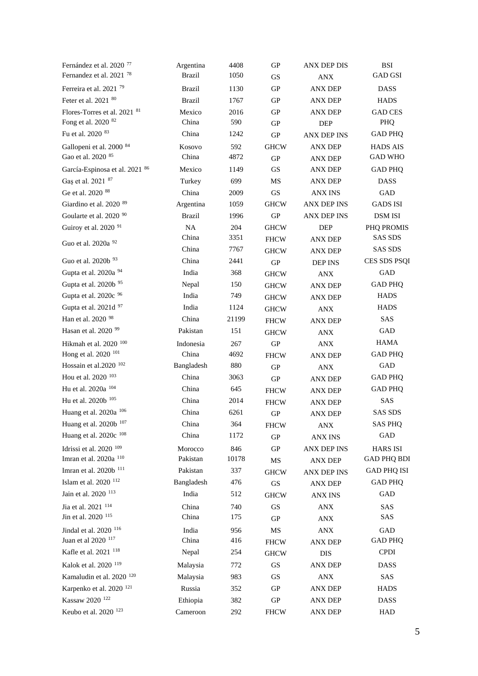| Fernández et al. 2020 <sup>77</sup>  | Argentina     | 4408  | <b>GP</b>           | <b>ANX DEP DIS</b> | <b>BSI</b>         |
|--------------------------------------|---------------|-------|---------------------|--------------------|--------------------|
| Fernandez et al. 2021 <sup>78</sup>  | <b>Brazil</b> | 1050  | <b>GS</b>           | <b>ANX</b>         | <b>GAD GSI</b>     |
| Ferreira et al. 2021 <sup>79</sup>   | <b>Brazil</b> | 1130  | GP                  | <b>ANX DEP</b>     | <b>DASS</b>        |
| Feter et al. 2021 80                 | <b>Brazil</b> | 1767  | GP                  | ANX DEP            | <b>HADS</b>        |
| Flores-Torres et al. 2021 81         | Mexico        | 2016  | GP                  | <b>ANX DEP</b>     | <b>GAD CES</b>     |
| Fong et al. 2020 82                  | China         | 590   | <b>GP</b>           | <b>DEP</b>         | PHQ                |
| Fu et al. 2020 83                    | China         | 1242  | ${\rm GP}$          | <b>ANX DEP INS</b> | <b>GAD PHQ</b>     |
| Gallopeni et al. 2000 84             | Kosovo        | 592   | <b>GHCW</b>         | <b>ANX DEP</b>     | <b>HADS AIS</b>    |
| Gao et al. 2020 85                   | China         | 4872  | GP                  | <b>ANX DEP</b>     | <b>GAD WHO</b>     |
| García-Espinosa et al. 2021 86       | Mexico        | 1149  | GS                  | <b>ANX DEP</b>     | <b>GAD PHQ</b>     |
| Gas et al. 2021 87                   | Turkey        | 699   | MS                  | ANX DEP            | <b>DASS</b>        |
| Ge et al. 2020 88                    | China         | 2009  | GS                  | <b>ANX INS</b>     | GAD                |
| Giardino et al. 2020 89              | Argentina     | 1059  | <b>GHCW</b>         | <b>ANX DEP INS</b> | <b>GADS ISI</b>    |
| Goularte et al. 2020 90              | <b>Brazil</b> | 1996  | <b>GP</b>           | <b>ANX DEP INS</b> | <b>DSM ISI</b>     |
| Guiroy et al. 2020 <sup>91</sup>     | NA            | 204   | <b>GHCW</b>         | DEP                | PHQ PROMIS         |
| Guo et al. 2020a 92                  | China         | 3351  | <b>FHCW</b>         | ANX DEP            | <b>SAS SDS</b>     |
|                                      | China         | 7767  | <b>GHCW</b>         | <b>ANX DEP</b>     | <b>SAS SDS</b>     |
| Guo et al. 2020b <sup>93</sup>       | China         | 2441  | GP                  | <b>DEP INS</b>     | CES SDS PSQI       |
| Gupta et al. 2020a 94                | India         | 368   | <b>GHCW</b>         | <b>ANX</b>         | GAD                |
| Gupta et al. 2020b 95                | Nepal         | 150   | <b>GHCW</b>         | ANX DEP            | <b>GAD PHQ</b>     |
| Gupta et al. 2020c 96                | India         | 749   | <b>GHCW</b>         | <b>ANX DEP</b>     | <b>HADS</b>        |
| Gupta et al. 2021d 97                | India         | 1124  | <b>GHCW</b>         | <b>ANX</b>         | <b>HADS</b>        |
| Han et al. 2020 <sup>98</sup>        | China         | 21199 | <b>FHCW</b>         | <b>ANX DEP</b>     | SAS                |
| Hasan et al. 2020 <sup>99</sup>      | Pakistan      | 151   | <b>GHCW</b>         | <b>ANX</b>         | GAD                |
| Hikmah et al. 2020 $^{100}\,$        | Indonesia     | 267   | $\mbox{G}\mbox{P}$  | <b>ANX</b>         | HAMA               |
| Hong et al. 2020 <sup>101</sup>      | China         | 4692  | <b>FHCW</b>         | ANX DEP            | <b>GAD PHQ</b>     |
| Hossain et al.2020 <sup>102</sup>    | Bangladesh    | 880   | GP                  | <b>ANX</b>         | GAD                |
| Hou et al. 2020 103                  | China         | 3063  | GP                  | ANX DEP            | <b>GAD PHQ</b>     |
| Hu et al. 2020a 104                  | China         | 645   | <b>FHCW</b>         | <b>ANX DEP</b>     | <b>GAD PHQ</b>     |
| Hu et al. 2020b 105                  | China         | 2014  | <b>FHCW</b>         | <b>ANX DEP</b>     | SAS                |
| Huang et al. 2020a 106               | China         | 6261  | GP                  | <b>ANX DEP</b>     | <b>SAS SDS</b>     |
| Huang et al. 2020b 107               | China         | 364   | <b>FHCW</b>         | ANX                | <b>SAS PHQ</b>     |
| Huang et al. 2020c 108               | China         | 1172  | GP                  | <b>ANX INS</b>     | GAD                |
| Idrissi et al. 2020 <sup>109</sup>   | Morocco       | 846   | GP                  | ANX DEP INS        | <b>HARS ISI</b>    |
| Imran et al. 2020a $^{\rm 110}$      | Pakistan      | 10178 | $\rm MS$            | <b>ANX DEP</b>     | <b>GAD PHQ BDI</b> |
| Imran et al. 2020b <sup>111</sup>    | Pakistan      | 337   | <b>GHCW</b>         | ANX DEP INS        | GAD PHQ ISI        |
| Islam et al. 2020 <sup>112</sup>     | Bangladesh    | 476   | $\operatorname{GS}$ | <b>ANX DEP</b>     | <b>GAD PHQ</b>     |
| Jain et al. 2020 113                 | India         | 512   | <b>GHCW</b>         | <b>ANX INS</b>     | GAD                |
| Jia et al. 2021 114                  | China         | 740   | <b>GS</b>           | ANX                | SAS                |
| Jin et al. 2020 115                  | China         | 175   | GP                  | ANX                | SAS                |
| Jindal et al. 2020 116               | India         | 956   | MS                  | ANX                | GAD                |
| Juan et al 2020 <sup>117</sup>       | China         | 416   | <b>FHCW</b>         | <b>ANX DEP</b>     | <b>GAD PHQ</b>     |
| Kafle et al. 2021 118                | Nepal         | 254   | <b>GHCW</b>         | <b>DIS</b>         | <b>CPDI</b>        |
| Kalok et al. 2020 119                | Malaysia      | 772   | <b>GS</b>           | ANX DEP            | <b>DASS</b>        |
| Kamaludin et al. 2020 <sup>120</sup> | Malaysia      | 983   | GS                  | <b>ANX</b>         | SAS                |
| Karpenko et al. 2020 <sup>121</sup>  | Russia        | 352   | ${\rm GP}$          | <b>ANX DEP</b>     | <b>HADS</b>        |
| Kassaw 2020 <sup>122</sup>           | Ethiopia      | 382   | ${\rm GP}$          | ANX DEP            | <b>DASS</b>        |
| Keubo et al. 2020 <sup>123</sup>     | Cameroon      | 292   | <b>FHCW</b>         | <b>ANX DEP</b>     | HAD                |
|                                      |               |       |                     |                    |                    |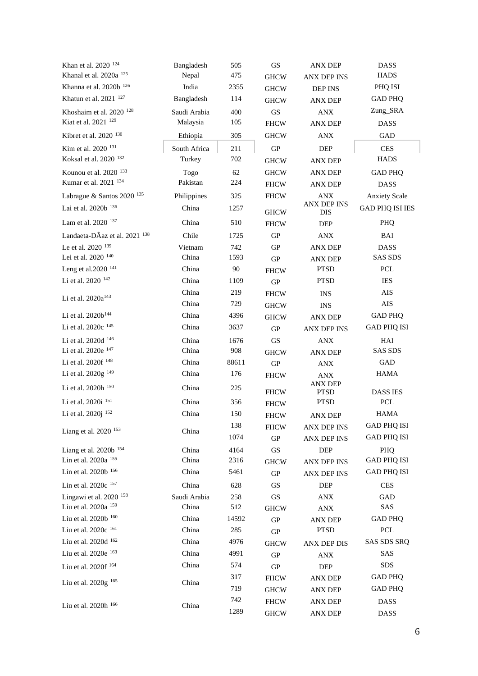| Khan et al. 2020 124                | Bangladesh   | 505   | GS          | <b>ANX DEP</b>                | <b>DASS</b>               |
|-------------------------------------|--------------|-------|-------------|-------------------------------|---------------------------|
| Khanal et al. 2020a <sup>125</sup>  | Nepal        | 475   | <b>GHCW</b> | <b>ANX DEP INS</b>            | <b>HADS</b>               |
| Khanna et al. 2020b 126             | India        | 2355  | <b>GHCW</b> | <b>DEP INS</b>                | PHQ ISI                   |
| Khatun et al. 2021 <sup>127</sup>   | Bangladesh   | 114   | <b>GHCW</b> | <b>ANX DEP</b>                | <b>GAD PHQ</b>            |
| Khoshaim et al. 2020 <sup>128</sup> | Saudi Arabia | 400   | GS          | ANX                           | Zung_SRA                  |
| Kiat et al. 2021 <sup>129</sup>     | Malaysia     | 105   | <b>FHCW</b> | <b>ANX DEP</b>                | <b>DASS</b>               |
| Kibret et al. 2020 <sup>130</sup>   | Ethiopia     | 305   | <b>GHCW</b> | <b>ANX</b>                    | GAD                       |
| Kim et al. 2020 <sup>131</sup>      | South Africa | 211   | <b>GP</b>   | DEP                           | <b>CES</b>                |
| Koksal et al. 2020 132              | Turkey       | 702   | <b>GHCW</b> | <b>ANX DEP</b>                | <b>HADS</b>               |
| Kounou et al. 2020 133              | Togo         | 62    | <b>GHCW</b> | <b>ANX DEP</b>                | <b>GAD PHQ</b>            |
| Kumar et al. 2021 <sup>134</sup>    | Pakistan     | 224   | <b>FHCW</b> | <b>ANX DEP</b>                | <b>DASS</b>               |
| Labrague & Santos 2020 135          | Philippines  | 325   | <b>FHCW</b> | <b>ANX</b>                    | <b>Anxiety Scale</b>      |
| Lai et al. 2020b $^{\rm 136}$       | China        | 1257  | <b>GHCW</b> | ANX DEP INS<br><b>DIS</b>     | <b>GAD PHQ ISI IES</b>    |
| Lam et al. 2020 137                 | China        | 510   | <b>FHCW</b> | DEP                           | <b>PHO</b>                |
| Landaeta-DÃaz et al. 2021 138       | Chile        | 1725  | <b>GP</b>   | <b>ANX</b>                    | BAI                       |
| Le et al. 2020 <sup>139</sup>       | Vietnam      | 742   | <b>GP</b>   | <b>ANX DEP</b>                | <b>DASS</b>               |
| Lei et al. 2020 140                 | China        | 1593  | <b>GP</b>   | <b>ANX DEP</b>                | <b>SAS SDS</b>            |
| Leng et al.2020 <sup>141</sup>      | China        | 90    | <b>FHCW</b> | <b>PTSD</b>                   | PCL                       |
| Li et al. 2020 142                  | China        | 1109  | GP          | <b>PTSD</b>                   | <b>IES</b>                |
| Li et al. $2020a^{143}$             | China        | 219   | <b>FHCW</b> | <b>INS</b>                    | AIS                       |
|                                     | China        | 729   | <b>GHCW</b> | <b>INS</b>                    | $\rm{AIS}$                |
| Li et al. 2020b <sup>144</sup>      | China        | 4396  | <b>GHCW</b> | <b>ANX DEP</b>                | <b>GAD PHQ</b>            |
| Li et al. 2020c 145                 | China        | 3637  | <b>GP</b>   | <b>ANX DEP INS</b>            | <b>GAD PHQ ISI</b>        |
| Li et al. 2020d 146                 | China        | 1676  | GS          | <b>ANX</b>                    | HAI                       |
| Li et al. 2020e 147                 | China        | 908   | <b>GHCW</b> | <b>ANX DEP</b>                | <b>SAS SDS</b>            |
| Li et al. 2020f 148                 | China        | 88611 | GP          | ANX                           | GAD                       |
| Li et al. 2020g <sup>149</sup>      | China        | 176   | <b>FHCW</b> | <b>ANX</b>                    | <b>HAMA</b>               |
| Li et al. 2020h 150                 | China        | 225   | <b>FHCW</b> | <b>ANX DEP</b><br><b>PTSD</b> | <b>DASS IES</b>           |
| Li et al. 2020i 151                 | China        | 356   | <b>FHCW</b> | <b>PTSD</b>                   | PCL                       |
| Li et al. 2020j 152                 | China        | 150   | <b>FHCW</b> | <b>ANX DEP</b>                | HAMA                      |
|                                     |              | 138   | <b>FHCW</b> | <b>ANX DEP INS</b>            | <b>GAD PHQ ISI</b>        |
| Liang et al. 2020 <sup>153</sup>    | China        | 1074  | GP          | <b>ANX DEP INS</b>            | <b>GAD PHQ ISI</b>        |
| Liang et al. 2020b 154              | China        | 4164  | GS          | DEP                           | PHQ                       |
| Lin et al. 2020a 155                | China        | 2316  | <b>GHCW</b> | <b>ANX DEP INS</b>            | <b>GAD PHQ ISI</b>        |
| Lin et al. 2020b 156                | China        | 5461  | <b>GP</b>   | <b>ANX DEP INS</b>            | <b>GAD PHQ ISI</b>        |
| Lin et al. 2020c 157                | China        | 628   | GS          | DEP                           | <b>CES</b>                |
| Lingawi et al. 2020 <sup>158</sup>  | Saudi Arabia | 258   | <b>GS</b>   | ANX                           | GAD                       |
| Liu et al. 2020a 159                | China        | 512   | <b>GHCW</b> | <b>ANX</b>                    | SAS                       |
| Liu et al. 2020b 160                | China        | 14592 | GP          | <b>ANX DEP</b>                | <b>GAD PHQ</b>            |
| Liu et al. 2020c 161                | China        | 285   | GP          | <b>PTSD</b>                   | $\ensuremath{\text{PCL}}$ |
| Liu et al. 2020d 162                | China        | 4976  | <b>GHCW</b> | <b>ANX DEP DIS</b>            | SAS SDS SRQ               |
| Liu et al. 2020e 163                | China        | 4991  | GP          | <b>ANX</b>                    | SAS                       |
| Liu et al. 2020f 164                | China        | 574   | GP          | DEP                           | SDS                       |
|                                     |              | 317   | <b>FHCW</b> | <b>ANX DEP</b>                | <b>GAD PHQ</b>            |
| Liu et al. 2020g <sup>165</sup>     | China        | 719   | <b>GHCW</b> | <b>ANX DEP</b>                | <b>GAD PHQ</b>            |
|                                     |              | 742   | <b>FHCW</b> | <b>ANX DEP</b>                | DASS                      |
| Liu et al. 2020h 166                | China        | 1289  | <b>GHCW</b> | <b>ANX DEP</b>                | <b>DASS</b>               |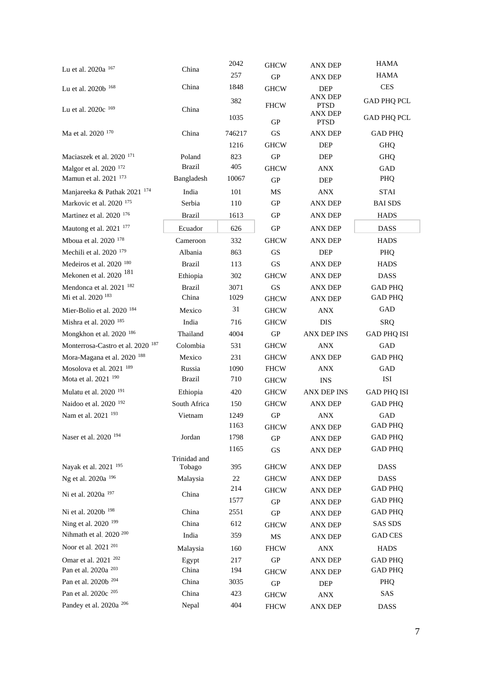| Lu et al. 2020a 167                          | China                  | 2042   | <b>GHCW</b> | <b>ANX DEP</b>         | <b>HAMA</b>        |
|----------------------------------------------|------------------------|--------|-------------|------------------------|--------------------|
|                                              |                        | 257    | ${\rm GP}$  | <b>ANX DEP</b>         | <b>HAMA</b>        |
| Lu et al. 2020b 168                          | China                  | 1848   | <b>GHCW</b> | DEP                    | <b>CES</b>         |
| Lu et al. 2020c 169                          | China                  | 382    | <b>FHCW</b> | ANX DEP<br><b>PTSD</b> | <b>GAD PHQ PCL</b> |
|                                              |                        | 1035   | <b>GP</b>   | ANX DEP<br><b>PTSD</b> | <b>GAD PHQ PCL</b> |
| Ma et al. 2020 170                           | China                  | 746217 | GS          | <b>ANX DEP</b>         | <b>GAD PHQ</b>     |
|                                              |                        | 1216   | <b>GHCW</b> | <b>DEP</b>             | <b>GHO</b>         |
| Maciaszek et al. 2020 <sup>171</sup>         | Poland                 | 823    | <b>GP</b>   | <b>DEP</b>             | <b>GHQ</b>         |
| Malgor et al. 2020 <sup>172</sup>            | <b>Brazil</b>          | 405    | <b>GHCW</b> | <b>ANX</b>             | GAD                |
| Mamun et al. 2021 173                        | Bangladesh             | 10067  | <b>GP</b>   | <b>DEP</b>             | PHQ                |
| Manjareeka & Pathak 2021 174                 | India                  | 101    | MS          | <b>ANX</b>             | <b>STAI</b>        |
| Markovic et al. 2020 <sup>175</sup>          | Serbia                 | 110    | <b>GP</b>   | ANX DEP                | <b>BAI SDS</b>     |
| Martinez et al. 2020 176                     | <b>Brazil</b>          | 1613   | <b>GP</b>   | <b>ANX DEP</b>         | <b>HADS</b>        |
| Mautong et al. 2021 177                      | Ecuador                | 626    | <b>GP</b>   | <b>ANX DEP</b>         | <b>DASS</b>        |
| Mboua et al. 2020 178                        | Cameroon               | 332    | <b>GHCW</b> | <b>ANX DEP</b>         | <b>HADS</b>        |
| Mechili et al. 2020 <sup>179</sup>           | Albania                | 863    | <b>GS</b>   | <b>DEP</b>             | <b>PHO</b>         |
| Medeiros et al. 2020 <sup>180</sup>          | <b>Brazil</b>          | 113    | <b>GS</b>   | <b>ANX DEP</b>         | <b>HADS</b>        |
| Mekonen et al. 2020 <sup>181</sup>           | Ethiopia               | 302    | <b>GHCW</b> | <b>ANX DEP</b>         | <b>DASS</b>        |
| Mendonca et al. 2021 <sup>182</sup>          | <b>Brazil</b>          | 3071   | <b>GS</b>   | <b>ANX DEP</b>         | <b>GAD PHQ</b>     |
| Mi et al. 2020 <sup>183</sup>                | China                  | 1029   | <b>GHCW</b> | <b>ANX DEP</b>         | <b>GAD PHQ</b>     |
| Mier-Bolio et al. 2020 184                   | Mexico                 | 31     | <b>GHCW</b> | <b>ANX</b>             | GAD                |
| Mishra et al. 2020 185                       | India                  | 716    | <b>GHCW</b> | <b>DIS</b>             | <b>SRQ</b>         |
| Mongkhon et al. 2020 <sup>186</sup>          | Thailand               | 4004   | <b>GP</b>   | <b>ANX DEP INS</b>     | <b>GAD PHQ ISI</b> |
| Monterrosa-Castro et al. 2020 <sup>187</sup> | Colombia               | 531    | <b>GHCW</b> | <b>ANX</b>             | GAD                |
| Mora-Magana et al. 2020 <sup>188</sup>       | Mexico                 | 231    | <b>GHCW</b> | <b>ANX DEP</b>         | <b>GAD PHQ</b>     |
| Mosolova et al. 2021 <sup>189</sup>          | Russia                 | 1090   | <b>FHCW</b> | <b>ANX</b>             | GAD                |
| Mota et al. 2021 <sup>190</sup>              | <b>Brazil</b>          | 710    | <b>GHCW</b> | <b>INS</b>             | ISI                |
| Mulatu et al. 2020 <sup>191</sup>            | Ethiopia               | 420    | <b>GHCW</b> | <b>ANX DEP INS</b>     | <b>GAD PHQ ISI</b> |
| Naidoo et al. 2020 <sup>192</sup>            | South Africa           | 150    | <b>GHCW</b> | <b>ANX DEP</b>         | <b>GAD PHQ</b>     |
| Nam et al. 2021 <sup>193</sup>               | Vietnam                | 1249   | <b>GP</b>   | ANX                    | GAD                |
|                                              |                        | 1163   | <b>GHCW</b> | <b>ANX DEP</b>         | <b>GAD PHQ</b>     |
| Naser et al. 2020 <sup>194</sup>             | Jordan                 | 1798   | ${\rm GP}$  | <b>ANX DEP</b>         | <b>GAD PHQ</b>     |
|                                              |                        | 1165   | GS          | <b>ANX DEP</b>         | <b>GAD PHQ</b>     |
| Nayak et al. 2021 <sup>195</sup>             | Trinidad and<br>Tobago | 395    | <b>GHCW</b> | <b>ANX DEP</b>         | <b>DASS</b>        |
| Ng et al. 2020a <sup>196</sup>               | Malaysia               | 22     | <b>GHCW</b> | <b>ANX DEP</b>         | <b>DASS</b>        |
|                                              |                        | 214    | <b>GHCW</b> | <b>ANX DEP</b>         | <b>GAD PHQ</b>     |
| Ni et al. 2020a 197                          | China                  | 1577   | GP          | <b>ANX DEP</b>         | <b>GAD PHQ</b>     |
| Ni et al. 2020b <sup>198</sup>               | China                  | 2551   | <b>GP</b>   | <b>ANX DEP</b>         | <b>GAD PHQ</b>     |
| Ning et al. 2020 <sup>199</sup>              | China                  | 612    | <b>GHCW</b> | <b>ANX DEP</b>         | <b>SAS SDS</b>     |
| Nihmath et al. 2020 <sup>200</sup>           | India                  | 359    | MS          | <b>ANX DEP</b>         | <b>GAD CES</b>     |
| Noor et al. 2021 <sup>201</sup>              | Malaysia               | 160    | <b>FHCW</b> | <b>ANX</b>             | <b>HADS</b>        |
| Omar et al. 2021 <sup>202</sup>              | Egypt                  | 217    | GP          | <b>ANX DEP</b>         | <b>GAD PHQ</b>     |
| Pan et al. 2020a <sup>203</sup>              | China                  | 194    | <b>GHCW</b> | <b>ANX DEP</b>         | <b>GAD PHQ</b>     |
| Pan et al. 2020b <sup>204</sup>              | China                  | 3035   | <b>GP</b>   | DEP                    | PHQ                |
| Pan et al. 2020c <sup>205</sup>              | China                  | 423    | <b>GHCW</b> | <b>ANX</b>             | SAS                |
| Pandey et al. 2020a <sup>206</sup>           | Nepal                  | 404    | <b>FHCW</b> | ANX DEP                | <b>DASS</b>        |
|                                              |                        |        |             |                        |                    |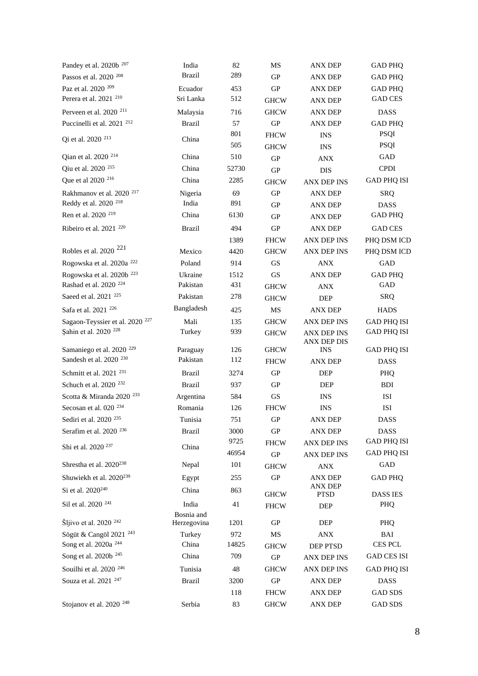| Pandey et al. 2020b <sup>207</sup>                                         | India                     | 82           | MS                  | <b>ANX DEP</b>                   | <b>GAD PHQ</b>                    |
|----------------------------------------------------------------------------|---------------------------|--------------|---------------------|----------------------------------|-----------------------------------|
| Passos et al. 2020 <sup>208</sup>                                          | <b>Brazil</b>             | 289          | GP                  | <b>ANX DEP</b>                   | <b>GAD PHQ</b>                    |
| Paz et al. 2020 <sup>209</sup>                                             | Ecuador                   | 453          | ${\rm GP}$          | <b>ANX DEP</b>                   | <b>GAD PHQ</b>                    |
| Perera et al. 2021 <sup>210</sup>                                          | Sri Lanka                 | 512          | <b>GHCW</b>         | <b>ANX DEP</b>                   | <b>GAD CES</b>                    |
| Perveen et al. 2020 <sup>211</sup>                                         | Malaysia                  | 716          | <b>GHCW</b>         | <b>ANX DEP</b>                   | <b>DASS</b>                       |
| Puccinelli et al. 2021 <sup>212</sup>                                      | <b>Brazil</b>             | 57           | GP                  | <b>ANX DEP</b>                   | <b>GAD PHQ</b>                    |
| Qi et al. 2020 <sup>213</sup>                                              | China                     | 801          | <b>FHCW</b>         | <b>INS</b>                       | PSQI                              |
|                                                                            |                           | 505          | <b>GHCW</b>         | <b>INS</b>                       | PSQI                              |
| Qian et al. 2020 <sup>214</sup>                                            | China                     | 510          | GP                  | <b>ANX</b>                       | GAD                               |
| Qiu et al. 2020 <sup>215</sup>                                             | China                     | 52730        | GP                  | <b>DIS</b>                       | <b>CPDI</b>                       |
| Que et al 2020 <sup>216</sup>                                              | China                     | 2285         | <b>GHCW</b>         | <b>ANX DEP INS</b>               | <b>GAD PHQ ISI</b>                |
| Rakhmanov et al. 2020 <sup>217</sup>                                       | Nigeria                   | 69           | <b>GP</b>           | <b>ANX DEP</b>                   | <b>SRQ</b>                        |
| Reddy et al. 2020 <sup>218</sup>                                           | India                     | 891          | <b>GP</b>           | <b>ANX DEP</b>                   | <b>DASS</b>                       |
| Ren et al. 2020 <sup>219</sup>                                             | China                     | 6130         | GP                  | <b>ANX DEP</b>                   | <b>GAD PHQ</b>                    |
| Ribeiro et al. 2021 <sup>220</sup>                                         | <b>Brazil</b>             | 494          | GP                  | <b>ANX DEP</b>                   | <b>GAD CES</b>                    |
|                                                                            |                           | 1389         | <b>FHCW</b>         | <b>ANX DEP INS</b>               | PHQ DSM ICD                       |
| Robles et al. 2020 <sup>221</sup>                                          | Mexico                    | 4420         | <b>GHCW</b>         | ANX DEP INS                      | PHQ DSM ICD                       |
| Rogowska et al. 2020a <sup>222</sup>                                       | Poland                    | 914          | <b>GS</b>           | <b>ANX</b>                       | GAD                               |
| Rogowska et al. 2020b <sup>223</sup>                                       | Ukraine                   | 1512         | GS                  | <b>ANX DEP</b>                   | <b>GAD PHQ</b>                    |
| Rashad et al. 2020 <sup>224</sup>                                          | Pakistan                  | 431          | <b>GHCW</b>         | <b>ANX</b>                       | <b>GAD</b>                        |
| Saeed et al. 2021 <sup>225</sup>                                           | Pakistan                  | 278          | <b>GHCW</b>         | DEP                              | <b>SRQ</b>                        |
| Safa et al. 2021 <sup>226</sup>                                            | Bangladesh                | 425          | MS                  | <b>ANX DEP</b>                   | <b>HADS</b>                       |
| Sagaon-Teyssier et al. 2020 <sup>227</sup>                                 | Mali                      | 135          | <b>GHCW</b>         | <b>ANX DEP INS</b>               | <b>GAD PHQ ISI</b>                |
| Sahin et al. 2020 <sup>228</sup>                                           | Turkey                    | 939          | <b>GHCW</b>         | ANX DEP INS                      | GAD PHQ ISI                       |
|                                                                            |                           |              |                     | <b>ANX DEP DIS</b>               |                                   |
| Samaniego et al. 2020 <sup>229</sup><br>Sandesh et al. 2020 <sup>230</sup> | Paraguay<br>Pakistan      | 126<br>112   | <b>GHCW</b>         | <b>INS</b>                       | <b>GAD PHQ ISI</b>                |
|                                                                            |                           |              | <b>FHCW</b>         | <b>ANX DEP</b>                   | <b>DASS</b>                       |
| Schmitt et al. 2021 <sup>231</sup>                                         | Brazil                    | 3274         | GP                  | <b>DEP</b>                       | <b>PHO</b>                        |
| Schuch et al. 2020 <sup>232</sup>                                          | <b>Brazil</b>             | 937          | <b>GP</b>           | DEP                              | <b>BDI</b>                        |
| Scotta & Miranda 2020 <sup>233</sup>                                       | Argentina                 | 584          | $\operatorname{GS}$ | <b>INS</b>                       | ISI                               |
| Secosan et al. 020 <sup>234</sup>                                          | Romania                   | 126          | <b>FHCW</b>         | <b>INS</b>                       | ISI                               |
| Sediri et al. 2020 <sup>235</sup>                                          | Tunisia                   | 751          | <b>GP</b>           | <b>ANX DEP</b>                   | <b>DASS</b>                       |
| Serafim et al. 2020 <sup>236</sup>                                         | <b>Brazil</b>             | 3000<br>9725 | <b>GP</b>           | <b>ANX DEP</b>                   | <b>DASS</b><br><b>GAD PHQ ISI</b> |
| Shi et al. 2020 <sup>237</sup>                                             | China                     | 46954        | <b>FHCW</b>         | <b>ANX DEP INS</b>               |                                   |
| Shrestha et al. 2020 <sup>238</sup>                                        |                           | 101          | ${\rm GP}$          | <b>ANX DEP INS</b>               | <b>GAD PHQ ISI</b><br>GAD         |
|                                                                            | Nepal                     |              | <b>GHCW</b>         | <b>ANX</b>                       |                                   |
| Shuwiekh et al. 2020 <sup>239</sup>                                        | Egypt                     | 255          | ${\rm GP}$          | <b>ANX DEP</b><br><b>ANX DEP</b> | <b>GAD PHQ</b>                    |
| Si et al. 2020 <sup>240</sup>                                              | China                     | 863          | <b>GHCW</b>         | <b>PTSD</b>                      | <b>DASS IES</b>                   |
| Sil et al. 2020 <sup>241</sup>                                             | India                     | 41           | <b>FHCW</b>         | DEP                              | PHQ                               |
| Šljivo et al. 2020 <sup>242</sup>                                          | Bosnia and<br>Herzegovina | 1201         | <b>GP</b>           | <b>DEP</b>                       | PHO                               |
| Sögüt & Cangöl 2021 <sup>243</sup>                                         | Turkey                    | 972          | MS                  | <b>ANX</b>                       | BAI                               |
| Song et al. 2020a <sup>244</sup>                                           | China                     | 14825        | <b>GHCW</b>         | DEP PTSD                         | <b>CES PCL</b>                    |
| Song et al. 2020b <sup>245</sup>                                           | China                     | 709          | <b>GP</b>           | ANX DEP INS                      | <b>GAD CES ISI</b>                |
| Souilhi et al. 2020 <sup>246</sup>                                         | Tunisia                   | 48           | <b>GHCW</b>         | ANX DEP INS                      |                                   |
| Souza et al. 2021 <sup>247</sup>                                           | <b>Brazil</b>             | 3200         | ${\rm GP}$          | <b>ANX DEP</b>                   | <b>GAD PHQ ISI</b><br><b>DASS</b> |
|                                                                            |                           | 118          | <b>FHCW</b>         | <b>ANX DEP</b>                   | <b>GAD SDS</b>                    |
| Stojanov et al. 2020 <sup>248</sup>                                        |                           |              |                     |                                  |                                   |
|                                                                            | Serbia                    | 83           | <b>GHCW</b>         | ANX DEP                          | <b>GAD SDS</b>                    |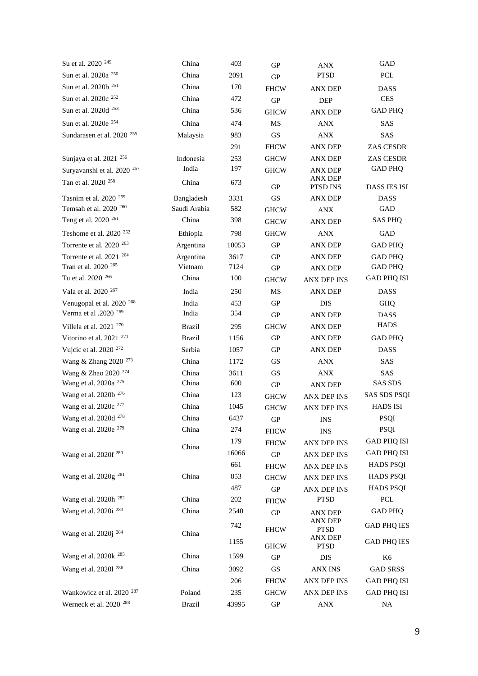| Su et al. 2020 <sup>249</sup>          | China         | 403   | GP           | <b>ANX</b>                    | GAD                       |
|----------------------------------------|---------------|-------|--------------|-------------------------------|---------------------------|
| Sun et al. 2020a <sup>250</sup>        | China         | 2091  | GP           | <b>PTSD</b>                   | PCL                       |
| Sun et al. 2020b <sup>251</sup>        | China         | 170   | <b>FHCW</b>  | <b>ANX DEP</b>                | <b>DASS</b>               |
| Sun et al. 2020c <sup>252</sup>        | China         | 472   | <b>GP</b>    | <b>DEP</b>                    | <b>CES</b>                |
| Sun et al. 2020d <sup>253</sup>        | China         | 536   | <b>GHCW</b>  | <b>ANX DEP</b>                | <b>GAD PHQ</b>            |
| Sun et al. 2020e <sup>254</sup>        | China         | 474   | MS           | <b>ANX</b>                    | SAS                       |
| Sundarasen et al. 2020 <sup>255</sup>  | Malaysia      | 983   | <b>GS</b>    | ANX                           | SAS                       |
|                                        |               | 291   | <b>FHCW</b>  | <b>ANX DEP</b>                | ZAS CESDR                 |
| Sunjaya et al. 2021 <sup>256</sup>     | Indonesia     | 253   | <b>GHCW</b>  | <b>ANX DEP</b>                | ZAS CESDR                 |
| Suryavanshi et al. 2020 <sup>257</sup> | India         | 197   | <b>GHCW</b>  | ANX DEP                       | <b>GAD PHQ</b>            |
| Tan et al. 2020 <sup>258</sup>         | China         | 673   | GP           | <b>ANX DEP</b><br>PTSD INS    | <b>DASS IES ISI</b>       |
| Tasnim et al. 2020 <sup>259</sup>      | Bangladesh    | 3331  | GS           | <b>ANX DEP</b>                | <b>DASS</b>               |
| Temsah et al. 2020 <sup>260</sup>      | Saudi Arabia  | 582   | <b>GHCW</b>  | <b>ANX</b>                    | GAD                       |
| Teng et al. 2020 <sup>261</sup>        | China         | 398   | <b>GHCW</b>  | <b>ANX DEP</b>                | <b>SAS PHQ</b>            |
| Teshome et al. 2020 <sup>262</sup>     | Ethiopia      | 798   | <b>GHCW</b>  | <b>ANX</b>                    | GAD                       |
| Torrente et al. 2020 <sup>263</sup>    | Argentina     | 10053 | <b>GP</b>    | ANX DEP                       | <b>GAD PHQ</b>            |
| Torrente et al. 2021 <sup>264</sup>    | Argentina     | 3617  | <b>GP</b>    | <b>ANX DEP</b>                | <b>GAD PHQ</b>            |
| Tran et al. 2020 <sup>265</sup>        | Vietnam       | 7124  | GP           | <b>ANX DEP</b>                | <b>GAD PHQ</b>            |
| Tu et al. 2020 <sup>266</sup>          | China         | 100   | <b>GHCW</b>  | <b>ANX DEP INS</b>            | <b>GAD PHQ ISI</b>        |
| Vala et al. 2020 <sup>267</sup>        | India         | 250   | MS           | <b>ANX DEP</b>                | <b>DASS</b>               |
| Venugopal et al. 2020 <sup>268</sup>   | India         | 453   | GP           | <b>DIS</b>                    | <b>GHQ</b>                |
| Verma et al .2020 <sup>269</sup>       | India         | 354   | <b>GP</b>    | ANX DEP                       | <b>DASS</b>               |
| Villela et al. 2021 <sup>270</sup>     | <b>Brazil</b> | 295   | <b>GHCW</b>  | <b>ANX DEP</b>                | <b>HADS</b>               |
| Vitorino et al. 2021 <sup>271</sup>    | <b>Brazil</b> | 1156  | <b>GP</b>    | ANX DEP                       | <b>GAD PHQ</b>            |
| Vujcic et al. 2020 <sup>272</sup>      | Serbia        | 1057  | GP           | <b>ANX DEP</b>                | <b>DASS</b>               |
| Wang & Zhang 2020 <sup>273</sup>       | China         | 1172  | <b>GS</b>    | <b>ANX</b>                    | SAS                       |
| Wang & Zhao 2020 <sup>274</sup>        | China         | 3611  | GS           | <b>ANX</b>                    | SAS                       |
| Wang et al. 2020a <sup>275</sup>       | China         | 600   | GP           | <b>ANX DEP</b>                | <b>SAS SDS</b>            |
| Wang et al. 2020b <sup>276</sup>       | China         | 123   | <b>GHCW</b>  | <b>ANX DEP INS</b>            | <b>SAS SDS PSQI</b>       |
| Wang et al. 2020c <sup>277</sup>       | China         | 1045  | <b>GHCW</b>  | ANX DEP INS                   | <b>HADS ISI</b>           |
| Wang et al. 2020d <sup>278</sup>       | China         | 6437  | ${\rm GP}$   | <b>INS</b>                    | PSQI                      |
| Wang et al. 2020e <sup>279</sup>       | China         | 274   | ${\rm FHCW}$ | <b>INS</b>                    | <b>PSQI</b>               |
|                                        | China         | 179   | <b>FHCW</b>  | ANX DEP INS                   | <b>GAD PHQ ISI</b>        |
| Wang et al. 2020f <sup>280</sup>       |               | 16066 | GP           | <b>ANX DEP INS</b>            | <b>GAD PHQ ISI</b>        |
|                                        |               | 661   | <b>FHCW</b>  | <b>ANX DEP INS</b>            | <b>HADS PSQI</b>          |
| Wang et al. 2020g <sup>281</sup>       | China         | 853   | <b>GHCW</b>  | <b>ANX DEP INS</b>            | <b>HADS PSQI</b>          |
|                                        |               | 487   | ${\bf GP}$   | <b>ANX DEP INS</b>            | <b>HADS PSQI</b>          |
| Wang et al. 2020h <sup>282</sup>       | China         | 202   | <b>FHCW</b>  | <b>PTSD</b>                   | $\ensuremath{\text{PCL}}$ |
| Wang et al. 2020i <sup>283</sup>       | China         | 2540  | GP           | <b>ANX DEP</b>                | <b>GAD PHQ</b>            |
| Wang et al. 2020j <sup>284</sup>       | China         | 742   | <b>FHCW</b>  | <b>ANX DEP</b><br><b>PTSD</b> | <b>GAD PHQ IES</b>        |
|                                        |               | 1155  | <b>GHCW</b>  | <b>ANX DEP</b><br><b>PTSD</b> | <b>GAD PHQ IES</b>        |
| Wang et al. 2020k <sup>285</sup>       | China         | 1599  | GP           | DIS                           | K <sub>6</sub>            |
| Wang et al. 20201 <sup>286</sup>       | China         | 3092  | GS           | <b>ANX INS</b>                | <b>GAD SRSS</b>           |
|                                        |               | 206   | <b>FHCW</b>  | ANX DEP INS                   | <b>GAD PHQ ISI</b>        |
| Wankowicz et al. 2020 <sup>287</sup>   | Poland        | 235   | <b>GHCW</b>  | <b>ANX DEP INS</b>            | <b>GAD PHQ ISI</b>        |
| Werneck et al. 2020 <sup>288</sup>     | <b>Brazil</b> | 43995 | GP           | <b>ANX</b>                    | NA                        |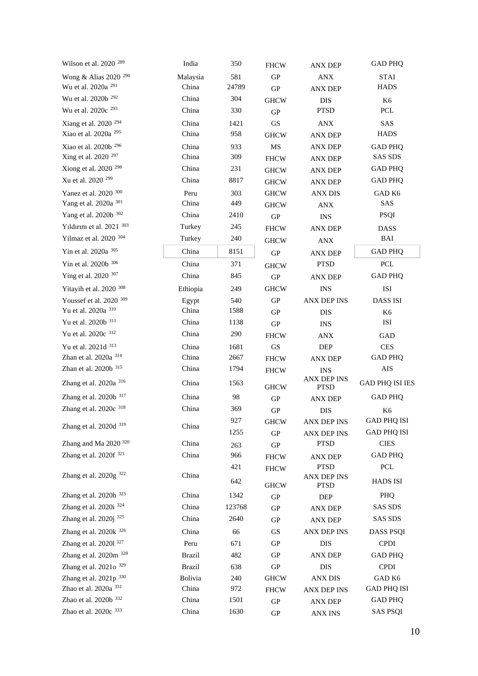| Wilson et al. $2020$ <sup>289</sup> | India         | 350    | <b>FHCW</b>         | <b>ANX DEP</b>             | <b>GAD PHQ</b>            |
|-------------------------------------|---------------|--------|---------------------|----------------------------|---------------------------|
| Wong & Alias 2020 <sup>290</sup>    | Malaysia      | 581    | ${\bf GP}$          | <b>ANX</b>                 | <b>STAI</b>               |
| Wu et al. 2020a <sup>291</sup>      | China         | 24789  | ${\rm GP}$          | <b>ANX DEP</b>             | <b>HADS</b>               |
| Wu et al. 2020b <sup>292</sup>      | China         | 304    | <b>GHCW</b>         | DIS                        | K6                        |
| Wu et al. 2020c <sup>293</sup>      | China         | 330    | ${\rm GP}$          | <b>PTSD</b>                | PCL                       |
| Xiang et al. 2020 <sup>294</sup>    | China         | 1421   | $\operatorname{GS}$ | <b>ANX</b>                 | SAS                       |
| Xiao et al. 2020a <sup>295</sup>    | China         | 958    | <b>GHCW</b>         | <b>ANX DEP</b>             | <b>HADS</b>               |
| Xiao et al. 2020b <sup>296</sup>    | China         | 933    | $\rm MS$            | <b>ANX DEP</b>             | <b>GAD PHQ</b>            |
| Xing et al. 2020 <sup>297</sup>     | China         | 309    | <b>FHCW</b>         | <b>ANX DEP</b>             | <b>SAS SDS</b>            |
| Xiong et al. 2020 <sup>298</sup>    | China         | 231    | <b>GHCW</b>         | <b>ANX DEP</b>             | <b>GAD PHQ</b>            |
| Xu et al. 2020 <sup>299</sup>       | China         | 8817   | <b>GHCW</b>         | <b>ANX DEP</b>             | <b>GAD PHQ</b>            |
| Yanez et al. 2020 300               | Peru          | 303    | <b>GHCW</b>         | <b>ANX DIS</b>             | GAD K6                    |
| Yang et al. 2020a 301               | China         | 449    | <b>GHCW</b>         | <b>ANX</b>                 | SAS                       |
| Yang et al. 2020b 302               | China         | 2410   | ${\bf GP}$          | <b>INS</b>                 | <b>PSQI</b>               |
| Yıldırım et al. 2021 303            | Turkey        | 245    | <b>FHCW</b>         | <b>ANX DEP</b>             | <b>DASS</b>               |
| Yilmaz et al. 2020 304              | Turkey        | 240    | <b>GHCW</b>         | ANX                        | BAI                       |
| Yin et al. 2020a 305                | China         | 8151   | ${\rm GP}$          | <b>ANX DEP</b>             | <b>GAD PHQ</b>            |
| Yin et al. 2020b 306                | China         | 371    | <b>GHCW</b>         | <b>PTSD</b>                | $\ensuremath{\text{PCL}}$ |
| Ying et al. 2020 307                | China         | 845    | ${\rm GP}$          | <b>ANX DEP</b>             | <b>GAD PHQ</b>            |
| Yitayih et al. 2020 308             | Ethiopia      | 249    | <b>GHCW</b>         | <b>INS</b>                 | ISI                       |
| Youssef et al. 2020 309             | Egypt         | 540    | ${\rm GP}$          | ANX DEP INS                | <b>DASS ISI</b>           |
| Yu et al. 2020a 310                 | China         | 1588   | GP                  | <b>DIS</b>                 | K <sub>6</sub>            |
| Yu et al. 2020b 311                 | China         | 1138   | ${\rm GP}$          | <b>INS</b>                 | ISI                       |
| Yu et al. 2020c 312                 | China         | 290    | <b>FHCW</b>         | <b>ANX</b>                 | GAD                       |
| Yu et al. 2021d 313                 | China         | 1681   | $\operatorname{GS}$ | DEF                        | $\mbox{CES}$              |
| Zhan et al. 2020a 314               | China         | 2667   | <b>FHCW</b>         | <b>ANX DEP</b>             | <b>GAD PHQ</b>            |
| Zhan et al. 2020b 315               | China         | 1794   | <b>FHCW</b>         | <b>INS</b>                 | AIS                       |
| Zhang et al. 2020a 316              | China         | 1563   | <b>GHCW</b>         | ANX DEP INS<br><b>PTSD</b> | <b>GAD PHQ ISI IES</b>    |
| Zhang et al. 2020b 317              | China         | 98     | ${\rm GP}$          | <b>ANX DEP</b>             | <b>GAD PHQ</b>            |
| Zhang et al. 2020c 318              | China         | 369    | ${\rm GP}$          | DIS                        | K6                        |
| Zhang et al. 2020d 319              | China         | 927    | <b>GHCW</b>         | ANX DEP INS                | <b>GAD PHQ ISI</b>        |
|                                     |               | 1255   | ${\bf GP}$          | <b>ANX DEP INS</b>         | <b>GAD PHQ ISI</b>        |
| Zhang and Ma 2020 <sup>320</sup>    | China         | 263    | ${\rm GP}$          | <b>PTSD</b>                | <b>CIES</b>               |
| Zhang et al. 2020f 321              | China         | 966    | <b>FHCW</b>         | <b>ANX DEP</b>             | <b>GAD PHQ</b>            |
|                                     |               | 421    | <b>FHCW</b>         | <b>PTSD</b>                | $\ensuremath{\text{PCL}}$ |
| Zhang et al. $2020g$ <sup>322</sup> | China         | 642    | <b>GHCW</b>         | ANX DEP INS<br><b>PTSD</b> | <b>HADS ISI</b>           |
| Zhang et al. 2020h 323              | China         | 1342   | ${\rm GP}$          | DEP                        | PHQ                       |
| Zhang et al. 2020i <sup>324</sup>   | China         | 123768 | ${\rm GP}$          | <b>ANX DEP</b>             | <b>SAS SDS</b>            |
| Zhang et al. 2020j 325              | China         | 2640   | ${\bf GP}$          | <b>ANX DEP</b>             | <b>SAS SDS</b>            |
| Zhang et al. 2020k 326              | China         | 66     | GS                  | ANX DEP INS                | <b>DASS PSQI</b>          |
| Zhang et al. 20201 <sup>327</sup>   | Peru          | 671    | GP                  | <b>DIS</b>                 | <b>CPDI</b>               |
| Zhang et al. 2020m <sup>328</sup>   | <b>Brazil</b> | 482    | GP                  | <b>ANX DEP</b>             | <b>GAD PHQ</b>            |
| Zhang et al. 2021o 329              | <b>Brazil</b> | 638    | ${\rm GP}$          | DIS                        | <b>CPDI</b>               |
| Zhang et al. 2021p 330              | Bolivia       | 240    | <b>GHCW</b>         | <b>ANX DIS</b>             | GAD K6                    |
| Zhao et al. 2020a <sup>331</sup>    | China         | 972    | <b>FHCW</b>         | ANX DEP INS                | <b>GAD PHQ ISI</b>        |
| Zhao et al. 2020b 332               | China         | 1501   | $\mbox{G}\mbox{P}$  | <b>ANX DEP</b>             | <b>GAD PHQ</b>            |
| Zhao et al. 2020c 333               | China         | 1630   | GP                  | <b>ANX INS</b>             | <b>SAS PSQI</b>           |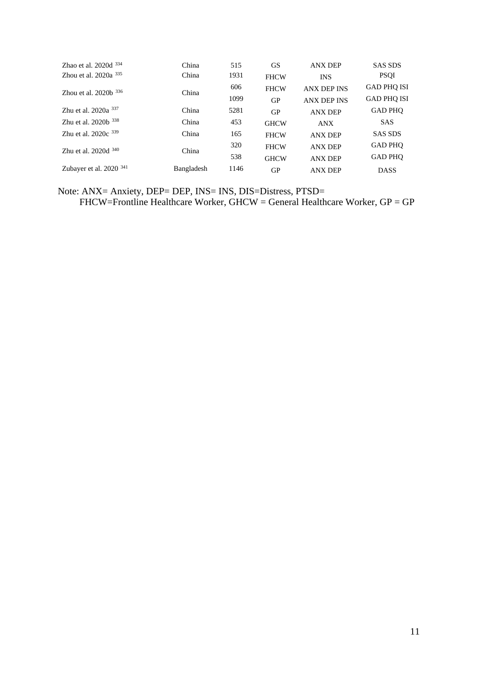| Zhao et al. $2020d$ <sup>334</sup> | China      | 515  | <b>GS</b>   | <b>ANX DEP</b>     | <b>SAS SDS</b>     |
|------------------------------------|------------|------|-------------|--------------------|--------------------|
| Zhou et al. $2020a$ $335$          | China      | 1931 | <b>FHCW</b> | <b>INS</b>         | <b>PSQI</b>        |
| Zhou et al. $2020b$ 336            | China      | 606  | <b>FHCW</b> | <b>ANX DEP INS</b> | <b>GAD PHQ ISI</b> |
|                                    |            | 1099 | GP          | <b>ANX DEP INS</b> | <b>GAD PHO ISI</b> |
| Zhu et al. $2020a^{337}$           | China      | 5281 | GP          | <b>ANX DEP</b>     | <b>GAD PHO</b>     |
| Zhu et al. $2020b$ 338             | China      | 453  | <b>GHCW</b> | <b>ANX</b>         | <b>SAS</b>         |
| Zhu et al. $2020c$ <sup>339</sup>  | China      | 165  | <b>FHCW</b> | <b>ANX DEP</b>     | <b>SAS SDS</b>     |
| Zhu et al. $2020d$ $340$           | China      | 320  | <b>FHCW</b> | <b>ANX DEP</b>     | <b>GAD PHQ</b>     |
|                                    |            | 538  | <b>GHCW</b> | <b>ANX DEP</b>     | <b>GAD PHO</b>     |
| Zubayer et al. 2020 341            | Bangladesh | 1146 | GP          | <b>ANX DEP</b>     | <b>DASS</b>        |

Note: ANX= Anxiety, DEP= DEP, INS= INS, DIS=Distress, PTSD= FHCW=Frontline Healthcare Worker, GHCW = General Healthcare Worker, GP = GP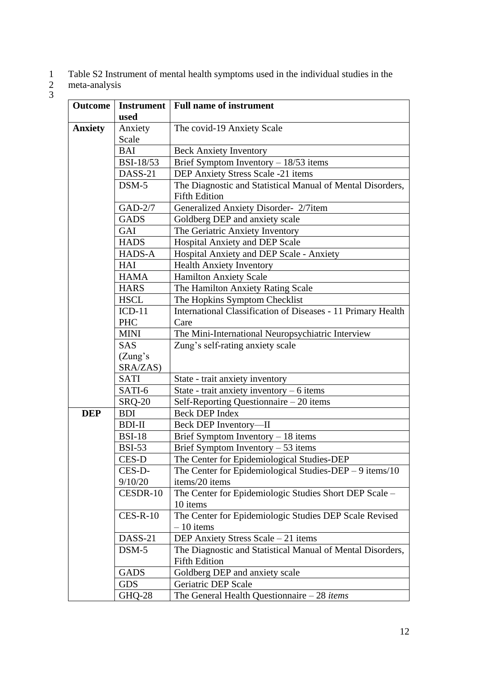- 1 Table S2 Instrument of mental health symptoms used in the individual studies in the  $\begin{pmatrix} 1 \\ 2 \\ 3 \end{pmatrix}$
- 2 meta-analysis

|            | Instrument   Full name of instrument                                                                                                                                                                                                                                                                                                                                                                                                                                |
|------------|---------------------------------------------------------------------------------------------------------------------------------------------------------------------------------------------------------------------------------------------------------------------------------------------------------------------------------------------------------------------------------------------------------------------------------------------------------------------|
|            | The covid-19 Anxiety Scale                                                                                                                                                                                                                                                                                                                                                                                                                                          |
|            |                                                                                                                                                                                                                                                                                                                                                                                                                                                                     |
| <b>BAI</b> | <b>Beck Anxiety Inventory</b>                                                                                                                                                                                                                                                                                                                                                                                                                                       |
|            | Brief Symptom Inventory $-18/53$ items                                                                                                                                                                                                                                                                                                                                                                                                                              |
|            | DEP Anxiety Stress Scale -21 items                                                                                                                                                                                                                                                                                                                                                                                                                                  |
| $DSM-5$    | The Diagnostic and Statistical Manual of Mental Disorders,<br><b>Fifth Edition</b>                                                                                                                                                                                                                                                                                                                                                                                  |
|            | Generalized Anxiety Disorder- 2/7item                                                                                                                                                                                                                                                                                                                                                                                                                               |
|            | Goldberg DEP and anxiety scale                                                                                                                                                                                                                                                                                                                                                                                                                                      |
|            | The Geriatric Anxiety Inventory                                                                                                                                                                                                                                                                                                                                                                                                                                     |
|            | Hospital Anxiety and DEP Scale                                                                                                                                                                                                                                                                                                                                                                                                                                      |
|            | Hospital Anxiety and DEP Scale - Anxiety                                                                                                                                                                                                                                                                                                                                                                                                                            |
|            | <b>Health Anxiety Inventory</b>                                                                                                                                                                                                                                                                                                                                                                                                                                     |
|            | <b>Hamilton Anxiety Scale</b>                                                                                                                                                                                                                                                                                                                                                                                                                                       |
|            | The Hamilton Anxiety Rating Scale                                                                                                                                                                                                                                                                                                                                                                                                                                   |
|            | The Hopkins Symptom Checklist                                                                                                                                                                                                                                                                                                                                                                                                                                       |
|            | International Classification of Diseases - 11 Primary Health                                                                                                                                                                                                                                                                                                                                                                                                        |
|            | Care                                                                                                                                                                                                                                                                                                                                                                                                                                                                |
|            | The Mini-International Neuropsychiatric Interview                                                                                                                                                                                                                                                                                                                                                                                                                   |
|            | Zung's self-rating anxiety scale                                                                                                                                                                                                                                                                                                                                                                                                                                    |
|            |                                                                                                                                                                                                                                                                                                                                                                                                                                                                     |
|            |                                                                                                                                                                                                                                                                                                                                                                                                                                                                     |
|            | State - trait anxiety inventory                                                                                                                                                                                                                                                                                                                                                                                                                                     |
|            | State - trait anxiety inventory $-6$ items                                                                                                                                                                                                                                                                                                                                                                                                                          |
|            | Self-Reporting Questionnaire - 20 items                                                                                                                                                                                                                                                                                                                                                                                                                             |
|            | <b>Beck DEP Index</b>                                                                                                                                                                                                                                                                                                                                                                                                                                               |
|            | Beck DEP Inventory-II                                                                                                                                                                                                                                                                                                                                                                                                                                               |
|            | Brief Symptom Inventory $-18$ items                                                                                                                                                                                                                                                                                                                                                                                                                                 |
|            | Brief Symptom Inventory $-53$ items                                                                                                                                                                                                                                                                                                                                                                                                                                 |
|            | The Center for Epidemiological Studies-DEP                                                                                                                                                                                                                                                                                                                                                                                                                          |
|            | The Center for Epidemiological Studies-DEP $-9$ items/10                                                                                                                                                                                                                                                                                                                                                                                                            |
|            | items/20 items                                                                                                                                                                                                                                                                                                                                                                                                                                                      |
|            | The Center for Epidemiologic Studies Short DEP Scale -                                                                                                                                                                                                                                                                                                                                                                                                              |
|            | 10 items                                                                                                                                                                                                                                                                                                                                                                                                                                                            |
| $CES-R-10$ | The Center for Epidemiologic Studies DEP Scale Revised<br>$-10$ items                                                                                                                                                                                                                                                                                                                                                                                               |
|            | DEP Anxiety Stress Scale - 21 items                                                                                                                                                                                                                                                                                                                                                                                                                                 |
|            | The Diagnostic and Statistical Manual of Mental Disorders,                                                                                                                                                                                                                                                                                                                                                                                                          |
|            | <b>Fifth Edition</b>                                                                                                                                                                                                                                                                                                                                                                                                                                                |
|            | Goldberg DEP and anxiety scale                                                                                                                                                                                                                                                                                                                                                                                                                                      |
|            | Geriatric DEP Scale                                                                                                                                                                                                                                                                                                                                                                                                                                                 |
|            | The General Health Questionnaire $-28$ <i>items</i>                                                                                                                                                                                                                                                                                                                                                                                                                 |
|            | used<br>Anxiety<br>Scale<br><b>BSI-18/53</b><br>DASS-21<br>GAD-2/7<br><b>GADS</b><br><b>GAI</b><br><b>HADS</b><br>HADS-A<br>HAI<br><b>HAMA</b><br><b>HARS</b><br><b>HSCL</b><br>$ICD-11$<br><b>PHC</b><br><b>MINI</b><br><b>SAS</b><br>(Zung's)<br>SRA/ZAS)<br><b>SATI</b><br>SATI-6<br><b>SRQ-20</b><br><b>BDI</b><br><b>BDI-II</b><br><b>BSI-18</b><br><b>BSI-53</b><br>CES-D<br>CES-D-<br>9/10/20<br>CESDR-10<br>DASS-21<br>$DSM-5$<br><b>GADS</b><br><b>GDS</b> |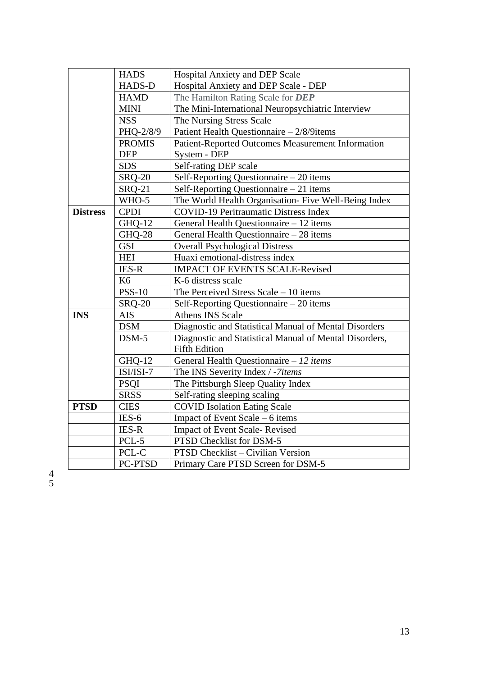|                 | <b>HADS</b>   | Hospital Anxiety and DEP Scale                         |
|-----------------|---------------|--------------------------------------------------------|
|                 | <b>HADS-D</b> | Hospital Anxiety and DEP Scale - DEP                   |
|                 | <b>HAMD</b>   | The Hamilton Rating Scale for DEP                      |
|                 | <b>MINI</b>   | The Mini-International Neuropsychiatric Interview      |
|                 | <b>NSS</b>    | The Nursing Stress Scale                               |
|                 | PHQ-2/8/9     | Patient Health Questionnaire - 2/8/9items              |
|                 | <b>PROMIS</b> | Patient-Reported Outcomes Measurement Information      |
|                 | <b>DEP</b>    | System - DEP                                           |
|                 | <b>SDS</b>    | Self-rating DEP scale                                  |
|                 | <b>SRQ-20</b> | Self-Reporting Questionnaire $-20$ items               |
|                 | <b>SRQ-21</b> | Self-Reporting Questionnaire – 21 items                |
|                 | WHO-5         | The World Health Organisation- Five Well-Being Index   |
| <b>Distress</b> | <b>CPDI</b>   | <b>COVID-19 Peritraumatic Distress Index</b>           |
|                 | GHQ-12        | General Health Questionnaire - 12 items                |
|                 | <b>GHQ-28</b> | General Health Questionnaire - 28 items                |
|                 | <b>GSI</b>    | <b>Overall Psychological Distress</b>                  |
|                 | <b>HEI</b>    | Huaxi emotional-distress index                         |
|                 | <b>IES-R</b>  | <b>IMPACT OF EVENTS SCALE-Revised</b>                  |
|                 | K6            | K-6 distress scale                                     |
|                 | <b>PSS-10</b> | The Perceived Stress Scale $-10$ items                 |
|                 | <b>SRQ-20</b> | Self-Reporting Questionnaire – 20 items                |
| <b>INS</b>      | <b>AIS</b>    | <b>Athens INS Scale</b>                                |
|                 | <b>DSM</b>    | Diagnostic and Statistical Manual of Mental Disorders  |
|                 | $DSM-5$       | Diagnostic and Statistical Manual of Mental Disorders, |
|                 |               | <b>Fifth Edition</b>                                   |
|                 | GHQ-12        | General Health Questionnaire - 12 items                |
|                 | ISI/ISI-7     | The INS Severity Index / -7items                       |
|                 | <b>PSQI</b>   | The Pittsburgh Sleep Quality Index                     |
|                 | <b>SRSS</b>   | Self-rating sleeping scaling                           |
| <b>PTSD</b>     | <b>CIES</b>   | <b>COVID Isolation Eating Scale</b>                    |
|                 | $IES-6$       | Impact of Event Scale $-6$ items                       |
|                 | <b>IES-R</b>  | <b>Impact of Event Scale-Revised</b>                   |
|                 | PCL-5         | PTSD Checklist for DSM-5                               |
|                 | PCL-C         | PTSD Checklist - Civilian Version                      |
|                 | PC-PTSD       | Primary Care PTSD Screen for DSM-5                     |

4 5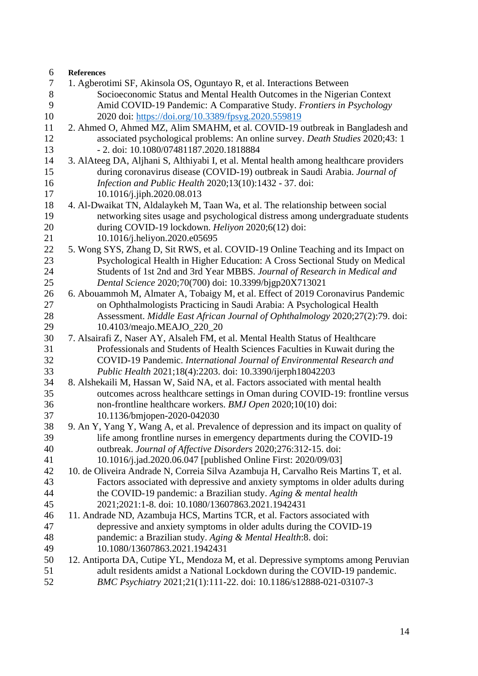| 6      | <b>References</b>                                                                      |
|--------|----------------------------------------------------------------------------------------|
| $\tau$ | 1. Agberotimi SF, Akinsola OS, Oguntayo R, et al. Interactions Between                 |
| $8\,$  | Socioeconomic Status and Mental Health Outcomes in the Nigerian Context                |
| 9      | Amid COVID-19 Pandemic: A Comparative Study. Frontiers in Psychology                   |
| 10     | 2020 doi: https://doi.org/10.3389/fpsyg.2020.559819                                    |
| 11     | 2. Ahmed O, Ahmed MZ, Alim SMAHM, et al. COVID-19 outbreak in Bangladesh and           |
| 12     | associated psychological problems: An online survey. Death Studies 2020;43: 1          |
| 13     | - 2. doi: 10.1080/07481187.2020.1818884                                                |
| 14     | 3. AlAteeg DA, Aljhani S, Althiyabi I, et al. Mental health among healthcare providers |
| 15     | during coronavirus disease (COVID-19) outbreak in Saudi Arabia. Journal of             |
| 16     | Infection and Public Health 2020;13(10):1432 - 37. doi:                                |
| 17     | 10.1016/j.jiph.2020.08.013                                                             |
| 18     | 4. Al-Dwaikat TN, Aldalaykeh M, Taan Wa, et al. The relationship between social        |
| 19     | networking sites usage and psychological distress among undergraduate students         |
| 20     | during COVID-19 lockdown. Heliyon 2020;6(12) doi:                                      |
| 21     | 10.1016/j.heliyon.2020.e05695                                                          |
| 22     | 5. Wong SYS, Zhang D, Sit RWS, et al. COVID-19 Online Teaching and its Impact on       |
| 23     | Psychological Health in Higher Education: A Cross Sectional Study on Medical           |
| 24     | Students of 1st 2nd and 3rd Year MBBS. Journal of Research in Medical and              |
| 25     | Dental Science 2020;70(700) doi: 10.3399/bjgp20X713021                                 |
| 26     | 6. Abouammoh M, Almater A, Tobaigy M, et al. Effect of 2019 Coronavirus Pandemic       |
| 27     | on Ophthalmologists Practicing in Saudi Arabia: A Psychological Health                 |
| 28     | Assessment. Middle East African Journal of Ophthalmology 2020;27(2):79. doi:           |
| 29     | 10.4103/meajo.MEAJO_220_20                                                             |
| 30     | 7. Alsairafi Z, Naser AY, Alsaleh FM, et al. Mental Health Status of Healthcare        |
| 31     | Professionals and Students of Health Sciences Faculties in Kuwait during the           |
| 32     | COVID-19 Pandemic. International Journal of Environmental Research and                 |
| 33     | Public Health 2021;18(4):2203. doi: 10.3390/ijerph18042203                             |
| 34     | 8. Alshekaili M, Hassan W, Said NA, et al. Factors associated with mental health       |
| 35     | outcomes across healthcare settings in Oman during COVID-19: frontline versus          |
| 36     | non-frontline healthcare workers. BMJ Open 2020;10(10) doi:                            |
| 37     | 10.1136/bmjopen-2020-042030                                                            |
| 38     | 9. An Y, Yang Y, Wang A, et al. Prevalence of depression and its impact on quality of  |
| 39     | life among frontline nurses in emergency departments during the COVID-19               |
| 40     | outbreak. Journal of Affective Disorders 2020;276:312-15. doi:                         |
| 41     | 10.1016/j.jad.2020.06.047 [published Online First: 2020/09/03]                         |
| 42     | 10. de Oliveira Andrade N, Correia Silva Azambuja H, Carvalho Reis Martins T, et al.   |
| 43     | Factors associated with depressive and anxiety symptoms in older adults during         |
| 44     | the COVID-19 pandemic: a Brazilian study. Aging & mental health                        |
| 45     | 2021;2021:1-8. doi: 10.1080/13607863.2021.1942431                                      |
| 46     | 11. Andrade ND, Azambuja HCS, Martins TCR, et al. Factors associated with              |
| 47     | depressive and anxiety symptoms in older adults during the COVID-19                    |
| 48     | pandemic: a Brazilian study. Aging & Mental Health:8. doi:                             |
| 49     | 10.1080/13607863.2021.1942431                                                          |
| 50     | 12. Antiporta DA, Cutipe YL, Mendoza M, et al. Depressive symptoms among Peruvian      |
| 51     | adult residents amidst a National Lockdown during the COVID-19 pandemic.               |
| 52     | BMC Psychiatry 2021;21(1):111-22. doi: 10.1186/s12888-021-03107-3                      |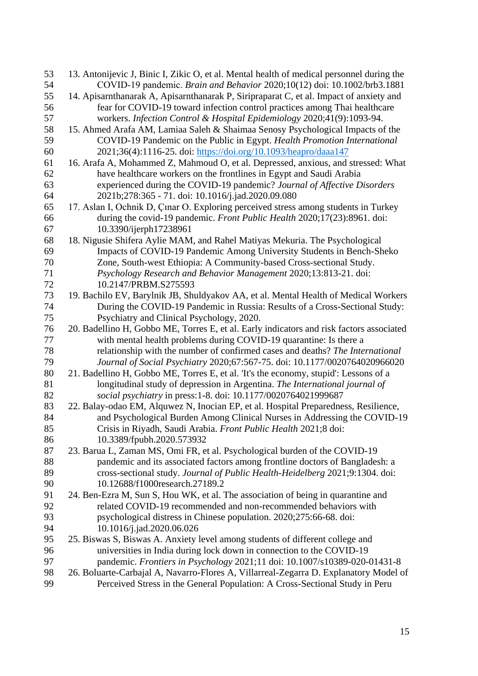| 53 | 13. Antonijevic J, Binic I, Zikic O, et al. Mental health of medical personnel during the |
|----|-------------------------------------------------------------------------------------------|
| 54 | COVID-19 pandemic. Brain and Behavior 2020;10(12) doi: 10.1002/brb3.1881                  |
| 55 | 14. Apisarnthanarak A, Apisarnthanarak P, Siripraparat C, et al. Impact of anxiety and    |
| 56 | fear for COVID-19 toward infection control practices among Thai healthcare                |
| 57 | workers. Infection Control & Hospital Epidemiology 2020;41(9):1093-94.                    |
| 58 | 15. Ahmed Arafa AM, Lamiaa Saleh & Shaimaa Senosy Psychological Impacts of the            |
| 59 | COVID-19 Pandemic on the Public in Egypt. Health Promotion International                  |
| 60 | 2021;36(4):1116-25. doi: https://doi.org/10.1093/heapro/daaa147                           |
| 61 | 16. Arafa A, Mohammed Z, Mahmoud O, et al. Depressed, anxious, and stressed: What         |
| 62 | have healthcare workers on the frontlines in Egypt and Saudi Arabia                       |
| 63 | experienced during the COVID-19 pandemic? Journal of Affective Disorders                  |
| 64 | 2021b;278:365 - 71. doi: 10.1016/j.jad.2020.09.080                                        |
| 65 | 17. Aslan I, Ochnik D, Çınar O. Exploring perceived stress among students in Turkey       |
| 66 | during the covid-19 pandemic. Front Public Health 2020;17(23):8961. doi:                  |
| 67 | 10.3390/ijerph17238961                                                                    |
| 68 | 18. Nigusie Shifera Aylie MAM, and Rahel Matiyas Mekuria. The Psychological               |
| 69 | Impacts of COVID-19 Pandemic Among University Students in Bench-Sheko                     |
| 70 | Zone, South-west Ethiopia: A Community-based Cross-sectional Study.                       |
| 71 | Psychology Research and Behavior Management 2020;13:813-21. doi:                          |
| 72 | 10.2147/PRBM.S275593                                                                      |
| 73 | 19. Bachilo EV, Barylnik JB, Shuldyakov AA, et al. Mental Health of Medical Workers       |
| 74 | During the COVID-19 Pandemic in Russia: Results of a Cross-Sectional Study:               |
| 75 | Psychiatry and Clinical Psychology, 2020.                                                 |
| 76 | 20. Badellino H, Gobbo ME, Torres E, et al. Early indicators and risk factors associated  |
| 77 | with mental health problems during COVID-19 quarantine: Is there a                        |
| 78 | relationship with the number of confirmed cases and deaths? The International             |
| 79 | Journal of Social Psychiatry 2020;67:567-75. doi: 10.1177/0020764020966020                |
| 80 | 21. Badellino H, Gobbo ME, Torres E, et al. 'It's the economy, stupid': Lessons of a      |
| 81 | longitudinal study of depression in Argentina. The International journal of               |
| 82 | social psychiatry in press:1-8. doi: 10.1177/0020764021999687                             |
| 83 | 22. Balay-odao EM, Alquwez N, Inocian EP, et al. Hospital Preparedness, Resilience,       |
| 84 | and Psychological Burden Among Clinical Nurses in Addressing the COVID-19                 |
| 85 | Crisis in Riyadh, Saudi Arabia. Front Public Health 2021;8 doi:                           |
| 86 | 10.3389/fpubh.2020.573932                                                                 |
| 87 | 23. Barua L, Zaman MS, Omi FR, et al. Psychological burden of the COVID-19                |
| 88 | pandemic and its associated factors among frontline doctors of Bangladesh: a              |
| 89 | cross-sectional study. Journal of Public Health-Heidelberg 2021;9:1304. doi:              |
| 90 | 10.12688/f1000research.27189.2                                                            |
| 91 | 24. Ben-Ezra M, Sun S, Hou WK, et al. The association of being in quarantine and          |
| 92 | related COVID-19 recommended and non-recommended behaviors with                           |
| 93 | psychological distress in Chinese population. 2020;275:66-68. doi:                        |
| 94 | 10.1016/j.jad.2020.06.026                                                                 |
| 95 | 25. Biswas S, Biswas A. Anxiety level among students of different college and             |
| 96 | universities in India during lock down in connection to the COVID-19                      |
| 97 | pandemic. Frontiers in Psychology 2021;11 doi: 10.1007/s10389-020-01431-8                 |
| 98 | 26. Boluarte-Carbajal A, Navarro-Flores A, Villarreal-Zegarra D. Explanatory Model of     |
| 99 | Perceived Stress in the General Population: A Cross-Sectional Study in Peru               |
|    |                                                                                           |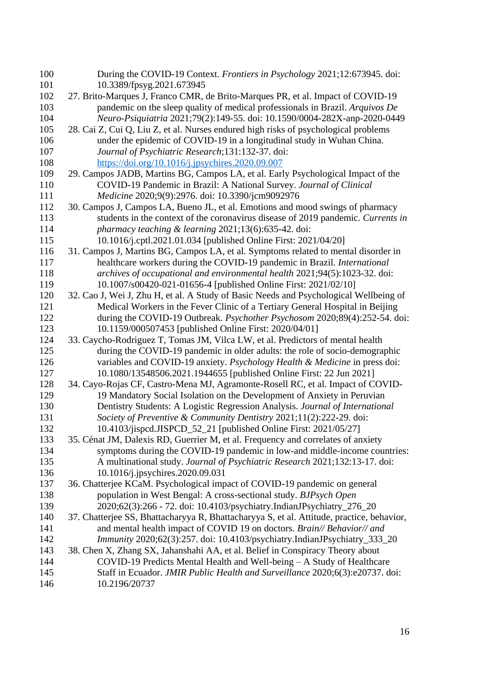| 100        | During the COVID-19 Context. Frontiers in Psychology 2021;12:673945. doi:                                                                                        |
|------------|------------------------------------------------------------------------------------------------------------------------------------------------------------------|
| 101<br>102 | 10.3389/fpsyg.2021.673945                                                                                                                                        |
| 103        | 27. Brito-Marques J, Franco CMR, de Brito-Marques PR, et al. Impact of COVID-19<br>pandemic on the sleep quality of medical professionals in Brazil. Arquivos De |
| 104        | Neuro-Psiquiatria 2021;79(2):149-55. doi: 10.1590/0004-282X-anp-2020-0449                                                                                        |
| 105        | 28. Cai Z, Cui Q, Liu Z, et al. Nurses endured high risks of psychological problems                                                                              |
| 106        | under the epidemic of COVID-19 in a longitudinal study in Wuhan China.                                                                                           |
| 107        | Journal of Psychiatric Research; 131:132-37. doi:                                                                                                                |
| 108        | https://doi.org/10.1016/j.jpsychires.2020.09.007                                                                                                                 |
| 109        | 29. Campos JADB, Martins BG, Campos LA, et al. Early Psychological Impact of the                                                                                 |
| 110        | COVID-19 Pandemic in Brazil: A National Survey. Journal of Clinical                                                                                              |
| 111        | Medicine 2020;9(9):2976. doi: 10.3390/jcm9092976                                                                                                                 |
| 112        | 30. Campos J, Campos LA, Bueno JL, et al. Emotions and mood swings of pharmacy                                                                                   |
| 113        | students in the context of the coronavirus disease of 2019 pandemic. Currents in                                                                                 |
| 114        | pharmacy teaching $\&$ learning 2021;13(6):635-42. doi:                                                                                                          |
| 115        | 10.1016/j.cptl.2021.01.034 [published Online First: 2021/04/20]                                                                                                  |
| 116        | 31. Campos J, Martins BG, Campos LA, et al. Symptoms related to mental disorder in                                                                               |
| 117        | healthcare workers during the COVID-19 pandemic in Brazil. International                                                                                         |
| 118        | archives of occupational and environmental health 2021;94(5):1023-32. doi:                                                                                       |
| 119        | 10.1007/s00420-021-01656-4 [published Online First: 2021/02/10]                                                                                                  |
| 120        | 32. Cao J, Wei J, Zhu H, et al. A Study of Basic Needs and Psychological Wellbeing of                                                                            |
| 121        | Medical Workers in the Fever Clinic of a Tertiary General Hospital in Beijing                                                                                    |
| 122        | during the COVID-19 Outbreak. Psychother Psychosom 2020;89(4):252-54. doi:                                                                                       |
| 123        | 10.1159/000507453 [published Online First: 2020/04/01]                                                                                                           |
| 124        | 33. Caycho-Rodriguez T, Tomas JM, Vilca LW, et al. Predictors of mental health                                                                                   |
| 125        | during the COVID-19 pandemic in older adults: the role of socio-demographic                                                                                      |
| 126        | variables and COVID-19 anxiety. Psychology Health & Medicine in press doi:                                                                                       |
| 127        | 10.1080/13548506.2021.1944655 [published Online First: 22 Jun 2021]                                                                                              |
| 128        | 34. Cayo-Rojas CF, Castro-Mena MJ, Agramonte-Rosell RC, et al. Impact of COVID-                                                                                  |
| 129        | 19 Mandatory Social Isolation on the Development of Anxiety in Peruvian                                                                                          |
| 130        | Dentistry Students: A Logistic Regression Analysis. Journal of International                                                                                     |
| 131        | Society of Preventive & Community Dentistry 2021;11(2):222-29. doi:                                                                                              |
| 132<br>133 | 10.4103/jispcd.JISPCD_52_21 [published Online First: 2021/05/27]                                                                                                 |
| 134        | 35. Cénat JM, Dalexis RD, Guerrier M, et al. Frequency and correlates of anxiety<br>symptoms during the COVID-19 pandemic in low-and middle-income countries:    |
| 135        | A multinational study. Journal of Psychiatric Research 2021;132:13-17. doi:                                                                                      |
| 136        | 10.1016/j.jpsychires.2020.09.031                                                                                                                                 |
| 137        | 36. Chatterjee KCaM. Psychological impact of COVID-19 pandemic on general                                                                                        |
| 138        | population in West Bengal: A cross-sectional study. BJPsych Open                                                                                                 |
| 139        | 2020;62(3):266 - 72. doi: 10.4103/psychiatry.IndianJPsychiatry_276_20                                                                                            |
| 140        | 37. Chatterjee SS, Bhattacharyya R, Bhattacharyya S, et al. Attitude, practice, behavior,                                                                        |
| 141        | and mental health impact of COVID 19 on doctors. Brain// Behavior// and                                                                                          |
| 142        | Immunity 2020;62(3):257. doi: 10.4103/psychiatry.IndianJPsychiatry_333_20                                                                                        |
| 143        | 38. Chen X, Zhang SX, Jahanshahi AA, et al. Belief in Conspiracy Theory about                                                                                    |
| 144        | COVID-19 Predicts Mental Health and Well-being - A Study of Healthcare                                                                                           |
| 145        | Staff in Ecuador. JMIR Public Health and Surveillance 2020;6(3):e20737. doi:                                                                                     |
| 146        | 10.2196/20737                                                                                                                                                    |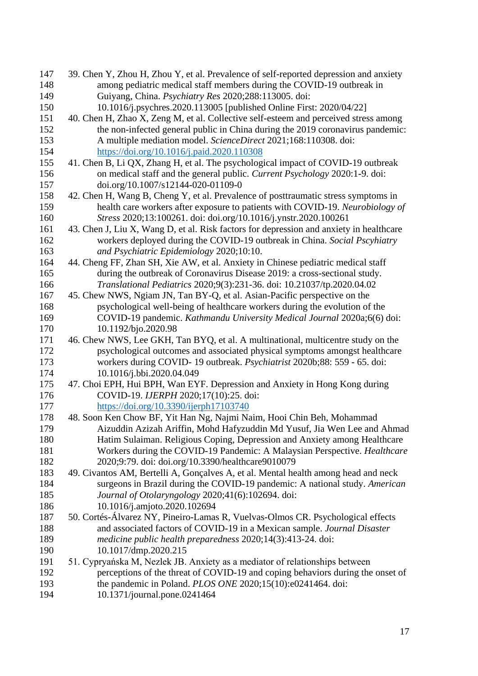| 147 | 39. Chen Y, Zhou H, Zhou Y, et al. Prevalence of self-reported depression and anxiety   |
|-----|-----------------------------------------------------------------------------------------|
| 148 | among pediatric medical staff members during the COVID-19 outbreak in                   |
| 149 | Guiyang, China. Psychiatry Res 2020;288:113005. doi:                                    |
| 150 | 10.1016/j.psychres.2020.113005 [published Online First: 2020/04/22]                     |
| 151 | 40. Chen H, Zhao X, Zeng M, et al. Collective self-esteem and perceived stress among    |
| 152 | the non-infected general public in China during the 2019 coronavirus pandemic:          |
| 153 | A multiple mediation model. ScienceDirect 2021;168:110308. doi:                         |
| 154 | https://doi.org/10.1016/j.paid.2020.110308                                              |
| 155 | 41. Chen B, Li QX, Zhang H, et al. The psychological impact of COVID-19 outbreak        |
| 156 | on medical staff and the general public. Current Psychology 2020:1-9. doi:              |
| 157 | doi.org/10.1007/s12144-020-01109-0                                                      |
| 158 | 42. Chen H, Wang B, Cheng Y, et al. Prevalence of posttraumatic stress symptoms in      |
| 159 | health care workers after exposure to patients with COVID-19. Neurobiology of           |
| 160 | Stress 2020;13:100261. doi: doi.org/10.1016/j.ynstr.2020.100261                         |
| 161 | 43. Chen J, Liu X, Wang D, et al. Risk factors for depression and anxiety in healthcare |
| 162 | workers deployed during the COVID-19 outbreak in China. Social Pscyhiatry               |
| 163 | and Psychiatric Epidemiology 2020;10:10.                                                |
| 164 | 44. Cheng FF, Zhan SH, Xie AW, et al. Anxiety in Chinese pediatric medical staff        |
| 165 | during the outbreak of Coronavirus Disease 2019: a cross-sectional study.               |
| 166 | Translational Pediatrics 2020;9(3):231-36. doi: 10.21037/tp.2020.04.02                  |
| 167 | 45. Chew NWS, Ngiam JN, Tan BY-Q, et al. Asian-Pacific perspective on the               |
| 168 | psychological well-being of healthcare workers during the evolution of the              |
| 169 | COVID-19 pandemic. Kathmandu University Medical Journal 2020a;6(6) doi:                 |
| 170 | 10.1192/bjo.2020.98                                                                     |
| 171 | 46. Chew NWS, Lee GKH, Tan BYQ, et al. A multinational, multicentre study on the        |
| 172 | psychological outcomes and associated physical symptoms amongst healthcare              |
| 173 | workers during COVID-19 outbreak. Psychiatrist 2020b;88: 559 - 65. doi:                 |
| 174 | 10.1016/j.bbi.2020.04.049                                                               |
| 175 | 47. Choi EPH, Hui BPH, Wan EYF. Depression and Anxiety in Hong Kong during              |
| 176 | COVID-19. IJERPH 2020;17(10):25. doi:                                                   |
| 177 | https://doi.org/10.3390/ijerph17103740                                                  |
| 178 | 48. Soon Ken Chow BF, Yit Han Ng, Najmi Naim, Hooi Chin Beh, Mohammad                   |
| 179 | Aizuddin Azizah Ariffin, Mohd Hafyzuddin Md Yusuf, Jia Wen Lee and Ahmad                |
| 180 | Hatim Sulaiman. Religious Coping, Depression and Anxiety among Healthcare               |
| 181 | Workers during the COVID-19 Pandemic: A Malaysian Perspective. Healthcare               |
| 182 | 2020;9:79. doi: doi.org/10.3390/healthcare9010079                                       |
| 183 | 49. Civantos AM, Bertelli A, Gonçalves A, et al. Mental health among head and neck      |
| 184 | surgeons in Brazil during the COVID-19 pandemic: A national study. American             |
| 185 | Journal of Otolaryngology 2020;41(6):102694. doi:                                       |
| 186 | 10.1016/j.amjoto.2020.102694                                                            |
| 187 | 50. Cortés-Álvarez NY, Pineiro-Lamas R, Vuelvas-Olmos CR. Psychological effects         |
| 188 | and associated factors of COVID-19 in a Mexican sample. Journal Disaster                |
| 189 | medicine public health preparedness 2020;14(3):413-24. doi:                             |
| 190 | 10.1017/dmp.2020.215                                                                    |
| 191 | 51. Cypryańska M, Nezlek JB. Anxiety as a mediator of relationships between             |
| 192 | perceptions of the threat of COVID-19 and coping behaviors during the onset of          |
| 193 | the pandemic in Poland. PLOS ONE 2020;15(10):e0241464. doi:                             |
| 194 | 10.1371/journal.pone.0241464                                                            |
|     |                                                                                         |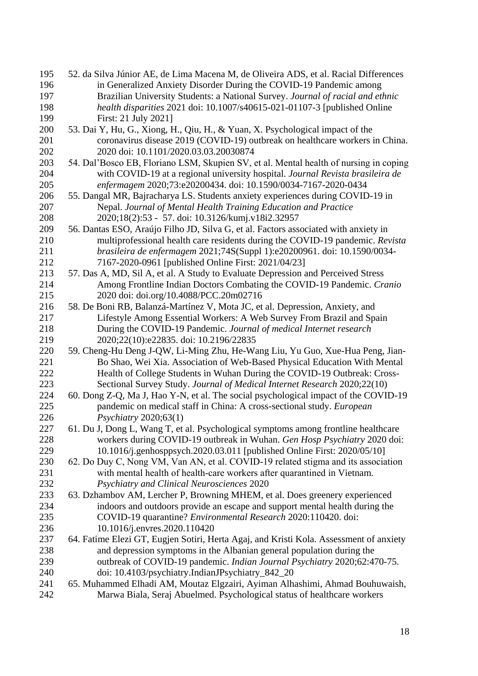| 195 | 52. da Silva Júnior AE, de Lima Macena M, de Oliveira ADS, et al. Racial Differences   |
|-----|----------------------------------------------------------------------------------------|
| 196 | in Generalized Anxiety Disorder During the COVID-19 Pandemic among                     |
| 197 | Brazilian University Students: a National Survey. Journal of racial and ethnic         |
| 198 | health disparities 2021 doi: 10.1007/s40615-021-01107-3 [published Online              |
| 199 | First: 21 July 2021]                                                                   |
| 200 | 53. Dai Y, Hu, G., Xiong, H., Qiu, H., & Yuan, X. Psychological impact of the          |
| 201 | coronavirus disease 2019 (COVID-19) outbreak on healthcare workers in China.           |
| 202 | 2020 doi: 10.1101/2020.03.03.20030874                                                  |
| 203 | 54. Dal'Bosco EB, Floriano LSM, Skupien SV, et al. Mental health of nursing in coping  |
| 204 | with COVID-19 at a regional university hospital. Journal Revista brasileira de         |
| 205 | enfermagem 2020;73:e20200434. doi: 10.1590/0034-7167-2020-0434                         |
| 206 | 55. Dangal MR, Bajracharya LS. Students anxiety experiences during COVID-19 in         |
| 207 | Nepal. Journal of Mental Health Training Education and Practice                        |
| 208 | 2020;18(2):53 - 57. doi: 10.3126/kumj.v18i2.32957                                      |
| 209 | 56. Dantas ESO, Araújo Filho JD, Silva G, et al. Factors associated with anxiety in    |
| 210 | multiprofessional health care residents during the COVID-19 pandemic. Revista          |
| 211 | brasileira de enfermagem 2021;74S(Suppl 1):e20200961. doi: 10.1590/0034-               |
| 212 | 7167-2020-0961 [published Online First: 2021/04/23]                                    |
| 213 | 57. Das A, MD, Sil A, et al. A Study to Evaluate Depression and Perceived Stress       |
| 214 | Among Frontline Indian Doctors Combating the COVID-19 Pandemic. Cranio                 |
| 215 | 2020 doi: doi.org/10.4088/PCC.20m02716                                                 |
| 216 | 58. De Boni RB, Balanzá-Martínez V, Mota JC, et al. Depression, Anxiety, and           |
| 217 | Lifestyle Among Essential Workers: A Web Survey From Brazil and Spain                  |
| 218 | During the COVID-19 Pandemic. Journal of medical Internet research                     |
| 219 | 2020;22(10):e22835. doi: 10.2196/22835                                                 |
| 220 | 59. Cheng-Hu Deng J-QW, Li-Ming Zhu, He-Wang Liu, Yu Guo, Xue-Hua Peng, Jian-          |
| 221 | Bo Shao, Wei Xia. Association of Web-Based Physical Education With Mental              |
| 222 | Health of College Students in Wuhan During the COVID-19 Outbreak: Cross-               |
| 223 | Sectional Survey Study. Journal of Medical Internet Research 2020;22(10)               |
| 224 | 60. Dong Z-Q, Ma J, Hao Y-N, et al. The social psychological impact of the COVID-19    |
| 225 | pandemic on medical staff in China: A cross-sectional study. European                  |
| 226 | Psychiatry 2020;63(1)                                                                  |
| 227 | 61. Du J, Dong L, Wang T, et al. Psychological symptoms among frontline healthcare     |
| 228 | workers during COVID-19 outbreak in Wuhan. Gen Hosp Psychiatry 2020 doi:               |
| 229 | 10.1016/j.genhosppsych.2020.03.011 [published Online First: 2020/05/10]                |
| 230 | 62. Do Duy C, Nong VM, Van AN, et al. COVID-19 related stigma and its association      |
| 231 | with mental health of health-care workers after quarantined in Vietnam.                |
| 232 | Psychiatry and Clinical Neurosciences 2020                                             |
| 233 | 63. Dzhambov AM, Lercher P, Browning MHEM, et al. Does greenery experienced            |
| 234 | indoors and outdoors provide an escape and support mental health during the            |
| 235 | COVID-19 quarantine? Environmental Research 2020:110420. doi:                          |
| 236 | 10.1016/j.envres.2020.110420                                                           |
| 237 | 64. Fatime Elezi GT, Eugjen Sotiri, Herta Agaj, and Kristi Kola. Assessment of anxiety |
| 238 | and depression symptoms in the Albanian general population during the                  |
| 239 | outbreak of COVID-19 pandemic. Indian Journal Psychiatry 2020;62:470-75.               |
| 240 | doi: 10.4103/psychiatry.IndianJPsychiatry_842_20                                       |
| 241 | 65. Muhammed Elhadi AM, Moutaz Elgzairi, Ayiman Alhashimi, Ahmad Bouhuwaish,           |
| 242 | Marwa Biala, Seraj Abuelmed. Psychological status of healthcare workers                |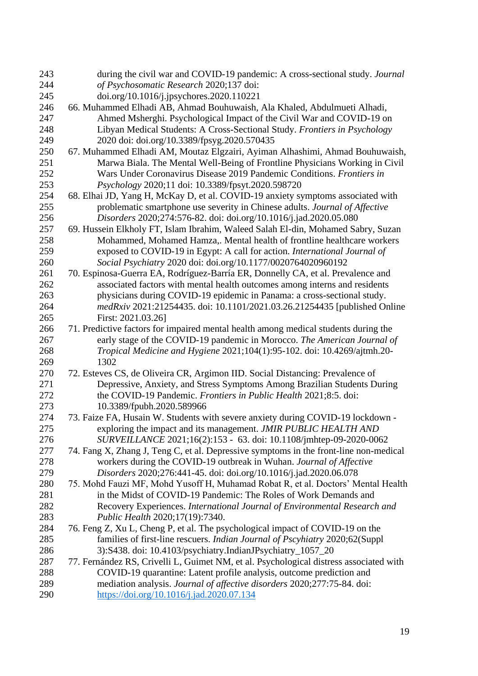| 243 | during the civil war and COVID-19 pandemic: A cross-sectional study. Journal           |
|-----|----------------------------------------------------------------------------------------|
| 244 | of Psychosomatic Research 2020;137 doi:                                                |
| 245 | doi.org/10.1016/j.jpsychores.2020.110221                                               |
| 246 | 66. Muhammed Elhadi AB, Ahmad Bouhuwaish, Ala Khaled, Abdulmueti Alhadi,               |
| 247 | Ahmed Msherghi. Psychological Impact of the Civil War and COVID-19 on                  |
| 248 | Libyan Medical Students: A Cross-Sectional Study. Frontiers in Psychology              |
| 249 | 2020 doi: doi.org/10.3389/fpsyg.2020.570435                                            |
| 250 | 67. Muhammed Elhadi AM, Moutaz Elgzairi, Ayiman Alhashimi, Ahmad Bouhuwaish,           |
| 251 | Marwa Biala. The Mental Well-Being of Frontline Physicians Working in Civil            |
| 252 | Wars Under Coronavirus Disease 2019 Pandemic Conditions. Frontiers in                  |
| 253 | Psychology 2020;11 doi: 10.3389/fpsyt.2020.598720                                      |
| 254 | 68. Elhai JD, Yang H, McKay D, et al. COVID-19 anxiety symptoms associated with        |
| 255 | problematic smartphone use severity in Chinese adults. Journal of Affective            |
| 256 | Disorders 2020;274:576-82. doi: doi.org/10.1016/j.jad.2020.05.080                      |
| 257 | 69. Hussein Elkholy FT, Islam Ibrahim, Waleed Salah El-din, Mohamed Sabry, Suzan       |
| 258 | Mohammed, Mohamed Hamza,. Mental health of frontline healthcare workers                |
| 259 | exposed to COVID-19 in Egypt: A call for action. International Journal of              |
| 260 | Social Psychiatry 2020 doi: doi.org/10.1177/0020764020960192                           |
| 261 | 70. Espinosa-Guerra EA, Rodríguez-Barría ER, Donnelly CA, et al. Prevalence and        |
| 262 | associated factors with mental health outcomes among interns and residents             |
| 263 | physicians during COVID-19 epidemic in Panama: a cross-sectional study.                |
| 264 | medRxiv 2021:21254435. doi: 10.1101/2021.03.26.21254435 [published Online              |
| 265 | First: 2021.03.26]                                                                     |
| 266 | 71. Predictive factors for impaired mental health among medical students during the    |
| 267 | early stage of the COVID-19 pandemic in Morocco. The American Journal of               |
| 268 | Tropical Medicine and Hygiene 2021;104(1):95-102. doi: 10.4269/ajtmh.20-               |
| 269 | 1302                                                                                   |
| 270 | 72. Esteves CS, de Oliveira CR, Argimon IID. Social Distancing: Prevalence of          |
| 271 | Depressive, Anxiety, and Stress Symptoms Among Brazilian Students During               |
| 272 | the COVID-19 Pandemic. Frontiers in Public Health 2021;8:5. doi:                       |
| 273 | 10.3389/fpubh.2020.589966                                                              |
| 274 | 73. Faize FA, Husain W. Students with severe anxiety during COVID-19 lockdown -        |
| 275 | exploring the impact and its management. JMIR PUBLIC HEALTH AND                        |
| 276 | SURVEILLANCE 2021;16(2):153 - 63. doi: 10.1108/jmhtep-09-2020-0062                     |
| 277 | 74. Fang X, Zhang J, Teng C, et al. Depressive symptoms in the front-line non-medical  |
| 278 | workers during the COVID-19 outbreak in Wuhan. Journal of Affective                    |
| 279 | Disorders 2020;276:441-45. doi: doi.org/10.1016/j.jad.2020.06.078                      |
| 280 | 75. Mohd Fauzi MF, Mohd Yusoff H, Muhamad Robat R, et al. Doctors' Mental Health       |
| 281 | in the Midst of COVID-19 Pandemic: The Roles of Work Demands and                       |
| 282 | Recovery Experiences. International Journal of Environmental Research and              |
| 283 | Public Health 2020;17(19):7340.                                                        |
| 284 | 76. Feng Z, Xu L, Cheng P, et al. The psychological impact of COVID-19 on the          |
| 285 | families of first-line rescuers. Indian Journal of Pscyhiatry 2020;62(Suppl            |
| 286 | 3):S438. doi: 10.4103/psychiatry.IndianJPsychiatry_1057_20                             |
| 287 | 77. Fernández RS, Crivelli L, Guimet NM, et al. Psychological distress associated with |
| 288 | COVID-19 quarantine: Latent profile analysis, outcome prediction and                   |
| 289 | mediation analysis. Journal of affective disorders 2020;277:75-84. doi:                |
| 290 | https://doi.org/10.1016/j.jad.2020.07.134                                              |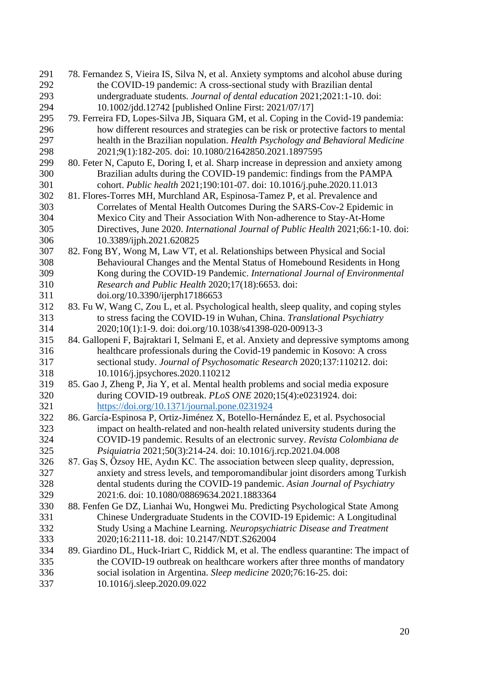| 291 | 78. Fernandez S, Vieira IS, Silva N, et al. Anxiety symptoms and alcohol abuse during   |
|-----|-----------------------------------------------------------------------------------------|
| 292 | the COVID-19 pandemic: A cross-sectional study with Brazilian dental                    |
| 293 | undergraduate students. Journal of dental education 2021;2021:1-10. doi:                |
| 294 | 10.1002/jdd.12742 [published Online First: 2021/07/17]                                  |
| 295 | 79. Ferreira FD, Lopes-Silva JB, Siquara GM, et al. Coping in the Covid-19 pandemia:    |
| 296 | how different resources and strategies can be risk or protective factors to mental      |
| 297 | health in the Brazilian nopulation. Health Psychology and Behavioral Medicine           |
| 298 | 2021;9(1):182-205. doi: 10.1080/21642850.2021.1897595                                   |
| 299 | 80. Feter N, Caputo E, Doring I, et al. Sharp increase in depression and anxiety among  |
| 300 | Brazilian adults during the COVID-19 pandemic: findings from the PAMPA                  |
| 301 | cohort. Public health 2021;190:101-07. doi: 10.1016/j.puhe.2020.11.013                  |
| 302 | 81. Flores-Torres MH, Murchland AR, Espinosa-Tamez P, et al. Prevalence and             |
| 303 | Correlates of Mental Health Outcomes During the SARS-Cov-2 Epidemic in                  |
| 304 | Mexico City and Their Association With Non-adherence to Stay-At-Home                    |
| 305 | Directives, June 2020. International Journal of Public Health 2021;66:1-10. doi:        |
| 306 | 10.3389/ijph.2021.620825                                                                |
| 307 | 82. Fong BY, Wong M, Law VT, et al. Relationships between Physical and Social           |
| 308 | Behavioural Changes and the Mental Status of Homebound Residents in Hong                |
| 309 | Kong during the COVID-19 Pandemic. International Journal of Environmental               |
| 310 | Research and Public Health 2020;17(18):6653. doi:                                       |
| 311 | doi.org/10.3390/ijerph17186653                                                          |
| 312 | 83. Fu W, Wang C, Zou L, et al. Psychological health, sleep quality, and coping styles  |
| 313 | to stress facing the COVID-19 in Wuhan, China. Translational Psychiatry                 |
| 314 | 2020;10(1):1-9. doi: doi.org/10.1038/s41398-020-00913-3                                 |
| 315 | 84. Gallopeni F, Bajraktari I, Selmani E, et al. Anxiety and depressive symptoms among  |
| 316 | healthcare professionals during the Covid-19 pandemic in Kosovo: A cross                |
| 317 | sectional study. Journal of Psychosomatic Research 2020;137:110212. doi:                |
| 318 | 10.1016/j.jpsychores.2020.110212                                                        |
| 319 | 85. Gao J, Zheng P, Jia Y, et al. Mental health problems and social media exposure      |
| 320 | during COVID-19 outbreak. PLoS ONE 2020;15(4):e0231924. doi:                            |
| 321 | https://doi.org/10.1371/journal.pone.0231924                                            |
| 322 | 86. García-Espinosa P, Ortiz-Jiménez X, Botello-Hernández E, et al. Psychosocial        |
| 323 | impact on health-related and non-health related university students during the          |
| 324 | COVID-19 pandemic. Results of an electronic survey. Revista Colombiana de               |
| 325 | Psiquiatria 2021;50(3):214-24. doi: 10.1016/j.rcp.2021.04.008                           |
| 326 | 87. Gas S, Özsoy HE, Aydın KC. The association between sleep quality, depression,       |
| 327 | anxiety and stress levels, and temporomandibular joint disorders among Turkish          |
| 328 | dental students during the COVID-19 pandemic. Asian Journal of Psychiatry               |
| 329 | 2021:6. doi: 10.1080/08869634.2021.1883364                                              |
| 330 | 88. Fenfen Ge DZ, Lianhai Wu, Hongwei Mu. Predicting Psychological State Among          |
| 331 | Chinese Undergraduate Students in the COVID-19 Epidemic: A Longitudinal                 |
| 332 | Study Using a Machine Learning. Neuropsychiatric Disease and Treatment                  |
| 333 | 2020;16:2111-18. doi: 10.2147/NDT.S262004                                               |
| 334 | 89. Giardino DL, Huck-Iriart C, Riddick M, et al. The endless quarantine: The impact of |
| 335 | the COVID-19 outbreak on healthcare workers after three months of mandatory             |
| 336 | social isolation in Argentina. Sleep medicine 2020;76:16-25. doi:                       |
| 337 | 10.1016/j.sleep.2020.09.022                                                             |
|     |                                                                                         |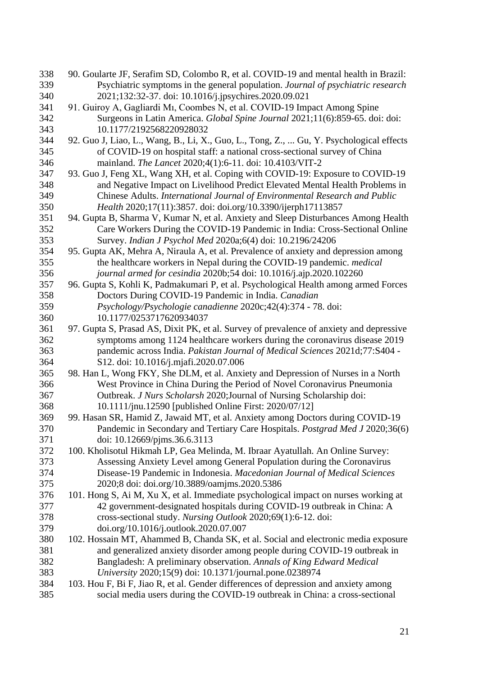| 338 | 90. Goularte JF, Serafim SD, Colombo R, et al. COVID-19 and mental health in Brazil:    |
|-----|-----------------------------------------------------------------------------------------|
| 339 | Psychiatric symptoms in the general population. Journal of psychiatric research         |
| 340 | 2021;132:32-37. doi: 10.1016/j.jpsychires.2020.09.021                                   |
| 341 | 91. Guiroy A, Gagliardi M1, Coombes N, et al. COVID-19 Impact Among Spine               |
| 342 | Surgeons in Latin America. Global Spine Journal 2021;11(6):859-65. doi: doi:            |
| 343 | 10.1177/2192568220928032                                                                |
| 344 | 92. Guo J, Liao, L., Wang, B., Li, X., Guo, L., Tong, Z.,  Gu, Y. Psychological effects |
| 345 | of COVID-19 on hospital staff: a national cross-sectional survey of China               |
| 346 | mainland. The Lancet 2020;4(1):6-11. doi: 10.4103/VIT-2                                 |
| 347 | 93. Guo J, Feng XL, Wang XH, et al. Coping with COVID-19: Exposure to COVID-19          |
| 348 | and Negative Impact on Livelihood Predict Elevated Mental Health Problems in            |
| 349 | Chinese Adults. International Journal of Environmental Research and Public              |
| 350 | Health 2020;17(11):3857. doi: doi.org/10.3390/ijerph17113857                            |
| 351 | 94. Gupta B, Sharma V, Kumar N, et al. Anxiety and Sleep Disturbances Among Health      |
| 352 | Care Workers During the COVID-19 Pandemic in India: Cross-Sectional Online              |
| 353 | Survey. Indian J Psychol Med 2020a;6(4) doi: 10.2196/24206                              |
| 354 | 95. Gupta AK, Mehra A, Niraula A, et al. Prevalence of anxiety and depression among     |
| 355 | the healthcare workers in Nepal during the COVID-19 pandemic. medical                   |
| 356 | journal armed for cesindia 2020b;54 doi: 10.1016/j.ajp.2020.102260                      |
| 357 | 96. Gupta S, Kohli K, Padmakumari P, et al. Psychological Health among armed Forces     |
| 358 | Doctors During COVID-19 Pandemic in India. Canadian                                     |
| 359 | Psychology/Psychologie canadienne 2020c;42(4):374 - 78. doi:                            |
| 360 | 10.1177/0253717620934037                                                                |
| 361 | 97. Gupta S, Prasad AS, Dixit PK, et al. Survey of prevalence of anxiety and depressive |
| 362 | symptoms among 1124 healthcare workers during the coronavirus disease 2019              |
| 363 | pandemic across India. Pakistan Journal of Medical Sciences 2021d;77:S404 -             |
| 364 | S12. doi: 10.1016/j.mjafi.2020.07.006                                                   |
| 365 | 98. Han L, Wong FKY, She DLM, et al. Anxiety and Depression of Nurses in a North        |
| 366 | West Province in China During the Period of Novel Coronavirus Pneumonia                 |
| 367 | Outbreak. J Nurs Scholarsh 2020; Journal of Nursing Scholarship doi:                    |
| 368 | 10.1111/jnu.12590 [published Online First: 2020/07/12]                                  |
| 369 | 99. Hasan SR, Hamid Z, Jawaid MT, et al. Anxiety among Doctors during COVID-19          |
| 370 | Pandemic in Secondary and Tertiary Care Hospitals. Postgrad Med J 2020;36(6)            |
| 371 | doi: 10.12669/pjms.36.6.3113                                                            |
| 372 | 100. Kholisotul Hikmah LP, Gea Melinda, M. Ibraar Ayatullah. An Online Survey:          |
| 373 | Assessing Anxiety Level among General Population during the Coronavirus                 |
| 374 | Disease-19 Pandemic in Indonesia. Macedonian Journal of Medical Sciences                |
| 375 | 2020;8 doi: doi.org/10.3889/oamjms.2020.5386                                            |
| 376 | 101. Hong S, Ai M, Xu X, et al. Immediate psychological impact on nurses working at     |
| 377 | 42 government-designated hospitals during COVID-19 outbreak in China: A                 |
| 378 | cross-sectional study. Nursing Outlook 2020;69(1):6-12. doi:                            |
| 379 | doi.org/10.1016/j.outlook.2020.07.007                                                   |
| 380 | 102. Hossain MT, Ahammed B, Chanda SK, et al. Social and electronic media exposure      |
| 381 | and generalized anxiety disorder among people during COVID-19 outbreak in               |
| 382 | Bangladesh: A preliminary observation. Annals of King Edward Medical                    |
| 383 | University 2020;15(9) doi: 10.1371/journal.pone.0238974                                 |
| 384 | 103. Hou F, Bi F, Jiao R, et al. Gender differences of depression and anxiety among     |
| 385 | social media users during the COVID-19 outbreak in China: a cross-sectional             |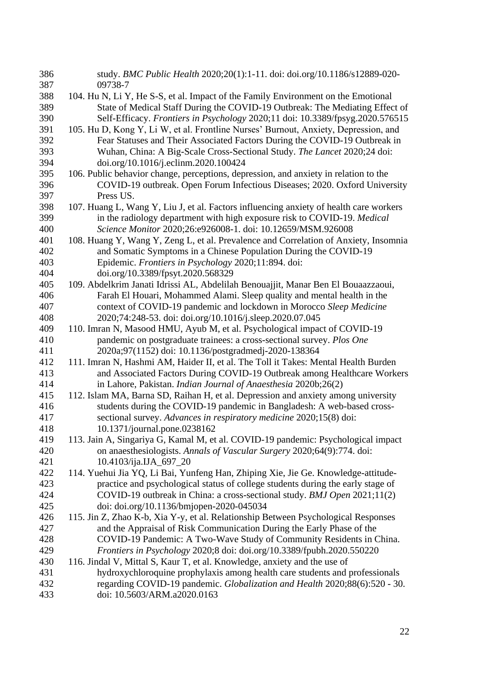| 386<br>387 | study. BMC Public Health 2020;20(1):1-11. doi: doi.org/10.1186/s12889-020-<br>09738-7  |
|------------|----------------------------------------------------------------------------------------|
| 388        | 104. Hu N, Li Y, He S-S, et al. Impact of the Family Environment on the Emotional      |
| 389        | State of Medical Staff During the COVID-19 Outbreak: The Mediating Effect of           |
| 390        | Self-Efficacy. Frontiers in Psychology 2020;11 doi: 10.3389/fpsyg.2020.576515          |
| 391        | 105. Hu D, Kong Y, Li W, et al. Frontline Nurses' Burnout, Anxiety, Depression, and    |
| 392        | Fear Statuses and Their Associated Factors During the COVID-19 Outbreak in             |
| 393        | Wuhan, China: A Big-Scale Cross-Sectional Study. The Lancet 2020;24 doi:               |
| 394        | doi.org/10.1016/j.eclinm.2020.100424                                                   |
| 395        | 106. Public behavior change, perceptions, depression, and anxiety in relation to the   |
| 396        | COVID-19 outbreak. Open Forum Infectious Diseases; 2020. Oxford University             |
| 397        | Press US.                                                                              |
| 398        | 107. Huang L, Wang Y, Liu J, et al. Factors influencing anxiety of health care workers |
| 399        | in the radiology department with high exposure risk to COVID-19. Medical               |
| 400        | Science Monitor 2020;26:e926008-1. doi: 10.12659/MSM.926008                            |
| 401        | 108. Huang Y, Wang Y, Zeng L, et al. Prevalence and Correlation of Anxiety, Insomnia   |
| 402        | and Somatic Symptoms in a Chinese Population During the COVID-19                       |
| 403        | Epidemic. Frontiers in Psychology 2020;11:894. doi:                                    |
| 404        | doi.org/10.3389/fpsyt.2020.568329                                                      |
| 405        | 109. Abdelkrim Janati Idrissi AL, Abdelilah Benouajjit, Manar Ben El Bouaazzaoui,      |
| 406        | Farah El Houari, Mohammed Alami. Sleep quality and mental health in the                |
| 407        | context of COVID-19 pandemic and lockdown in Morocco Sleep Medicine                    |
| 408        | 2020;74:248-53. doi: doi.org/10.1016/j.sleep.2020.07.045                               |
| 409        | 110. Imran N, Masood HMU, Ayub M, et al. Psychological impact of COVID-19              |
| 410        | pandemic on postgraduate trainees: a cross-sectional survey. Plos One                  |
| 411        | 2020a;97(1152) doi: 10.1136/postgradmedj-2020-138364                                   |
| 412        | 111. Imran N, Hashmi AM, Haider II, et al. The Toll it Takes: Mental Health Burden     |
| 413        | and Associated Factors During COVID-19 Outbreak among Healthcare Workers               |
| 414        | in Lahore, Pakistan. Indian Journal of Anaesthesia 2020b;26(2)                         |
| 415        | 112. Islam MA, Barna SD, Raihan H, et al. Depression and anxiety among university      |
| 416        | students during the COVID-19 pandemic in Bangladesh: A web-based cross-                |
| 417        | sectional survey. Advances in respiratory medicine 2020;15(8) doi:                     |
| 418        | 10.1371/journal.pone.0238162                                                           |
| 419        | 113. Jain A, Singariya G, Kamal M, et al. COVID-19 pandemic: Psychological impact      |
| 420        | on anaesthesiologists. Annals of Vascular Surgery 2020;64(9):774. doi:                 |
| 421        | 10.4103/ija.IJA_697_20                                                                 |
| 422        | 114. Yuehui Jia YQ, Li Bai, Yunfeng Han, Zhiping Xie, Jie Ge. Knowledge-attitude-      |
| 423        | practice and psychological status of college students during the early stage of        |
| 424        | COVID-19 outbreak in China: a cross-sectional study. BMJ Open 2021;11(2)               |
| 425        | doi: doi.org/10.1136/bmjopen-2020-045034                                               |
| 426        | 115. Jin Z, Zhao K-b, Xia Y-y, et al. Relationship Between Psychological Responses     |
| 427        | and the Appraisal of Risk Communication During the Early Phase of the                  |
| 428        | COVID-19 Pandemic: A Two-Wave Study of Community Residents in China.                   |
| 429        | Frontiers in Psychology 2020;8 doi: doi.org/10.3389/fpubh.2020.550220                  |
| 430        | 116. Jindal V, Mittal S, Kaur T, et al. Knowledge, anxiety and the use of              |
| 431        | hydroxychloroquine prophylaxis among health care students and professionals            |
| 432        | regarding COVID-19 pandemic. Globalization and Health 2020;88(6):520 - 30.             |
| 433        | doi: 10.5603/ARM.a2020.0163                                                            |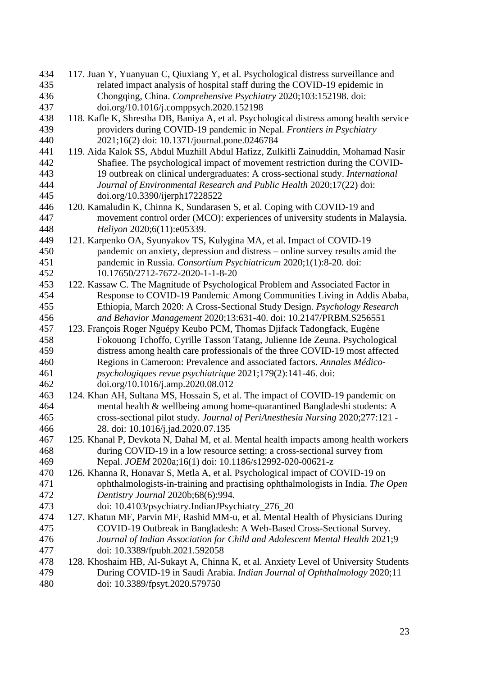| 434 | 117. Juan Y, Yuanyuan C, Qiuxiang Y, et al. Psychological distress surveillance and     |
|-----|-----------------------------------------------------------------------------------------|
| 435 | related impact analysis of hospital staff during the COVID-19 epidemic in               |
| 436 | Chongqing, China. Comprehensive Psychiatry 2020;103:152198. doi:                        |
| 437 | doi.org/10.1016/j.comppsych.2020.152198                                                 |
| 438 | 118. Kafle K, Shrestha DB, Baniya A, et al. Psychological distress among health service |
| 439 | providers during COVID-19 pandemic in Nepal. Frontiers in Psychiatry                    |
| 440 | 2021;16(2) doi: 10.1371/journal.pone.0246784                                            |
| 441 | 119. Aida Kalok SS, Abdul Muzhill Abdul Hafizz, Zulkifli Zainuddin, Mohamad Nasir       |
| 442 | Shafiee. The psychological impact of movement restriction during the COVID-             |
| 443 | 19 outbreak on clinical undergraduates: A cross-sectional study. International          |
| 444 | Journal of Environmental Research and Public Health 2020;17(22) doi:                    |
| 445 | doi.org/10.3390/ijerph17228522                                                          |
| 446 | 120. Kamaludin K, Chinna K, Sundarasen S, et al. Coping with COVID-19 and               |
| 447 | movement control order (MCO): experiences of university students in Malaysia.           |
| 448 | Heliyon 2020;6(11):e05339.                                                              |
| 449 | 121. Karpenko OA, Syunyakov TS, Kulygina MA, et al. Impact of COVID-19                  |
| 450 | pandemic on anxiety, depression and distress - online survey results amid the           |
| 451 | pandemic in Russia. Consortium Psychiatricum 2020;1(1):8-20. doi:                       |
| 452 | 10.17650/2712-7672-2020-1-1-8-20                                                        |
| 453 | 122. Kassaw C. The Magnitude of Psychological Problem and Associated Factor in          |
| 454 | Response to COVID-19 Pandemic Among Communities Living in Addis Ababa,                  |
| 455 | Ethiopia, March 2020: A Cross-Sectional Study Design. Psychology Research               |
| 456 | and Behavior Management 2020;13:631-40. doi: 10.2147/PRBM.S256551                       |
| 457 | 123. François Roger Nguépy Keubo PCM, Thomas Djifack Tadongfack, Eugène                 |
| 458 | Fokouong Tchoffo, Cyrille Tasson Tatang, Julienne Ide Zeuna. Psychological              |
| 459 | distress among health care professionals of the three COVID-19 most affected            |
| 460 | Regions in Cameroon: Prevalence and associated factors. Annales Médico-                 |
| 461 | psychologiques revue psychiatrique 2021;179(2):141-46. doi:                             |
| 462 | doi.org/10.1016/j.amp.2020.08.012                                                       |
| 463 | 124. Khan AH, Sultana MS, Hossain S, et al. The impact of COVID-19 pandemic on          |
| 464 | mental health & wellbeing among home-quarantined Bangladeshi students: A                |
| 465 | cross-sectional pilot study. Journal of PeriAnesthesia Nursing 2020;277:121 -           |
| 466 | 28. doi: 10.1016/j.jad.2020.07.135                                                      |
| 467 | 125. Khanal P, Devkota N, Dahal M, et al. Mental health impacts among health workers    |
| 468 | during COVID-19 in a low resource setting: a cross-sectional survey from                |
| 469 | Nepal. JOEM 2020a;16(1) doi: 10.1186/s12992-020-00621-z                                 |
| 470 | 126. Khanna R, Honavar S, Metla A, et al. Psychological impact of COVID-19 on           |
| 471 | ophthalmologists-in-training and practising ophthalmologists in India. The Open         |
| 472 | Dentistry Journal 2020b;68(6):994.                                                      |
| 473 | doi: 10.4103/psychiatry.IndianJPsychiatry_276_20                                        |
| 474 | 127. Khatun MF, Parvin MF, Rashid MM-u, et al. Mental Health of Physicians During       |
| 475 | COVID-19 Outbreak in Bangladesh: A Web-Based Cross-Sectional Survey.                    |
| 476 | Journal of Indian Association for Child and Adolescent Mental Health 2021;9             |
| 477 | doi: 10.3389/fpubh.2021.592058                                                          |
| 478 | 128. Khoshaim HB, Al-Sukayt A, Chinna K, et al. Anxiety Level of University Students    |
| 479 | During COVID-19 in Saudi Arabia. Indian Journal of Ophthalmology 2020;11                |
| 480 | doi: 10.3389/fpsyt.2020.579750                                                          |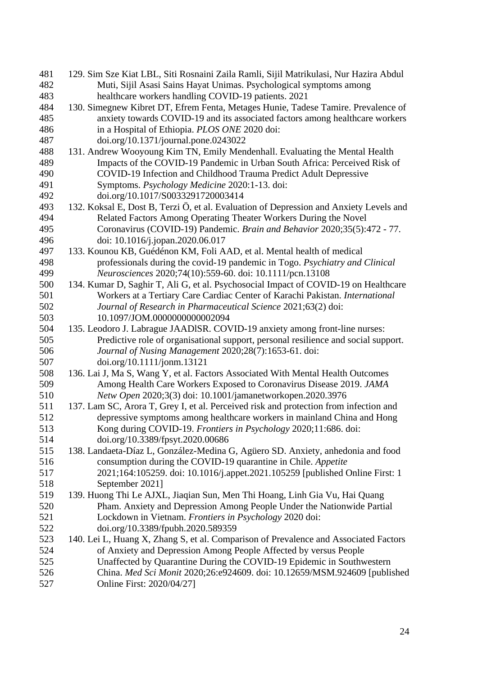| 481        | 129. Sim Sze Kiat LBL, Siti Rosnaini Zaila Ramli, Sijil Matrikulasi, Nur Hazira Abdul                                                                    |
|------------|----------------------------------------------------------------------------------------------------------------------------------------------------------|
| 482        | Muti, Sijil Asasi Sains Hayat Unimas. Psychological symptoms among                                                                                       |
| 483        | healthcare workers handling COVID-19 patients. 2021                                                                                                      |
| 484        | 130. Simegnew Kibret DT, Efrem Fenta, Metages Hunie, Tadese Tamire. Prevalence of                                                                        |
| 485        | anxiety towards COVID-19 and its associated factors among healthcare workers                                                                             |
| 486        | in a Hospital of Ethiopia. PLOS ONE 2020 doi:                                                                                                            |
| 487        | doi.org/10.1371/journal.pone.0243022                                                                                                                     |
| 488        | 131. Andrew Wooyoung Kim TN, Emily Mendenhall. Evaluating the Mental Health                                                                              |
| 489        | Impacts of the COVID-19 Pandemic in Urban South Africa: Perceived Risk of                                                                                |
| 490        | COVID-19 Infection and Childhood Trauma Predict Adult Depressive                                                                                         |
| 491        | Symptoms. Psychology Medicine 2020:1-13. doi:                                                                                                            |
| 492        | doi.org/10.1017/S0033291720003414                                                                                                                        |
| 493        | 132. Koksal E, Dost B, Terzi Ö, et al. Evaluation of Depression and Anxiety Levels and                                                                   |
| 494        | Related Factors Among Operating Theater Workers During the Novel                                                                                         |
| 495        | Coronavirus (COVID-19) Pandemic. Brain and Behavior 2020;35(5):472 - 77.                                                                                 |
| 496        | doi: 10.1016/j.jopan.2020.06.017                                                                                                                         |
| 497        | 133. Kounou KB, Guédénon KM, Foli AAD, et al. Mental health of medical                                                                                   |
| 498        | professionals during the covid-19 pandemic in Togo. Psychiatry and Clinical                                                                              |
| 499        | Neurosciences 2020;74(10):559-60. doi: 10.1111/pcn.13108                                                                                                 |
| 500        | 134. Kumar D, Saghir T, Ali G, et al. Psychosocial Impact of COVID-19 on Healthcare                                                                      |
| 501        | Workers at a Tertiary Care Cardiac Center of Karachi Pakistan. International                                                                             |
| 502        | Journal of Research in Pharmaceutical Science 2021;63(2) doi:                                                                                            |
| 503        | 10.1097/JOM.0000000000002094                                                                                                                             |
| 504        | 135. Leodoro J. Labrague JAADISR. COVID-19 anxiety among front-line nurses:                                                                              |
| 505        | Predictive role of organisational support, personal resilience and social support.                                                                       |
| 506        | Journal of Nusing Management 2020;28(7):1653-61. doi:                                                                                                    |
| 507        | doi.org/10.1111/jonm.13121                                                                                                                               |
| 508        | 136. Lai J, Ma S, Wang Y, et al. Factors Associated With Mental Health Outcomes                                                                          |
| 509        | Among Health Care Workers Exposed to Coronavirus Disease 2019. JAMA                                                                                      |
| 510        | Netw Open 2020;3(3) doi: 10.1001/jamanetworkopen.2020.3976                                                                                               |
| 511        | 137. Lam SC, Arora T, Grey I, et al. Perceived risk and protection from infection and                                                                    |
| 512        | depressive symptoms among healthcare workers in mainland China and Hong                                                                                  |
| 513        | Kong during COVID-19. Frontiers in Psychology 2020;11:686. doi:                                                                                          |
| 514        | doi.org/10.3389/fpsyt.2020.00686                                                                                                                         |
| 515        | 138. Landaeta-Díaz L, González-Medina G, Agüero SD. Anxiety, anhedonia and food                                                                          |
| 516        | consumption during the COVID-19 quarantine in Chile. Appetite                                                                                            |
| 517        | 2021;164:105259. doi: 10.1016/j.appet.2021.105259 [published Online First: 1                                                                             |
| 518        | September 2021]                                                                                                                                          |
| 519        | 139. Huong Thi Le AJXL, Jiaqian Sun, Men Thi Hoang, Linh Gia Vu, Hai Quang                                                                               |
| 520        | Pham. Anxiety and Depression Among People Under the Nationwide Partial                                                                                   |
| 521        | Lockdown in Vietnam. Frontiers in Psychology 2020 doi:                                                                                                   |
| 522        | doi.org/10.3389/fpubh.2020.589359                                                                                                                        |
| 523<br>524 | 140. Lei L, Huang X, Zhang S, et al. Comparison of Prevalence and Associated Factors<br>of Anxiety and Depression Among People Affected by versus People |
| 525        | Unaffected by Quarantine During the COVID-19 Epidemic in Southwestern                                                                                    |
| 526        | China. Med Sci Monit 2020;26:e924609. doi: 10.12659/MSM.924609 [published                                                                                |
| 527        |                                                                                                                                                          |
|            | Online First: 2020/04/27]                                                                                                                                |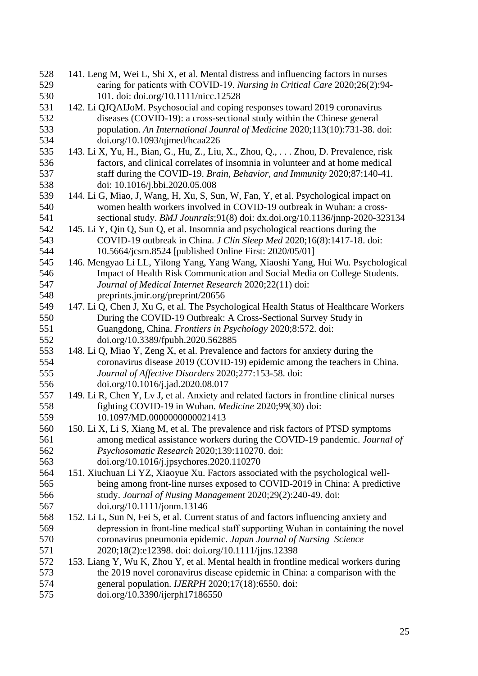| 528 | 141. Leng M, Wei L, Shi X, et al. Mental distress and influencing factors in nurses                                                                                 |
|-----|---------------------------------------------------------------------------------------------------------------------------------------------------------------------|
| 529 | caring for patients with COVID-19. Nursing in Critical Care 2020;26(2):94-                                                                                          |
| 530 | 101. doi: doi.org/10.1111/nicc.12528                                                                                                                                |
| 531 | 142. Li QJQAIJoM. Psychosocial and coping responses toward 2019 coronavirus                                                                                         |
| 532 | diseases (COVID-19): a cross-sectional study within the Chinese general                                                                                             |
| 533 | population. An International Jounral of Medicine 2020;113(10):731-38. doi:                                                                                          |
| 534 | doi.org/10.1093/qjmed/hcaa226                                                                                                                                       |
| 535 | 143. Li X, Yu, H., Bian, G., Hu, Z., Liu, X., Zhou, Q., Zhou, D. Prevalence, risk                                                                                   |
| 536 | factors, and clinical correlates of insomnia in volunteer and at home medical                                                                                       |
| 537 | staff during the COVID-19. Brain, Behavior, and Immunity 2020;87:140-41.                                                                                            |
| 538 | doi: 10.1016/j.bbi.2020.05.008                                                                                                                                      |
| 539 | 144. Li G, Miao, J, Wang, H, Xu, S, Sun, W, Fan, Y, et al. Psychological impact on                                                                                  |
| 540 | women health workers involved in COVID-19 outbreak in Wuhan: a cross-                                                                                               |
| 541 | sectional study. BMJ Jounrals; 91(8) doi: dx.doi.org/10.1136/jnnp-2020-323134                                                                                       |
| 542 | 145. Li Y, Qin Q, Sun Q, et al. Insomnia and psychological reactions during the                                                                                     |
| 543 | COVID-19 outbreak in China. J Clin Sleep Med 2020;16(8):1417-18. doi:                                                                                               |
| 544 | 10.5664/jcsm.8524 [published Online First: 2020/05/01]                                                                                                              |
| 545 | 146. Mengyao Li LL, Yilong Yang, Yang Wang, Xiaoshi Yang, Hui Wu. Psychological                                                                                     |
| 546 | Impact of Health Risk Communication and Social Media on College Students.                                                                                           |
| 547 | Journal of Medical Internet Research 2020;22(11) doi:                                                                                                               |
| 548 | preprints.jmir.org/preprint/20656                                                                                                                                   |
| 549 | 147. Li Q, Chen J, Xu G, et al. The Psychological Health Status of Healthcare Workers                                                                               |
| 550 | During the COVID-19 Outbreak: A Cross-Sectional Survey Study in                                                                                                     |
| 551 | Guangdong, China. Frontiers in Psychology 2020;8:572. doi:                                                                                                          |
| 552 | doi.org/10.3389/fpubh.2020.562885                                                                                                                                   |
| 553 | 148. Li Q, Miao Y, Zeng X, et al. Prevalence and factors for anxiety during the                                                                                     |
| 554 | coronavirus disease 2019 (COVID-19) epidemic among the teachers in China.                                                                                           |
| 555 | Journal of Affective Disorders 2020;277:153-58. doi:                                                                                                                |
| 556 | doi.org/10.1016/j.jad.2020.08.017                                                                                                                                   |
| 557 | 149. Li R, Chen Y, Lv J, et al. Anxiety and related factors in frontline clinical nurses                                                                            |
| 558 | fighting COVID-19 in Wuhan. Medicine 2020;99(30) doi:                                                                                                               |
| 559 | 10.1097/MD.0000000000021413                                                                                                                                         |
| 560 | 150. Li X, Li S, Xiang M, et al. The prevalence and risk factors of PTSD symptoms                                                                                   |
| 561 | among medical assistance workers during the COVID-19 pandemic. Journal of                                                                                           |
| 562 | Psychosomatic Research 2020;139:110270. doi:                                                                                                                        |
| 563 | doi.org/10.1016/j.jpsychores.2020.110270                                                                                                                            |
| 564 | 151. Xiuchuan Li YZ, Xiaoyue Xu. Factors associated with the psychological well-                                                                                    |
| 565 | being among front-line nurses exposed to COVID-2019 in China: A predictive                                                                                          |
| 566 | study. Journal of Nusing Management 2020;29(2):240-49. doi:                                                                                                         |
| 567 | doi.org/10.1111/jonm.13146                                                                                                                                          |
| 568 | 152. Li L, Sun N, Fei S, et al. Current status of and factors influencing anxiety and                                                                               |
| 569 | depression in front-line medical staff supporting Wuhan in containing the novel                                                                                     |
| 570 | coronavirus pneumonia epidemic. Japan Journal of Nursing Science                                                                                                    |
| 571 |                                                                                                                                                                     |
| 572 | 2020;18(2):e12398. doi: doi.org/10.1111/jjns.12398                                                                                                                  |
| 573 | 153. Liang Y, Wu K, Zhou Y, et al. Mental health in frontline medical workers during<br>the 2019 novel coronavirus disease epidemic in China: a comparison with the |
| 574 |                                                                                                                                                                     |
|     | general population. IJERPH 2020;17(18):6550. doi:                                                                                                                   |
| 575 | doi.org/10.3390/ijerph17186550                                                                                                                                      |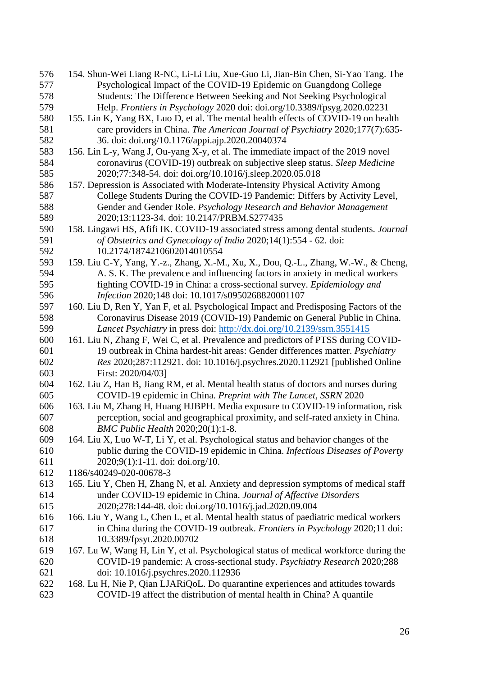| 576 | 154. Shun-Wei Liang R-NC, Li-Li Liu, Xue-Guo Li, Jian-Bin Chen, Si-Yao Tang. The      |
|-----|---------------------------------------------------------------------------------------|
| 577 | Psychological Impact of the COVID-19 Epidemic on Guangdong College                    |
| 578 | Students: The Difference Between Seeking and Not Seeking Psychological                |
| 579 | Help. Frontiers in Psychology 2020 doi: doi.org/10.3389/fpsyg.2020.02231              |
| 580 | 155. Lin K, Yang BX, Luo D, et al. The mental health effects of COVID-19 on health    |
| 581 | care providers in China. The American Journal of Psychiatry 2020;177(7):635-          |
| 582 | 36. doi: doi.org/10.1176/appi.ajp.2020.20040374                                       |
| 583 | 156. Lin L-y, Wang J, Ou-yang X-y, et al. The immediate impact of the 2019 novel      |
| 584 | coronavirus (COVID-19) outbreak on subjective sleep status. Sleep Medicine            |
| 585 | 2020;77:348-54. doi: doi.org/10.1016/j.sleep.2020.05.018                              |
| 586 | 157. Depression is Associated with Moderate-Intensity Physical Activity Among         |
| 587 | College Students During the COVID-19 Pandemic: Differs by Activity Level,             |
| 588 | Gender and Gender Role. Psychology Research and Behavior Management                   |
| 589 | 2020;13:1123-34. doi: 10.2147/PRBM.S277435                                            |
| 590 | 158. Lingawi HS, Afifi IK. COVID-19 associated stress among dental students. Journal  |
| 591 | of Obstetrics and Gynecology of India 2020;14(1):554 - 62. doi:                       |
| 592 | 10.2174/1874210602014010554                                                           |
| 593 | 159. Liu C-Y, Yang, Y.-z., Zhang, X.-M., Xu, X., Dou, Q.-L., Zhang, W.-W., & Cheng,   |
| 594 | A. S. K. The prevalence and influencing factors in anxiety in medical workers         |
| 595 | fighting COVID-19 in China: a cross-sectional survey. Epidemiology and                |
| 596 | Infection 2020;148 doi: 10.1017/s0950268820001107                                     |
| 597 | 160. Liu D, Ren Y, Yan F, et al. Psychological Impact and Predisposing Factors of the |
| 598 | Coronavirus Disease 2019 (COVID-19) Pandemic on General Public in China.              |
| 599 | Lancet Psychiatry in press doi: http://dx.doi.org/10.2139/ssrn.3551415                |
| 600 | 161. Liu N, Zhang F, Wei C, et al. Prevalence and predictors of PTSS during COVID-    |
| 601 | 19 outbreak in China hardest-hit areas: Gender differences matter. <i>Psychiatry</i>  |
| 602 | Res 2020;287:112921. doi: 10.1016/j.psychres.2020.112921 [published Online            |
| 603 | First: 2020/04/03]                                                                    |
| 604 | 162. Liu Z, Han B, Jiang RM, et al. Mental health status of doctors and nurses during |
| 605 | COVID-19 epidemic in China. Preprint with The Lancet, SSRN 2020                       |
| 606 | 163. Liu M, Zhang H, Huang HJBPH. Media exposure to COVID-19 information, risk        |
| 607 | perception, social and geographical proximity, and self-rated anxiety in China.       |
| 608 | BMC Public Health 2020;20(1):1-8.                                                     |
| 609 | 164. Liu X, Luo W-T, Li Y, et al. Psychological status and behavior changes of the    |
| 610 | public during the COVID-19 epidemic in China. Infectious Diseases of Poverty          |
| 611 | $2020;9(1):1-11$ . doi: doi.org/10.                                                   |
| 612 | 1186/s40249-020-00678-3                                                               |
| 613 | 165. Liu Y, Chen H, Zhang N, et al. Anxiety and depression symptoms of medical staff  |
| 614 | under COVID-19 epidemic in China. Journal of Affective Disorders                      |
| 615 | 2020;278:144-48. doi: doi.org/10.1016/j.jad.2020.09.004                               |
| 616 | 166. Liu Y, Wang L, Chen L, et al. Mental health status of paediatric medical workers |
| 617 | in China during the COVID-19 outbreak. Frontiers in Psychology 2020;11 doi:           |
| 618 | 10.3389/fpsyt.2020.00702                                                              |
| 619 | 167. Lu W, Wang H, Lin Y, et al. Psychological status of medical workforce during the |
| 620 | COVID-19 pandemic: A cross-sectional study. Psychiatry Research 2020;288              |
| 621 | doi: 10.1016/j.psychres.2020.112936                                                   |
| 622 | 168. Lu H, Nie P, Qian LJARiQoL. Do quarantine experiences and attitudes towards      |
| 623 | COVID-19 affect the distribution of mental health in China? A quantile                |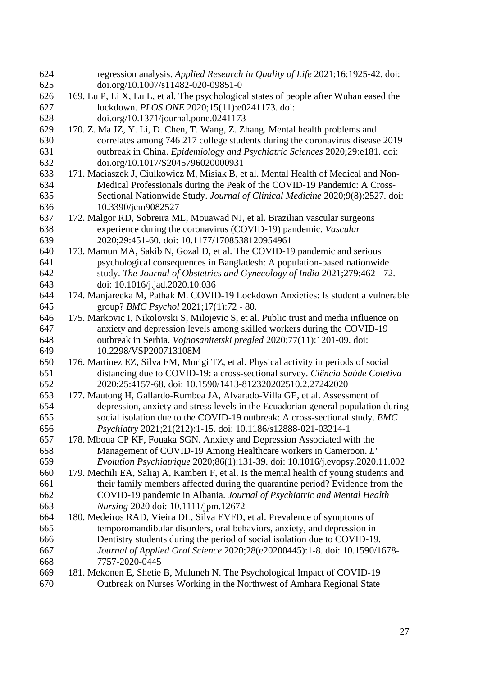| 624        | regression analysis. Applied Research in Quality of Life 2021;16:1925-42. doi:                                      |
|------------|---------------------------------------------------------------------------------------------------------------------|
| 625        | doi.org/10.1007/s11482-020-09851-0                                                                                  |
| 626        | 169. Lu P, Li X, Lu L, et al. The psychological states of people after Wuhan eased the                              |
| 627        | lockdown. PLOS ONE 2020;15(11):e0241173. doi:                                                                       |
| 628        | doi.org/10.1371/journal.pone.0241173                                                                                |
| 629        | 170. Z. Ma JZ, Y. Li, D. Chen, T. Wang, Z. Zhang. Mental health problems and                                        |
| 630        | correlates among 746 217 college students during the coronavirus disease 2019                                       |
| 631        | outbreak in China. Epidemiology and Psychiatric Sciences 2020;29:e181. doi:                                         |
| 632        | doi.org/10.1017/S2045796020000931                                                                                   |
| 633        | 171. Maciaszek J, Ciulkowicz M, Misiak B, et al. Mental Health of Medical and Non-                                  |
| 634        | Medical Professionals during the Peak of the COVID-19 Pandemic: A Cross-                                            |
| 635        | Sectional Nationwide Study. Journal of Clinical Medicine 2020;9(8):2527. doi:                                       |
| 636        | 10.3390/jcm9082527                                                                                                  |
| 637        | 172. Malgor RD, Sobreira ML, Mouawad NJ, et al. Brazilian vascular surgeons                                         |
| 638        | experience during the coronavirus (COVID-19) pandemic. Vascular                                                     |
| 639        | 2020;29:451-60. doi: 10.1177/1708538120954961                                                                       |
| 640        | 173. Mamun MA, Sakib N, Gozal D, et al. The COVID-19 pandemic and serious                                           |
| 641        | psychological consequences in Bangladesh: A population-based nationwide                                             |
| 642<br>643 | study. The Journal of Obstetrics and Gynecology of India 2021;279:462 - 72.                                         |
| 644        | doi: 10.1016/j.jad.2020.10.036<br>174. Manjareeka M, Pathak M. COVID-19 Lockdown Anxieties: Is student a vulnerable |
| 645        | group? BMC Psychol 2021;17(1):72 - 80.                                                                              |
| 646        | 175. Markovic I, Nikolovski S, Milojevic S, et al. Public trust and media influence on                              |
| 647        | anxiety and depression levels among skilled workers during the COVID-19                                             |
| 648        | outbreak in Serbia. Vojnosanitetski pregled 2020;77(11):1201-09. doi:                                               |
| 649        | 10.2298/VSP200713108M                                                                                               |
| 650        | 176. Martinez EZ, Silva FM, Morigi TZ, et al. Physical activity in periods of social                                |
| 651        | distancing due to COVID-19: a cross-sectional survey. Ciência Saúde Coletiva                                        |
| 652        | 2020;25:4157-68. doi: 10.1590/1413-812320202510.2.27242020                                                          |
| 653        | 177. Mautong H, Gallardo-Rumbea JA, Alvarado-Villa GE, et al. Assessment of                                         |
| 654        | depression, anxiety and stress levels in the Ecuadorian general population during                                   |
| 655        | social isolation due to the COVID-19 outbreak: A cross-sectional study. BMC                                         |
| 656        | Psychiatry 2021;21(212):1-15. doi: 10.1186/s12888-021-03214-1                                                       |
| 657        | 178. Mboua CP KF, Fouaka SGN. Anxiety and Depression Associated with the                                            |
| 658        | Management of COVID-19 Among Healthcare workers in Cameroon. L'                                                     |
| 659        | Evolution Psychiatrique 2020;86(1):131-39. doi: 10.1016/j.evopsy.2020.11.002                                        |
| 660        | 179. Mechili EA, Saliaj A, Kamberi F, et al. Is the mental health of young students and                             |
| 661        | their family members affected during the quarantine period? Evidence from the                                       |
| 662        | COVID-19 pandemic in Albania. Journal of Psychiatric and Mental Health                                              |
| 663        | Nursing 2020 doi: 10.1111/jpm.12672                                                                                 |
| 664        | 180. Medeiros RAD, Vieira DL, Silva EVFD, et al. Prevalence of symptoms of                                          |
| 665        | temporomandibular disorders, oral behaviors, anxiety, and depression in                                             |
| 666        | Dentistry students during the period of social isolation due to COVID-19.                                           |
| 667        | Journal of Applied Oral Science 2020;28(e20200445):1-8. doi: 10.1590/1678-                                          |
| 668        | 7757-2020-0445                                                                                                      |
| 669        | 181. Mekonen E, Shetie B, Muluneh N. The Psychological Impact of COVID-19                                           |
| 670        | Outbreak on Nurses Working in the Northwest of Amhara Regional State                                                |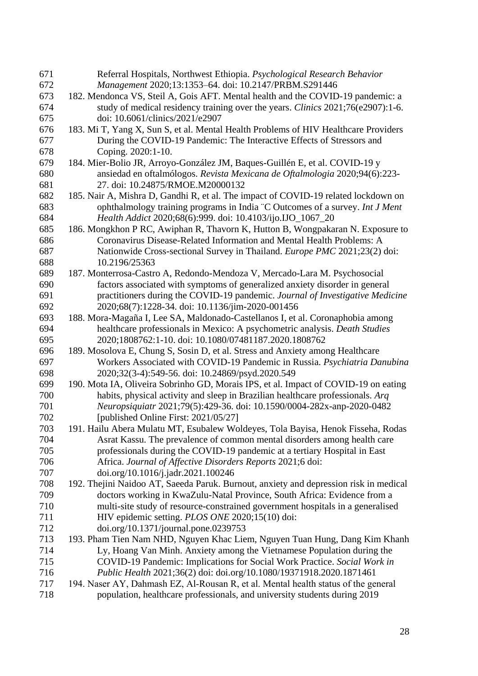| 671 | Referral Hospitals, Northwest Ethiopia. Psychological Research Behavior               |
|-----|---------------------------------------------------------------------------------------|
| 672 | Management 2020;13:1353-64. doi: 10.2147/PRBM.S291446                                 |
| 673 | 182. Mendonca VS, Steil A, Gois AFT. Mental health and the COVID-19 pandemic: a       |
| 674 | study of medical residency training over the years. Clinics 2021;76(e2907):1-6.       |
| 675 | doi: 10.6061/clinics/2021/e2907                                                       |
| 676 | 183. Mi T, Yang X, Sun S, et al. Mental Health Problems of HIV Healthcare Providers   |
| 677 | During the COVID-19 Pandemic: The Interactive Effects of Stressors and                |
| 678 | Coping. 2020:1-10.                                                                    |
| 679 | 184. Mier-Bolio JR, Arroyo-González JM, Baques-Guillén E, et al. COVID-19 y           |
| 680 | ansiedad en oftalmólogos. Revista Mexicana de Oftalmologia 2020;94(6):223-            |
| 681 | 27. doi: 10.24875/RMOE.M20000132                                                      |
| 682 | 185. Nair A, Mishra D, Gandhi R, et al. The impact of COVID-19 related lockdown on    |
| 683 | ophthalmology training programs in India "C Outcomes of a survey. Int J Ment          |
| 684 | Health Addict 2020;68(6):999. doi: 10.4103/ijo.IJO_1067_20                            |
| 685 | 186. Mongkhon P RC, Awiphan R, Thavorn K, Hutton B, Wongpakaran N. Exposure to        |
| 686 | Coronavirus Disease-Related Information and Mental Health Problems: A                 |
| 687 | Nationwide Cross-sectional Survey in Thailand. Europe PMC 2021;23(2) doi:             |
| 688 | 10.2196/25363                                                                         |
| 689 | 187. Monterrosa-Castro A, Redondo-Mendoza V, Mercado-Lara M. Psychosocial             |
| 690 | factors associated with symptoms of generalized anxiety disorder in general           |
| 691 | practitioners during the COVID-19 pandemic. Journal of Investigative Medicine         |
| 692 | 2020;68(7):1228-34. doi: 10.1136/jim-2020-001456                                      |
| 693 | 188. Mora-Magaña I, Lee SA, Maldonado-Castellanos I, et al. Coronaphobia among        |
| 694 | healthcare professionals in Mexico: A psychometric analysis. Death Studies            |
| 695 | 2020;1808762:1-10. doi: 10.1080/07481187.2020.1808762                                 |
| 696 | 189. Mosolova E, Chung S, Sosin D, et al. Stress and Anxiety among Healthcare         |
| 697 | Workers Associated with COVID-19 Pandemic in Russia. Psychiatria Danubina             |
| 698 | 2020;32(3-4):549-56. doi: 10.24869/psyd.2020.549                                      |
| 699 | 190. Mota IA, Oliveira Sobrinho GD, Morais IPS, et al. Impact of COVID-19 on eating   |
| 700 | habits, physical activity and sleep in Brazilian healthcare professionals. Arq        |
| 701 | Neuropsiquiatr 2021;79(5):429-36. doi: 10.1590/0004-282x-anp-2020-0482                |
| 702 | [published Online First: 2021/05/27]                                                  |
| 703 | 191. Hailu Abera Mulatu MT, Esubalew Woldeyes, Tola Bayisa, Henok Fisseha, Rodas      |
| 704 | Asrat Kassu. The prevalence of common mental disorders among health care              |
| 705 | professionals during the COVID-19 pandemic at a tertiary Hospital in East             |
| 706 | Africa. Journal of Affective Disorders Reports 2021;6 doi:                            |
| 707 | doi.org/10.1016/j.jadr.2021.100246                                                    |
| 708 | 192. Thejini Naidoo AT, Saeeda Paruk. Burnout, anxiety and depression risk in medical |
| 709 | doctors working in KwaZulu-Natal Province, South Africa: Evidence from a              |
| 710 | multi-site study of resource-constrained government hospitals in a generalised        |
| 711 | HIV epidemic setting. PLOS ONE 2020;15(10) doi:                                       |
| 712 | doi.org/10.1371/journal.pone.0239753                                                  |
| 713 | 193. Pham Tien Nam NHD, Nguyen Khac Liem, Nguyen Tuan Hung, Dang Kim Khanh            |
| 714 | Ly, Hoang Van Minh. Anxiety among the Vietnamese Population during the                |
| 715 | COVID-19 Pandemic: Implications for Social Work Practice. Social Work in              |
| 716 | Public Health 2021;36(2) doi: doi.org/10.1080/19371918.2020.1871461                   |
| 717 | 194. Naser AY, Dahmash EZ, Al-Rousan R, et al. Mental health status of the general    |
| 718 | population, healthcare professionals, and university students during 2019             |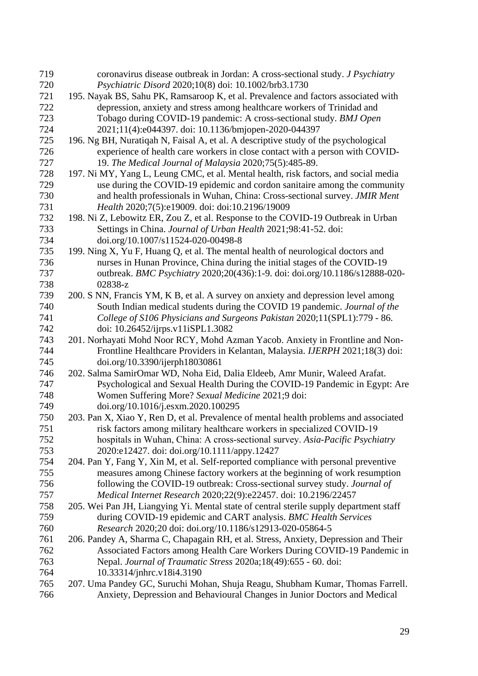| 719 | coronavirus disease outbreak in Jordan: A cross-sectional study. J Psychiatry          |
|-----|----------------------------------------------------------------------------------------|
| 720 | Psychiatric Disord 2020;10(8) doi: 10.1002/brb3.1730                                   |
| 721 | 195. Nayak BS, Sahu PK, Ramsaroop K, et al. Prevalence and factors associated with     |
| 722 | depression, anxiety and stress among healthcare workers of Trinidad and                |
| 723 | Tobago during COVID-19 pandemic: A cross-sectional study. BMJ Open                     |
| 724 | 2021;11(4):e044397. doi: 10.1136/bmjopen-2020-044397                                   |
| 725 | 196. Ng BH, Nuratiqah N, Faisal A, et al. A descriptive study of the psychological     |
| 726 | experience of health care workers in close contact with a person with COVID-           |
| 727 | 19. The Medical Journal of Malaysia 2020;75(5):485-89.                                 |
| 728 | 197. Ni MY, Yang L, Leung CMC, et al. Mental health, risk factors, and social media    |
| 729 | use during the COVID-19 epidemic and cordon sanitaire among the community              |
| 730 | and health professionals in Wuhan, China: Cross-sectional survey. JMIR Ment            |
| 731 | Health 2020;7(5):e19009. doi: doi:10.2196/19009                                        |
| 732 | 198. Ni Z, Lebowitz ER, Zou Z, et al. Response to the COVID-19 Outbreak in Urban       |
| 733 | Settings in China. Journal of Urban Health 2021;98:41-52. doi:                         |
| 734 | doi.org/10.1007/s11524-020-00498-8                                                     |
| 735 | 199. Ning X, Yu F, Huang Q, et al. The mental health of neurological doctors and       |
| 736 | nurses in Hunan Province, China during the initial stages of the COVID-19              |
| 737 | outbreak. BMC Psychiatry 2020;20(436):1-9. doi: doi.org/10.1186/s12888-020-            |
| 738 | 02838-z                                                                                |
| 739 | 200. S NN, Francis YM, K B, et al. A survey on anxiety and depression level among      |
| 740 | South Indian medical students during the COVID 19 pandemic. Journal of the             |
| 741 | College of S106 Physicians and Surgeons Pakistan 2020;11(SPL1):779 - 86.               |
| 742 | doi: 10.26452/ijrps.v11iSPL1.3082                                                      |
| 743 | 201. Norhayati Mohd Noor RCY, Mohd Azman Yacob. Anxiety in Frontline and Non-          |
| 744 | Frontline Healthcare Providers in Kelantan, Malaysia. IJERPH 2021;18(3) doi:           |
| 745 | doi.org/10.3390/ijerph18030861                                                         |
| 746 | 202. Salma SamirOmar WD, Noha Eid, Dalia Eldeeb, Amr Munir, Waleed Arafat.             |
| 747 | Psychological and Sexual Health During the COVID-19 Pandemic in Egypt: Are             |
| 748 | Women Suffering More? Sexual Medicine 2021;9 doi:                                      |
| 749 | doi.org/10.1016/j.esxm.2020.100295                                                     |
| 750 | 203. Pan X, Xiao Y, Ren D, et al. Prevalence of mental health problems and associated  |
| 751 | risk factors among military healthcare workers in specialized COVID-19                 |
| 752 | hospitals in Wuhan, China: A cross-sectional survey. Asia-Pacific Psychiatry           |
| 753 | 2020:e12427. doi: doi.org/10.1111/appy.12427                                           |
| 754 | 204. Pan Y, Fang Y, Xin M, et al. Self-reported compliance with personal preventive    |
| 755 | measures among Chinese factory workers at the beginning of work resumption             |
| 756 | following the COVID-19 outbreak: Cross-sectional survey study. Journal of              |
| 757 | Medical Internet Research 2020;22(9):e22457. doi: 10.2196/22457                        |
| 758 | 205. Wei Pan JH, Liangying Yi. Mental state of central sterile supply department staff |
| 759 | during COVID-19 epidemic and CART analysis. BMC Health Services                        |
| 760 | Research 2020;20 doi: doi.org/10.1186/s12913-020-05864-5                               |
| 761 | 206. Pandey A, Sharma C, Chapagain RH, et al. Stress, Anxiety, Depression and Their    |
| 762 | Associated Factors among Health Care Workers During COVID-19 Pandemic in               |
| 763 | Nepal. Journal of Traumatic Stress 2020a;18(49):655 - 60. doi:                         |
| 764 | 10.33314/jnhrc.v18i4.3190                                                              |
| 765 | 207. Uma Pandey GC, Suruchi Mohan, Shuja Reagu, Shubham Kumar, Thomas Farrell.         |
| 766 | Anxiety, Depression and Behavioural Changes in Junior Doctors and Medical              |
|     |                                                                                        |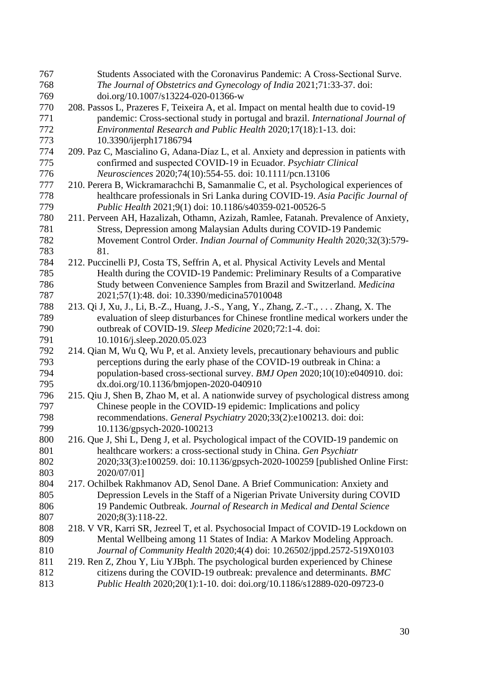| 767        | Students Associated with the Coronavirus Pandemic: A Cross-Sectional Surve.                                                                       |
|------------|---------------------------------------------------------------------------------------------------------------------------------------------------|
| 768        | The Journal of Obstetrics and Gynecology of India 2021;71:33-37. doi:                                                                             |
| 769        | doi.org/10.1007/s13224-020-01366-w                                                                                                                |
| 770        | 208. Passos L, Prazeres F, Teixeira A, et al. Impact on mental health due to covid-19                                                             |
| 771        | pandemic: Cross-sectional study in portugal and brazil. International Journal of                                                                  |
| 772        | Environmental Research and Public Health 2020;17(18):1-13. doi:                                                                                   |
| 773        | 10.3390/ijerph17186794                                                                                                                            |
| 774        | 209. Paz C, Mascialino G, Adana-Díaz L, et al. Anxiety and depression in patients with                                                            |
| 775        | confirmed and suspected COVID-19 in Ecuador. Psychiatr Clinical                                                                                   |
| 776        | Neurosciences 2020;74(10):554-55. doi: 10.1111/pcn.13106                                                                                          |
| 777        | 210. Perera B, Wickramarachchi B, Samanmalie C, et al. Psychological experiences of                                                               |
| 778        | healthcare professionals in Sri Lanka during COVID-19. Asia Pacific Journal of                                                                    |
| 779        | Public Health 2021;9(1) doi: 10.1186/s40359-021-00526-5                                                                                           |
| 780        | 211. Perveen AH, Hazalizah, Othamn, Azizah, Ramlee, Fatanah. Prevalence of Anxiety,                                                               |
| 781        | Stress, Depression among Malaysian Adults during COVID-19 Pandemic                                                                                |
| 782        | Movement Control Order. Indian Journal of Community Health 2020;32(3):579-                                                                        |
| 783        | 81.                                                                                                                                               |
| 784        | 212. Puccinelli PJ, Costa TS, Seffrin A, et al. Physical Activity Levels and Mental                                                               |
| 785        | Health during the COVID-19 Pandemic: Preliminary Results of a Comparative                                                                         |
| 786        | Study between Convenience Samples from Brazil and Switzerland. Medicina                                                                           |
| 787        | 2021;57(1):48. doi: 10.3390/medicina57010048                                                                                                      |
| 788        | 213. Qi J, Xu, J., Li, B.-Z., Huang, J.-S., Yang, Y., Zhang, Z.-T.,  Zhang, X. The                                                                |
| 789        | evaluation of sleep disturbances for Chinese frontline medical workers under the                                                                  |
| 790        | outbreak of COVID-19. Sleep Medicine 2020;72:1-4. doi:                                                                                            |
| 791        | 10.1016/j.sleep.2020.05.023                                                                                                                       |
| 792        | 214. Qian M, Wu Q, Wu P, et al. Anxiety levels, precautionary behaviours and public                                                               |
| 793        | perceptions during the early phase of the COVID-19 outbreak in China: a                                                                           |
| 794        | population-based cross-sectional survey. BMJ Open 2020;10(10):e040910. doi:                                                                       |
| 795        | dx.doi.org/10.1136/bmjopen-2020-040910                                                                                                            |
| 796        | 215. Qiu J, Shen B, Zhao M, et al. A nationwide survey of psychological distress among                                                            |
| 797        | Chinese people in the COVID-19 epidemic: Implications and policy                                                                                  |
| 798        | recommendations. General Psychiatry 2020;33(2):e100213. doi: doi:                                                                                 |
| 799        | 10.1136/gpsych-2020-100213                                                                                                                        |
| 800        | 216. Que J, Shi L, Deng J, et al. Psychological impact of the COVID-19 pandemic on                                                                |
| 801        | healthcare workers: a cross-sectional study in China. Gen Psychiatr                                                                               |
| 802        | 2020;33(3):e100259. doi: 10.1136/gpsych-2020-100259 [published Online First:                                                                      |
| 803        | 2020/07/01]                                                                                                                                       |
| 804        | 217. Ochilbek Rakhmanov AD, Senol Dane. A Brief Communication: Anxiety and                                                                        |
| 805        | Depression Levels in the Staff of a Nigerian Private University during COVID                                                                      |
| 806        | 19 Pandemic Outbreak. Journal of Research in Medical and Dental Science                                                                           |
| 807        | 2020;8(3):118-22.                                                                                                                                 |
| 808        | 218. V VR, Karri SR, Jezreel T, et al. Psychosocial Impact of COVID-19 Lockdown on                                                                |
| 809<br>810 | Mental Wellbeing among 11 States of India: A Markov Modeling Approach.                                                                            |
| 811        | Journal of Community Health 2020;4(4) doi: 10.26502/jppd.2572-519X0103                                                                            |
|            |                                                                                                                                                   |
|            | 219. Ren Z, Zhou Y, Liu YJBph. The psychological burden experienced by Chinese                                                                    |
| 812<br>813 | citizens during the COVID-19 outbreak: prevalence and determinants. BMC<br>Public Health 2020;20(1):1-10. doi: doi.org/10.1186/s12889-020-09723-0 |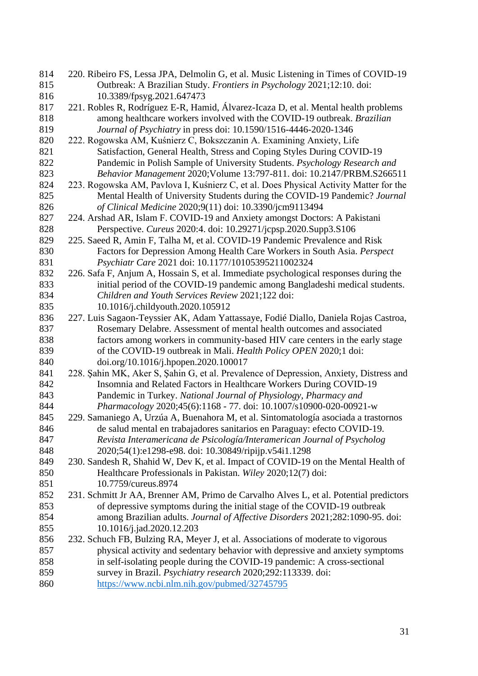| 814        | 220. Ribeiro FS, Lessa JPA, Delmolin G, et al. Music Listening in Times of COVID-19                                                         |
|------------|---------------------------------------------------------------------------------------------------------------------------------------------|
| 815        | Outbreak: A Brazilian Study. Frontiers in Psychology 2021;12:10. doi:                                                                       |
| 816        | 10.3389/fpsyg.2021.647473                                                                                                                   |
| 817        | 221. Robles R, Rodríguez E-R, Hamid, Álvarez-Icaza D, et al. Mental health problems                                                         |
| 818        | among healthcare workers involved with the COVID-19 outbreak. Brazilian                                                                     |
| 819        | Journal of Psychiatry in press doi: 10.1590/1516-4446-2020-1346                                                                             |
| 820        | 222. Rogowska AM, Kuśnierz C, Bokszczanin A. Examining Anxiety, Life                                                                        |
| 821        | Satisfaction, General Health, Stress and Coping Styles During COVID-19                                                                      |
| 822        | Pandemic in Polish Sample of University Students. Psychology Research and                                                                   |
| 823        | Behavior Management 2020; Volume 13:797-811. doi: 10.2147/PRBM.S266511                                                                      |
| 824        | 223. Rogowska AM, Pavlova I, Kuśnierz C, et al. Does Physical Activity Matter for the                                                       |
| 825        | Mental Health of University Students during the COVID-19 Pandemic? Journal                                                                  |
| 826        | of Clinical Medicine 2020;9(11) doi: 10.3390/jcm9113494                                                                                     |
| 827        | 224. Arshad AR, Islam F. COVID-19 and Anxiety amongst Doctors: A Pakistani                                                                  |
| 828        | Perspective. Cureus 2020:4. doi: 10.29271/jcpsp.2020.Supp3.S106                                                                             |
| 829        | 225. Saeed R, Amin F, Talha M, et al. COVID-19 Pandemic Prevalence and Risk                                                                 |
| 830        | Factors for Depression Among Health Care Workers in South Asia. Perspect                                                                    |
| 831        | Psychiatr Care 2021 doi: 10.1177/10105395211002324                                                                                          |
| 832        | 226. Safa F, Anjum A, Hossain S, et al. Immediate psychological responses during the                                                        |
| 833        | initial period of the COVID-19 pandemic among Bangladeshi medical students.                                                                 |
| 834        | Children and Youth Services Review 2021;122 doi:                                                                                            |
| 835        | 10.1016/j.childyouth.2020.105912                                                                                                            |
| 836        | 227. Luis Sagaon-Teyssier AK, Adam Yattassaye, Fodié Diallo, Daniela Rojas Castroa,                                                         |
| 837        | Rosemary Delabre. Assessment of mental health outcomes and associated                                                                       |
| 838        | factors among workers in community-based HIV care centers in the early stage                                                                |
| 839        | of the COVID-19 outbreak in Mali. Health Policy OPEN 2020;1 doi:                                                                            |
| 840        | doi.org/10.1016/j.hpopen.2020.100017                                                                                                        |
| 841        | 228. Şahin MK, Aker S, Şahin G, et al. Prevalence of Depression, Anxiety, Distress and                                                      |
| 842        | Insomnia and Related Factors in Healthcare Workers During COVID-19                                                                          |
| 843        | Pandemic in Turkey. National Journal of Physiology, Pharmacy and                                                                            |
| 844        | Pharmacology 2020;45(6):1168 - 77. doi: 10.1007/s10900-020-00921-w                                                                          |
| 845        | 229. Samaniego A, Urzúa A, Buenahora M, et al. Sintomatología asociada a trastornos                                                         |
| 846        | de salud mental en trabajadores sanitarios en Paraguay: efecto COVID-19.                                                                    |
| 847<br>848 | Revista Interamericana de Psicología/Interamerican Journal of Psycholog                                                                     |
| 849        | 2020;54(1):e1298-e98. doi: 10.30849/ripijp.v54i1.1298<br>230. Sandesh R, Shahid W, Dev K, et al. Impact of COVID-19 on the Mental Health of |
| 850        | Healthcare Professionals in Pakistan. Wiley 2020;12(7) doi:                                                                                 |
| 851        | 10.7759/cureus.8974                                                                                                                         |
| 852        | 231. Schmitt Jr AA, Brenner AM, Primo de Carvalho Alves L, et al. Potential predictors                                                      |
| 853        | of depressive symptoms during the initial stage of the COVID-19 outbreak                                                                    |
| 854        | among Brazilian adults. Journal of Affective Disorders 2021;282:1090-95. doi:                                                               |
| 855        | 10.1016/j.jad.2020.12.203                                                                                                                   |
| 856        | 232. Schuch FB, Bulzing RA, Meyer J, et al. Associations of moderate to vigorous                                                            |
| 857        | physical activity and sedentary behavior with depressive and anxiety symptoms                                                               |
| 858        | in self-isolating people during the COVID-19 pandemic: A cross-sectional                                                                    |
| 859        | survey in Brazil. Psychiatry research 2020;292:113339. doi:                                                                                 |
| 860        | https://www.ncbi.nlm.nih.gov/pubmed/32745795                                                                                                |
|            |                                                                                                                                             |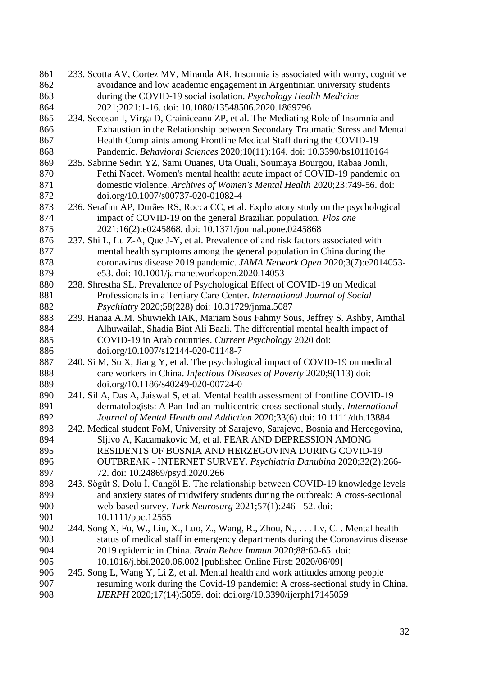| 861 | 233. Scotta AV, Cortez MV, Miranda AR. Insomnia is associated with worry, cognitive |
|-----|-------------------------------------------------------------------------------------|
| 862 | avoidance and low academic engagement in Argentinian university students            |
| 863 | during the COVID-19 social isolation. Psychology Health Medicine                    |
| 864 | 2021;2021:1-16. doi: 10.1080/13548506.2020.1869796                                  |
| 865 | 234. Secosan I, Virga D, Crainiceanu ZP, et al. The Mediating Role of Insomnia and  |
| 866 | Exhaustion in the Relationship between Secondary Traumatic Stress and Mental        |
| 867 | Health Complaints among Frontline Medical Staff during the COVID-19                 |
| 868 | Pandemic. Behavioral Sciences 2020;10(11):164. doi: 10.3390/bs10110164              |
| 869 | 235. Sabrine Sediri YZ, Sami Ouanes, Uta Ouali, Soumaya Bourgou, Rabaa Jomli,       |
| 870 | Fethi Nacef. Women's mental health: acute impact of COVID-19 pandemic on            |
| 871 | domestic violence. Archives of Women's Mental Health 2020;23:749-56. doi:           |
| 872 | doi.org/10.1007/s00737-020-01082-4                                                  |
| 873 | 236. Serafim AP, Durães RS, Rocca CC, et al. Exploratory study on the psychological |
| 874 | impact of COVID-19 on the general Brazilian population. Plos one                    |
| 875 | 2021;16(2):e0245868. doi: 10.1371/journal.pone.0245868                              |
| 876 | 237. Shi L, Lu Z-A, Que J-Y, et al. Prevalence of and risk factors associated with  |
| 877 | mental health symptoms among the general population in China during the             |
| 878 | coronavirus disease 2019 pandemic. JAMA Network Open 2020;3(7):e2014053-            |
| 879 | e53. doi: 10.1001/jamanetworkopen.2020.14053                                        |
| 880 | 238. Shrestha SL. Prevalence of Psychological Effect of COVID-19 on Medical         |
| 881 | Professionals in a Tertiary Care Center. International Journal of Social            |
| 882 | Psychiatry 2020;58(228) doi: 10.31729/jnma.5087                                     |
| 883 | 239. Hanaa A.M. Shuwiekh IAK, Mariam Sous Fahmy Sous, Jeffrey S. Ashby, Amthal      |
| 884 | Alhuwailah, Shadia Bint Ali Baali. The differential mental health impact of         |
| 885 | COVID-19 in Arab countries. Current Psychology 2020 doi:                            |
| 886 | doi.org/10.1007/s12144-020-01148-7                                                  |
| 887 | 240. Si M, Su X, Jiang Y, et al. The psychological impact of COVID-19 on medical    |
| 888 | care workers in China. Infectious Diseases of Poverty 2020;9(113) doi:              |
| 889 | doi.org/10.1186/s40249-020-00724-0                                                  |
| 890 | 241. Sil A, Das A, Jaiswal S, et al. Mental health assessment of frontline COVID-19 |
| 891 | dermatologists: A Pan-Indian multicentric cross-sectional study. International      |
| 892 | Journal of Mental Health and Addiction 2020;33(6) doi: 10.1111/dth.13884            |
| 893 | 242. Medical student FoM, University of Sarajevo, Sarajevo, Bosnia and Hercegovina, |
| 894 | Sljivo A, Kacamakovic M, et al. FEAR AND DEPRESSION AMONG                           |
| 895 | RESIDENTS OF BOSNIA AND HERZEGOVINA DURING COVID-19                                 |
| 896 | OUTBREAK - INTERNET SURVEY. Psychiatria Danubina 2020;32(2):266-                    |
| 897 | 72. doi: 10.24869/psyd.2020.266                                                     |
| 898 | 243. Sögüt S, Dolu İ, Cangöl E. The relationship between COVID-19 knowledge levels  |
| 899 | and anxiety states of midwifery students during the outbreak: A cross-sectional     |
| 900 | web-based survey. Turk Neurosurg 2021;57(1):246 - 52. doi:                          |
| 901 | 10.1111/ppc.12555                                                                   |
| 902 | 244. Song X, Fu, W., Liu, X., Luo, Z., Wang, R., Zhou, N.,  Lv, C. . Mental health  |
| 903 | status of medical staff in emergency departments during the Coronavirus disease     |
| 904 | 2019 epidemic in China. Brain Behav Immun 2020;88:60-65. doi:                       |
| 905 | 10.1016/j.bbi.2020.06.002 [published Online First: 2020/06/09]                      |
| 906 | 245. Song L, Wang Y, Li Z, et al. Mental health and work attitudes among people     |
| 907 | resuming work during the Covid-19 pandemic: A cross-sectional study in China.       |
| 908 | IJERPH 2020;17(14):5059. doi: doi.org/10.3390/ijerph17145059                        |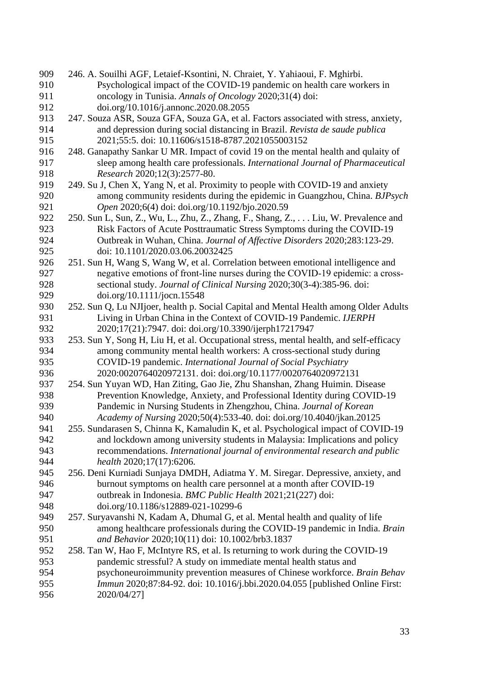| 909 | 246. A. Souilhi AGF, Letaief-Ksontini, N. Chraiet, Y. Yahiaoui, F. Mghirbi.             |
|-----|-----------------------------------------------------------------------------------------|
| 910 | Psychological impact of the COVID-19 pandemic on health care workers in                 |
| 911 | oncology in Tunisia. Annals of Oncology 2020;31(4) doi:                                 |
| 912 | doi.org/10.1016/j.annonc.2020.08.2055                                                   |
| 913 | 247. Souza ASR, Souza GFA, Souza GA, et al. Factors associated with stress, anxiety,    |
| 914 | and depression during social distancing in Brazil. Revista de saude publica             |
| 915 | 2021;55:5. doi: 10.11606/s1518-8787.2021055003152                                       |
| 916 | 248. Ganapathy Sankar U MR. Impact of covid 19 on the mental health and qulaity of      |
| 917 | sleep among health care professionals. International Journal of Pharmaceutical          |
| 918 | Research 2020;12(3):2577-80.                                                            |
| 919 | 249. Su J, Chen X, Yang N, et al. Proximity to people with COVID-19 and anxiety         |
| 920 | among community residents during the epidemic in Guangzhou, China. BJPsych              |
| 921 | Open 2020;6(4) doi: doi.org/10.1192/bjo.2020.59                                         |
| 922 | 250. Sun L, Sun, Z., Wu, L., Zhu, Z., Zhang, F., Shang, Z.,  Liu, W. Prevalence and     |
| 923 | Risk Factors of Acute Posttraumatic Stress Symptoms during the COVID-19                 |
| 924 | Outbreak in Wuhan, China. Journal of Affective Disorders 2020;283:123-29.               |
| 925 | doi: 10.1101/2020.03.06.20032425                                                        |
| 926 | 251. Sun H, Wang S, Wang W, et al. Correlation between emotional intelligence and       |
| 927 | negative emotions of front-line nurses during the COVID-19 epidemic: a cross-           |
| 928 | sectional study. Journal of Clinical Nursing 2020;30(3-4):385-96. doi:                  |
| 929 | doi.org/10.1111/jocn.15548                                                              |
| 930 | 252. Sun Q, Lu NJIjoer, health p. Social Capital and Mental Health among Older Adults   |
| 931 | Living in Urban China in the Context of COVID-19 Pandemic. IJERPH                       |
| 932 | 2020;17(21):7947. doi: doi.org/10.3390/ijerph17217947                                   |
| 933 | 253. Sun Y, Song H, Liu H, et al. Occupational stress, mental health, and self-efficacy |
| 934 | among community mental health workers: A cross-sectional study during                   |
| 935 | COVID-19 pandemic. International Journal of Social Psychiatry                           |
| 936 | 2020:0020764020972131. doi: doi.org/10.1177/0020764020972131                            |
| 937 | 254. Sun Yuyan WD, Han Ziting, Gao Jie, Zhu Shanshan, Zhang Huimin. Disease             |
| 938 | Prevention Knowledge, Anxiety, and Professional Identity during COVID-19                |
| 939 | Pandemic in Nursing Students in Zhengzhou, China. Journal of Korean                     |
| 940 | Academy of Nursing 2020;50(4):533-40. doi: doi.org/10.4040/jkan.20125                   |
| 941 | 255. Sundarasen S, Chinna K, Kamaludin K, et al. Psychological impact of COVID-19       |
| 942 | and lockdown among university students in Malaysia: Implications and policy             |
| 943 | recommendations. International journal of environmental research and public             |
| 944 | health 2020;17(17):6206.                                                                |
| 945 | 256. Deni Kurniadi Sunjaya DMDH, Adiatma Y. M. Siregar. Depressive, anxiety, and        |
| 946 | burnout symptoms on health care personnel at a month after COVID-19                     |
| 947 | outbreak in Indonesia. BMC Public Health 2021;21(227) doi:                              |
| 948 | doi.org/10.1186/s12889-021-10299-6                                                      |
| 949 | 257. Suryavanshi N, Kadam A, Dhumal G, et al. Mental health and quality of life         |
| 950 | among healthcare professionals during the COVID-19 pandemic in India. Brain             |
| 951 | and Behavior 2020;10(11) doi: 10.1002/brb3.1837                                         |
| 952 | 258. Tan W, Hao F, McIntyre RS, et al. Is returning to work during the COVID-19         |
| 953 | pandemic stressful? A study on immediate mental health status and                       |
| 954 | psychoneuroimmunity prevention measures of Chinese workforce. Brain Behav               |
| 955 | Immun 2020;87:84-92. doi: 10.1016/j.bbi.2020.04.055 [published Online First:            |
| 956 | 2020/04/27]                                                                             |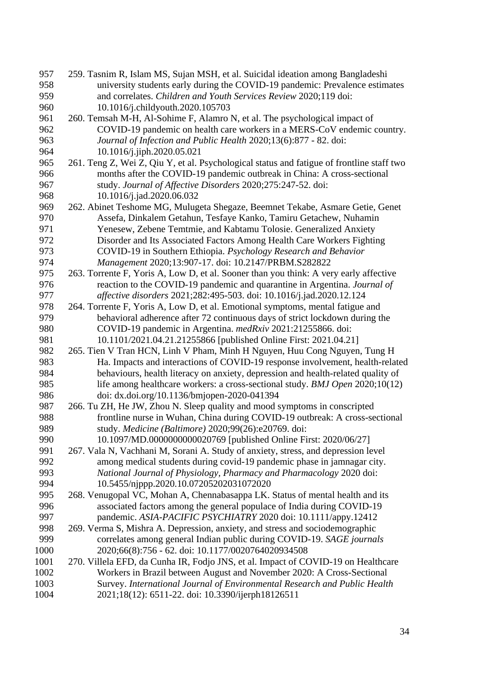| 957  | 259. Tasnim R, Islam MS, Sujan MSH, et al. Suicidal ideation among Bangladeshi            |
|------|-------------------------------------------------------------------------------------------|
| 958  | university students early during the COVID-19 pandemic: Prevalence estimates              |
| 959  | and correlates. Children and Youth Services Review 2020;119 doi:                          |
| 960  | 10.1016/j.childyouth.2020.105703                                                          |
| 961  | 260. Temsah M-H, Al-Sohime F, Alamro N, et al. The psychological impact of                |
| 962  | COVID-19 pandemic on health care workers in a MERS-CoV endemic country.                   |
| 963  | Journal of Infection and Public Health 2020;13(6):877 - 82. doi:                          |
| 964  | 10.1016/j.jiph.2020.05.021                                                                |
| 965  | 261. Teng Z, Wei Z, Qiu Y, et al. Psychological status and fatigue of frontline staff two |
| 966  | months after the COVID-19 pandemic outbreak in China: A cross-sectional                   |
| 967  | study. Journal of Affective Disorders 2020;275:247-52. doi:                               |
| 968  | 10.1016/j.jad.2020.06.032                                                                 |
| 969  | 262. Abinet Teshome MG, Mulugeta Shegaze, Beemnet Tekabe, Asmare Getie, Genet             |
| 970  | Assefa, Dinkalem Getahun, Tesfaye Kanko, Tamiru Getachew, Nuhamin                         |
| 971  | Yenesew, Zebene Temtmie, and Kabtamu Tolosie. Generalized Anxiety                         |
| 972  | Disorder and Its Associated Factors Among Health Care Workers Fighting                    |
| 973  | COVID-19 in Southern Ethiopia. Psychology Research and Behavior                           |
| 974  | Management 2020;13:907-17. doi: 10.2147/PRBM.S282822                                      |
| 975  | 263. Torrente F, Yoris A, Low D, et al. Sooner than you think: A very early affective     |
| 976  | reaction to the COVID-19 pandemic and quarantine in Argentina. Journal of                 |
| 977  | affective disorders 2021;282:495-503. doi: 10.1016/j.jad.2020.12.124                      |
| 978  | 264. Torrente F, Yoris A, Low D, et al. Emotional symptoms, mental fatigue and            |
| 979  | behavioral adherence after 72 continuous days of strict lockdown during the               |
| 980  | COVID-19 pandemic in Argentina. medRxiv 2021:21255866. doi:                               |
| 981  | 10.1101/2021.04.21.21255866 [published Online First: 2021.04.21]                          |
| 982  | 265. Tien V Tran HCN, Linh V Pham, Minh H Nguyen, Huu Cong Nguyen, Tung H                 |
| 983  | Ha. Impacts and interactions of COVID-19 response involvement, health-related             |
| 984  | behaviours, health literacy on anxiety, depression and health-related quality of          |
| 985  | life among healthcare workers: a cross-sectional study. BMJ Open 2020;10(12)              |
| 986  | doi: dx.doi.org/10.1136/bmjopen-2020-041394                                               |
| 987  | 266. Tu ZH, He JW, Zhou N. Sleep quality and mood symptoms in conscripted                 |
| 988  | frontline nurse in Wuhan, China during COVID-19 outbreak: A cross-sectional               |
| 989  | study. Medicine (Baltimore) 2020;99(26):e20769. doi:                                      |
| 990  | 10.1097/MD.0000000000020769 [published Online First: 2020/06/27]                          |
| 991  | 267. Vala N, Vachhani M, Sorani A. Study of anxiety, stress, and depression level         |
| 992  | among medical students during covid-19 pandemic phase in jamnagar city.                   |
| 993  | National Journal of Physiology, Pharmacy and Pharmacology 2020 doi:                       |
| 994  | 10.5455/njppp.2020.10.07205202031072020                                                   |
| 995  | 268. Venugopal VC, Mohan A, Chennabasappa LK. Status of mental health and its             |
| 996  | associated factors among the general populace of India during COVID-19                    |
| 997  | pandemic. ASIA-PACIFIC PSYCHIATRY 2020 doi: 10.1111/appy.12412                            |
| 998  | 269. Verma S, Mishra A. Depression, anxiety, and stress and sociodemographic              |
| 999  | correlates among general Indian public during COVID-19. SAGE journals                     |
| 1000 | 2020;66(8):756 - 62. doi: 10.1177/0020764020934508                                        |
| 1001 | 270. Villela EFD, da Cunha IR, Fodjo JNS, et al. Impact of COVID-19 on Healthcare         |
| 1002 | Workers in Brazil between August and November 2020: A Cross-Sectional                     |
| 1003 | Survey. International Journal of Environmental Research and Public Health                 |
| 1004 | 2021;18(12): 6511-22. doi: 10.3390/ijerph18126511                                         |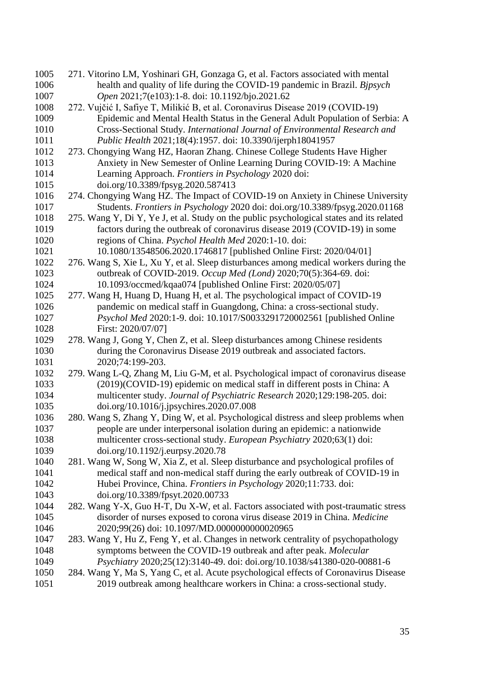| 1005 | 271. Vitorino LM, Yoshinari GH, Gonzaga G, et al. Factors associated with mental         |
|------|------------------------------------------------------------------------------------------|
| 1006 | health and quality of life during the COVID-19 pandemic in Brazil. Bjpsych               |
| 1007 | Open 2021;7(e103):1-8. doi: 10.1192/bjo.2021.62                                          |
| 1008 | 272. Vujčić I, Safiye T, Milikić B, et al. Coronavirus Disease 2019 (COVID-19)           |
| 1009 | Epidemic and Mental Health Status in the General Adult Population of Serbia: A           |
| 1010 | Cross-Sectional Study. International Journal of Environmental Research and               |
| 1011 | Public Health 2021;18(4):1957. doi: 10.3390/ijerph18041957                               |
| 1012 | 273. Chongying Wang HZ, Haoran Zhang. Chinese College Students Have Higher               |
| 1013 | Anxiety in New Semester of Online Learning During COVID-19: A Machine                    |
| 1014 | Learning Approach. Frontiers in Psychology 2020 doi:                                     |
| 1015 | doi.org/10.3389/fpsyg.2020.587413                                                        |
| 1016 | 274. Chongying Wang HZ. The Impact of COVID-19 on Anxiety in Chinese University          |
| 1017 | Students. Frontiers in Psychology 2020 doi: doi.org/10.3389/fpsyg.2020.01168             |
| 1018 | 275. Wang Y, Di Y, Ye J, et al. Study on the public psychological states and its related |
| 1019 | factors during the outbreak of coronavirus disease 2019 (COVID-19) in some               |
| 1020 | regions of China. Psychol Health Med 2020:1-10. doi:                                     |
| 1021 | 10.1080/13548506.2020.1746817 [published Online First: 2020/04/01]                       |
| 1022 | 276. Wang S, Xie L, Xu Y, et al. Sleep disturbances among medical workers during the     |
| 1023 | outbreak of COVID-2019. Occup Med (Lond) 2020;70(5):364-69. doi:                         |
| 1024 | 10.1093/occmed/kqaa074 [published Online First: 2020/05/07]                              |
| 1025 | 277. Wang H, Huang D, Huang H, et al. The psychological impact of COVID-19               |
| 1026 | pandemic on medical staff in Guangdong, China: a cross-sectional study.                  |
| 1027 | Psychol Med 2020:1-9. doi: 10.1017/S0033291720002561 [published Online                   |
| 1028 | First: 2020/07/07]                                                                       |
| 1029 | 278. Wang J, Gong Y, Chen Z, et al. Sleep disturbances among Chinese residents           |
| 1030 | during the Coronavirus Disease 2019 outbreak and associated factors.                     |
| 1031 | 2020;74:199-203.                                                                         |
| 1032 | 279. Wang L-Q, Zhang M, Liu G-M, et al. Psychological impact of coronavirus disease      |
| 1033 | (2019)(COVID-19) epidemic on medical staff in different posts in China: A                |
| 1034 | multicenter study. Journal of Psychiatric Research 2020;129:198-205. doi:                |
| 1035 | doi.org/10.1016/j.jpsychires.2020.07.008                                                 |
| 1036 | 280. Wang S, Zhang Y, Ding W, et al. Psychological distress and sleep problems when      |
| 1037 | people are under interpersonal isolation during an epidemic: a nationwide                |
| 1038 | multicenter cross-sectional study. European Psychiatry 2020;63(1) doi:                   |
| 1039 | doi.org/10.1192/j.eurpsy.2020.78                                                         |
| 1040 | 281. Wang W, Song W, Xia Z, et al. Sleep disturbance and psychological profiles of       |
| 1041 | medical staff and non-medical staff during the early outbreak of COVID-19 in             |
| 1042 | Hubei Province, China. Frontiers in Psychology 2020;11:733. doi:                         |
| 1043 | doi.org/10.3389/fpsyt.2020.00733                                                         |
| 1044 | 282. Wang Y-X, Guo H-T, Du X-W, et al. Factors associated with post-traumatic stress     |
| 1045 | disorder of nurses exposed to corona virus disease 2019 in China. Medicine               |
| 1046 | 2020;99(26) doi: 10.1097/MD.0000000000020965                                             |
| 1047 | 283. Wang Y, Hu Z, Feng Y, et al. Changes in network centrality of psychopathology       |
| 1048 | symptoms between the COVID-19 outbreak and after peak. Molecular                         |
| 1049 | Psychiatry 2020;25(12):3140-49. doi: doi.org/10.1038/s41380-020-00881-6                  |
| 1050 | 284. Wang Y, Ma S, Yang C, et al. Acute psychological effects of Coronavirus Disease     |
| 1051 | 2019 outbreak among healthcare workers in China: a cross-sectional study.                |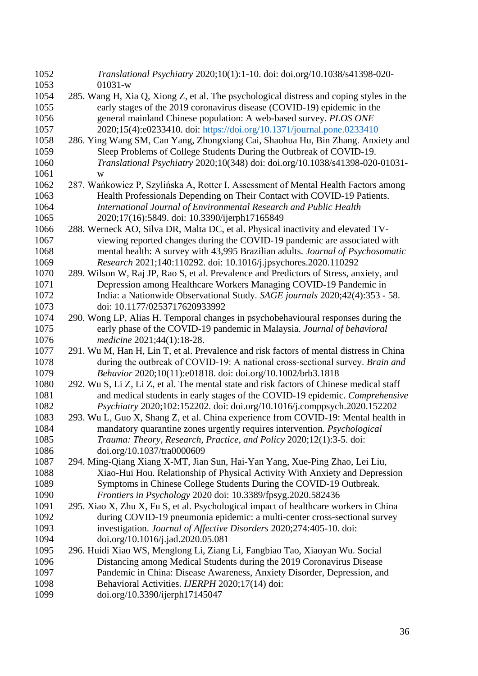| 1052 | Translational Psychiatry 2020;10(1):1-10. doi: doi.org/10.1038/s41398-020-               |
|------|------------------------------------------------------------------------------------------|
| 1053 | $01031-w$                                                                                |
| 1054 | 285. Wang H, Xia Q, Xiong Z, et al. The psychological distress and coping styles in the  |
| 1055 | early stages of the 2019 coronavirus disease (COVID-19) epidemic in the                  |
| 1056 | general mainland Chinese population: A web-based survey. PLOS ONE                        |
| 1057 | 2020;15(4):e0233410. doi: https://doi.org/10.1371/journal.pone.0233410                   |
| 1058 | 286. Ying Wang SM, Can Yang, Zhongxiang Cai, Shaohua Hu, Bin Zhang. Anxiety and          |
| 1059 | Sleep Problems of College Students During the Outbreak of COVID-19.                      |
| 1060 | Translational Psychiatry 2020;10(348) doi: doi.org/10.1038/s41398-020-01031-             |
| 1061 | W                                                                                        |
| 1062 | 287. Wańkowicz P, Szylińska A, Rotter I. Assessment of Mental Health Factors among       |
| 1063 | Health Professionals Depending on Their Contact with COVID-19 Patients.                  |
| 1064 | International Journal of Environmental Research and Public Health                        |
| 1065 | 2020;17(16):5849. doi: 10.3390/ijerph17165849                                            |
| 1066 | 288. Werneck AO, Silva DR, Malta DC, et al. Physical inactivity and elevated TV-         |
| 1067 | viewing reported changes during the COVID-19 pandemic are associated with                |
| 1068 | mental health: A survey with 43,995 Brazilian adults. Journal of Psychosomatic           |
| 1069 | Research 2021;140:110292. doi: 10.1016/j.jpsychores.2020.110292                          |
| 1070 | 289. Wilson W, Raj JP, Rao S, et al. Prevalence and Predictors of Stress, anxiety, and   |
| 1071 | Depression among Healthcare Workers Managing COVID-19 Pandemic in                        |
| 1072 | India: a Nationwide Observational Study. SAGE journals 2020;42(4):353 - 58.              |
| 1073 | doi: 10.1177/0253717620933992                                                            |
| 1074 | 290. Wong LP, Alias H. Temporal changes in psychobehavioural responses during the        |
| 1075 | early phase of the COVID-19 pandemic in Malaysia. Journal of behavioral                  |
| 1076 | medicine 2021;44(1):18-28.                                                               |
| 1077 | 291. Wu M, Han H, Lin T, et al. Prevalence and risk factors of mental distress in China  |
| 1078 | during the outbreak of COVID-19: A national cross-sectional survey. Brain and            |
| 1079 | Behavior 2020;10(11):e01818. doi: doi.org/10.1002/brb3.1818                              |
| 1080 | 292. Wu S, Li Z, Li Z, et al. The mental state and risk factors of Chinese medical staff |
| 1081 | and medical students in early stages of the COVID-19 epidemic. Comprehensive             |
| 1082 | Psychiatry 2020;102:152202. doi: doi.org/10.1016/j.comppsych.2020.152202                 |
| 1083 | 293. Wu L, Guo X, Shang Z, et al. China experience from COVID-19: Mental health in       |
| 1084 | mandatory quarantine zones urgently requires intervention. <i>Psychological</i>          |
| 1085 | Trauma: Theory, Research, Practice, and Policy 2020;12(1):3-5. doi:                      |
| 1086 | doi.org/10.1037/tra0000609                                                               |
| 1087 | 294. Ming-Qiang Xiang X-MT, Jian Sun, Hai-Yan Yang, Xue-Ping Zhao, Lei Liu,              |
| 1088 | Xiao-Hui Hou. Relationship of Physical Activity With Anxiety and Depression              |
| 1089 | Symptoms in Chinese College Students During the COVID-19 Outbreak.                       |
| 1090 | Frontiers in Psychology 2020 doi: 10.3389/fpsyg.2020.582436                              |
| 1091 | 295. Xiao X, Zhu X, Fu S, et al. Psychological impact of healthcare workers in China     |
| 1092 | during COVID-19 pneumonia epidemic: a multi-center cross-sectional survey                |
| 1093 | investigation. Journal of Affective Disorders 2020;274:405-10. doi:                      |
| 1094 | doi.org/10.1016/j.jad.2020.05.081                                                        |
| 1095 | 296. Huidi Xiao WS, Menglong Li, Ziang Li, Fangbiao Tao, Xiaoyan Wu. Social              |
| 1096 | Distancing among Medical Students during the 2019 Coronavirus Disease                    |
| 1097 | Pandemic in China: Disease Awareness, Anxiety Disorder, Depression, and                  |
| 1098 | Behavioral Activities. IJERPH 2020;17(14) doi:                                           |
| 1099 | doi.org/10.3390/ijerph17145047                                                           |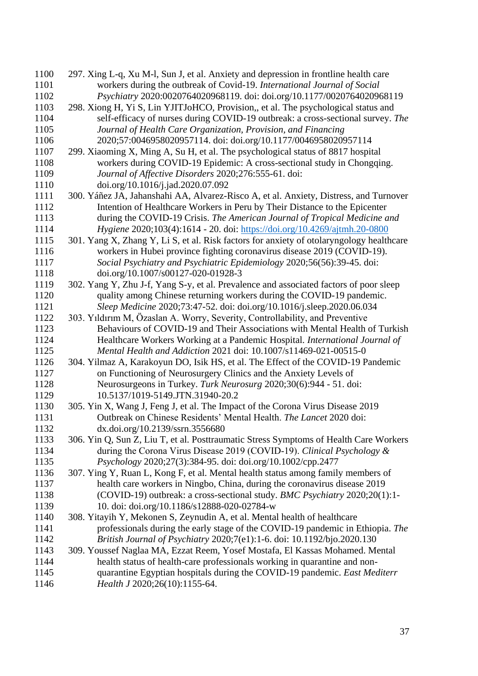| 1100 | 297. Xing L-q, Xu M-l, Sun J, et al. Anxiety and depression in frontline health care     |
|------|------------------------------------------------------------------------------------------|
| 1101 | workers during the outbreak of Covid-19. International Journal of Social                 |
| 1102 | Psychiatry 2020:0020764020968119. doi: doi.org/10.1177/0020764020968119                  |
| 1103 | 298. Xiong H, Yi S, Lin YJITJoHCO, Provision,, et al. The psychological status and       |
| 1104 | self-efficacy of nurses during COVID-19 outbreak: a cross-sectional survey. The          |
| 1105 | Journal of Health Care Organization, Provision, and Financing                            |
| 1106 | 2020;57:0046958020957114. doi: doi.org/10.1177/0046958020957114                          |
| 1107 | 299. Xiaoming X, Ming A, Su H, et al. The psychological status of 8817 hospital          |
| 1108 | workers during COVID-19 Epidemic: A cross-sectional study in Chongqing.                  |
| 1109 | Journal of Affective Disorders 2020;276:555-61. doi:                                     |
| 1110 | doi.org/10.1016/j.jad.2020.07.092                                                        |
| 1111 | 300. Yáñez JA, Jahanshahi AA, Alvarez-Risco A, et al. Anxiety, Distress, and Turnover    |
| 1112 | Intention of Healthcare Workers in Peru by Their Distance to the Epicenter               |
| 1113 | during the COVID-19 Crisis. The American Journal of Tropical Medicine and                |
| 1114 | Hygiene 2020;103(4):1614 - 20. doi: https://doi.org/10.4269/ajtmh.20-0800                |
| 1115 | 301. Yang X, Zhang Y, Li S, et al. Risk factors for anxiety of otolaryngology healthcare |
| 1116 | workers in Hubei province fighting coronavirus disease 2019 (COVID-19).                  |
| 1117 | Social Psychiatry and Psychiatric Epidemiology 2020;56(56):39-45. doi:                   |
| 1118 | doi.org/10.1007/s00127-020-01928-3                                                       |
| 1119 | 302. Yang Y, Zhu J-f, Yang S-y, et al. Prevalence and associated factors of poor sleep   |
| 1120 | quality among Chinese returning workers during the COVID-19 pandemic.                    |
| 1121 | Sleep Medicine 2020;73:47-52. doi: doi.org/10.1016/j.sleep.2020.06.034                   |
| 1122 | 303. Yıldırım M, Özaslan A. Worry, Severity, Controllability, and Preventive             |
| 1123 | Behaviours of COVID-19 and Their Associations with Mental Health of Turkish              |
| 1124 | Healthcare Workers Working at a Pandemic Hospital. International Journal of              |
| 1125 | Mental Health and Addiction 2021 doi: 10.1007/s11469-021-00515-0                         |
| 1126 | 304. Yilmaz A, Karakoyun DO, Isik HS, et al. The Effect of the COVID-19 Pandemic         |
| 1127 | on Functioning of Neurosurgery Clinics and the Anxiety Levels of                         |
| 1128 | Neurosurgeons in Turkey. Turk Neurosurg 2020;30(6):944 - 51. doi:                        |
| 1129 | 10.5137/1019-5149.JTN.31940-20.2                                                         |
| 1130 | 305. Yin X, Wang J, Feng J, et al. The Impact of the Corona Virus Disease 2019           |
| 1131 | Outbreak on Chinese Residents' Mental Health. The Lancet 2020 doi:                       |
| 1132 | dx.doi.org/10.2139/ssrn.3556680                                                          |
| 1133 | 306. Yin Q, Sun Z, Liu T, et al. Posttraumatic Stress Symptoms of Health Care Workers    |
| 1134 | during the Corona Virus Disease 2019 (COVID-19). Clinical Psychology &                   |
| 1135 | Psychology 2020;27(3):384-95. doi: doi.org/10.1002/cpp.2477                              |
| 1136 | 307. Ying Y, Ruan L, Kong F, et al. Mental health status among family members of         |
| 1137 | health care workers in Ningbo, China, during the coronavirus disease 2019                |
| 1138 | (COVID-19) outbreak: a cross-sectional study. BMC Psychiatry 2020;20(1):1-               |
| 1139 | 10. doi: doi.org/10.1186/s12888-020-02784-w                                              |
| 1140 | 308. Yitayih Y, Mekonen S, Zeynudin A, et al. Mental health of healthcare                |
| 1141 | professionals during the early stage of the COVID-19 pandemic in Ethiopia. The           |
| 1142 | British Journal of Psychiatry 2020;7(e1):1-6. doi: 10.1192/bjo.2020.130                  |
| 1143 | 309. Youssef Naglaa MA, Ezzat Reem, Yosef Mostafa, El Kassas Mohamed. Mental             |
| 1144 | health status of health-care professionals working in quarantine and non-                |
| 1145 | quarantine Egyptian hospitals during the COVID-19 pandemic. East Mediterr                |
| 1146 | Health J 2020;26(10):1155-64.                                                            |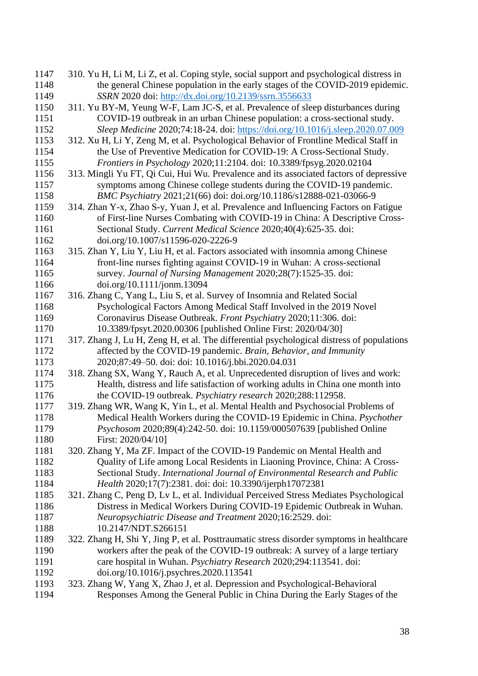| 1147         | 310. Yu H, Li M, Li Z, et al. Coping style, social support and psychological distress in                                                                                  |
|--------------|---------------------------------------------------------------------------------------------------------------------------------------------------------------------------|
| 1148         | the general Chinese population in the early stages of the COVID-2019 epidemic.                                                                                            |
| 1149         | SSRN 2020 doi: http://dx.doi.org/10.2139/ssrn.3556633                                                                                                                     |
| 1150         | 311. Yu BY-M, Yeung W-F, Lam JC-S, et al. Prevalence of sleep disturbances during                                                                                         |
| 1151         | COVID-19 outbreak in an urban Chinese population: a cross-sectional study.                                                                                                |
| 1152         | Sleep Medicine 2020;74:18-24. doi: https://doi.org/10.1016/j.sleep.2020.07.009                                                                                            |
| 1153         | 312. Xu H, Li Y, Zeng M, et al. Psychological Behavior of Frontline Medical Staff in                                                                                      |
| 1154         | the Use of Preventive Medication for COVID-19: A Cross-Sectional Study.                                                                                                   |
| 1155         | Frontiers in Psychology 2020;11:2104. doi: 10.3389/fpsyg.2020.02104                                                                                                       |
| 1156         | 313. Mingli Yu FT, Qi Cui, Hui Wu. Prevalence and its associated factors of depressive                                                                                    |
| 1157         | symptoms among Chinese college students during the COVID-19 pandemic.                                                                                                     |
| 1158         | BMC Psychiatry 2021;21(66) doi: doi.org/10.1186/s12888-021-03066-9                                                                                                        |
| 1159         | 314. Zhan Y-x, Zhao S-y, Yuan J, et al. Prevalence and Influencing Factors on Fatigue                                                                                     |
| 1160         | of First-line Nurses Combating with COVID-19 in China: A Descriptive Cross-                                                                                               |
| 1161         | Sectional Study. Current Medical Science 2020;40(4):625-35. doi:                                                                                                          |
| 1162         | doi.org/10.1007/s11596-020-2226-9                                                                                                                                         |
| 1163         | 315. Zhan Y, Liu Y, Liu H, et al. Factors associated with insomnia among Chinese                                                                                          |
| 1164         | front-line nurses fighting against COVID-19 in Wuhan: A cross-sectional                                                                                                   |
| 1165         | survey. Journal of Nursing Management 2020;28(7):1525-35. doi:                                                                                                            |
| 1166         | doi.org/10.1111/jonm.13094                                                                                                                                                |
| 1167         | 316. Zhang C, Yang L, Liu S, et al. Survey of Insomnia and Related Social                                                                                                 |
| 1168         | Psychological Factors Among Medical Staff Involved in the 2019 Novel                                                                                                      |
| 1169         | Coronavirus Disease Outbreak. Front Psychiatry 2020;11:306. doi:                                                                                                          |
| 1170         | 10.3389/fpsyt.2020.00306 [published Online First: 2020/04/30]                                                                                                             |
| 1171         | 317. Zhang J, Lu H, Zeng H, et al. The differential psychological distress of populations                                                                                 |
| 1172         | affected by the COVID-19 pandemic. Brain, Behavior, and Immunity                                                                                                          |
| 1173         | 2020;87:49-50. doi: doi: 10.1016/j.bbi.2020.04.031                                                                                                                        |
| 1174         | 318. Zhang SX, Wang Y, Rauch A, et al. Unprecedented disruption of lives and work:                                                                                        |
| 1175         | Health, distress and life satisfaction of working adults in China one month into                                                                                          |
| 1176         | the COVID-19 outbreak. Psychiatry research 2020;288:112958.                                                                                                               |
| 1177         | 319. Zhang WR, Wang K, Yin L, et al. Mental Health and Psychosocial Problems of                                                                                           |
| 1178         | Medical Health Workers during the COVID-19 Epidemic in China. Psychother                                                                                                  |
| 1179         | Psychosom 2020;89(4):242-50. doi: 10.1159/000507639 [published Online                                                                                                     |
| 1180         | First: 2020/04/10]                                                                                                                                                        |
| 1181         | 320. Zhang Y, Ma ZF. Impact of the COVID-19 Pandemic on Mental Health and                                                                                                 |
| 1182         | Quality of Life among Local Residents in Liaoning Province, China: A Cross-                                                                                               |
| 1183<br>1184 | Sectional Study. International Journal of Environmental Research and Public<br>Health 2020;17(7):2381. doi: doi: 10.3390/ijerph17072381                                   |
| 1185         | 321. Zhang C, Peng D, Lv L, et al. Individual Perceived Stress Mediates Psychological                                                                                     |
| 1186         | Distress in Medical Workers During COVID-19 Epidemic Outbreak in Wuhan.                                                                                                   |
| 1187         | Neuropsychiatric Disease and Treatment 2020;16:2529. doi:                                                                                                                 |
| 1188         | 10.2147/NDT.S266151                                                                                                                                                       |
| 1189         |                                                                                                                                                                           |
| 1190         | 322. Zhang H, Shi Y, Jing P, et al. Posttraumatic stress disorder symptoms in healthcare<br>workers after the peak of the COVID-19 outbreak: A survey of a large tertiary |
| 1191         | care hospital in Wuhan. Psychiatry Research 2020;294:113541. doi:                                                                                                         |
| 1192         | doi.org/10.1016/j.psychres.2020.113541                                                                                                                                    |
| 1193         | 323. Zhang W, Yang X, Zhao J, et al. Depression and Psychological-Behavioral                                                                                              |
| 1194         | Responses Among the General Public in China During the Early Stages of the                                                                                                |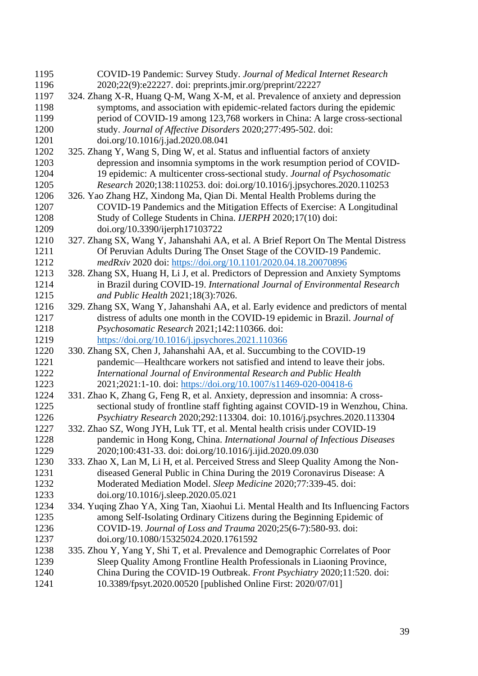| 1195         | COVID-19 Pandemic: Survey Study. Journal of Medical Internet Research                                                                                    |
|--------------|----------------------------------------------------------------------------------------------------------------------------------------------------------|
| 1196         | 2020;22(9):e22227. doi: preprints.jmir.org/preprint/22227                                                                                                |
| 1197         | 324. Zhang X-R, Huang Q-M, Wang X-M, et al. Prevalence of anxiety and depression                                                                         |
| 1198         | symptoms, and association with epidemic-related factors during the epidemic                                                                              |
| 1199         | period of COVID-19 among 123,768 workers in China: A large cross-sectional                                                                               |
| 1200         | study. Journal of Affective Disorders 2020;277:495-502. doi:                                                                                             |
| 1201         | doi.org/10.1016/j.jad.2020.08.041                                                                                                                        |
| 1202         | 325. Zhang Y, Wang S, Ding W, et al. Status and influential factors of anxiety                                                                           |
| 1203         | depression and insomnia symptoms in the work resumption period of COVID-                                                                                 |
| 1204         | 19 epidemic: A multicenter cross-sectional study. Journal of Psychosomatic                                                                               |
| 1205         | Research 2020;138:110253. doi: doi.org/10.1016/j.jpsychores.2020.110253                                                                                  |
| 1206         | 326. Yao Zhang HZ, Xindong Ma, Qian Di. Mental Health Problems during the                                                                                |
| 1207         | COVID-19 Pandemics and the Mitigation Effects of Exercise: A Longitudinal                                                                                |
| 1208         | Study of College Students in China. IJERPH 2020;17(10) doi:                                                                                              |
| 1209         | doi.org/10.3390/ijerph17103722                                                                                                                           |
| 1210         | 327. Zhang SX, Wang Y, Jahanshahi AA, et al. A Brief Report On The Mental Distress                                                                       |
| 1211         | Of Peruvian Adults During The Onset Stage of the COVID-19 Pandemic.                                                                                      |
| 1212         | medRxiv 2020 doi: https://doi.org/10.1101/2020.04.18.20070896                                                                                            |
| 1213         | 328. Zhang SX, Huang H, Li J, et al. Predictors of Depression and Anxiety Symptoms                                                                       |
| 1214         | in Brazil during COVID-19. International Journal of Environmental Research                                                                               |
| 1215         | and Public Health 2021;18(3):7026.                                                                                                                       |
| 1216         | 329. Zhang SX, Wang Y, Jahanshahi AA, et al. Early evidence and predictors of mental                                                                     |
| 1217         | distress of adults one month in the COVID-19 epidemic in Brazil. Journal of                                                                              |
| 1218         | Psychosomatic Research 2021;142:110366. doi:                                                                                                             |
| 1219         | https://doi.org/10.1016/j.jpsychores.2021.110366                                                                                                         |
| 1220         | 330. Zhang SX, Chen J, Jahanshahi AA, et al. Succumbing to the COVID-19                                                                                  |
| 1221         | pandemic—Healthcare workers not satisfied and intend to leave their jobs.                                                                                |
| 1222         | International Journal of Environmental Research and Public Health                                                                                        |
| 1223         | 2021;2021:1-10. doi: https://doi.org/10.1007/s11469-020-00418-6                                                                                          |
| 1224         | 331. Zhao K, Zhang G, Feng R, et al. Anxiety, depression and insomnia: A cross-                                                                          |
| 1225         | sectional study of frontline staff fighting against COVID-19 in Wenzhou, China.                                                                          |
| 1226<br>1227 | Psychiatry Research 2020;292:113304. doi: 10.1016/j.psychres.2020.113304                                                                                 |
| 1228         | 332. Zhao SZ, Wong JYH, Luk TT, et al. Mental health crisis under COVID-19<br>pandemic in Hong Kong, China. International Journal of Infectious Diseases |
| 1229         | 2020;100:431-33. doi: doi.org/10.1016/j.ijid.2020.09.030                                                                                                 |
| 1230         | 333. Zhao X, Lan M, Li H, et al. Perceived Stress and Sleep Quality Among the Non-                                                                       |
| 1231         | diseased General Public in China During the 2019 Coronavirus Disease: A                                                                                  |
| 1232         | Moderated Mediation Model. Sleep Medicine 2020;77:339-45. doi:                                                                                           |
| 1233         | doi.org/10.1016/j.sleep.2020.05.021                                                                                                                      |
| 1234         | 334. Yuqing Zhao YA, Xing Tan, Xiaohui Li. Mental Health and Its Influencing Factors                                                                     |
| 1235         | among Self-Isolating Ordinary Citizens during the Beginning Epidemic of                                                                                  |
| 1236         | COVID-19. Journal of Loss and Trauma 2020;25(6-7):580-93. doi:                                                                                           |
| 1237         | doi.org/10.1080/15325024.2020.1761592                                                                                                                    |
| 1238         | 335. Zhou Y, Yang Y, Shi T, et al. Prevalence and Demographic Correlates of Poor                                                                         |
| 1239         | Sleep Quality Among Frontline Health Professionals in Liaoning Province,                                                                                 |
| 1240         | China During the COVID-19 Outbreak. Front Psychiatry 2020;11:520. doi:                                                                                   |
| 1241         | 10.3389/fpsyt.2020.00520 [published Online First: 2020/07/01]                                                                                            |
|              |                                                                                                                                                          |